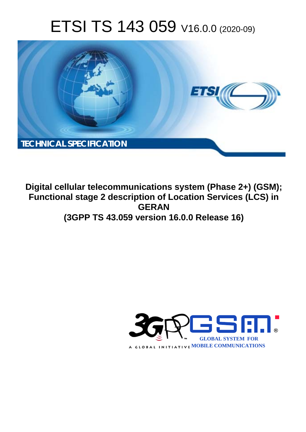# ETSI TS 143 059 V16.0.0 (2020-09)



**Digital cellular telecommunications system (Phase 2+) (GSM); Functional stage 2 description of Location Services (LCS) in GERAN (3GPP TS 43.059 version 16.0.0 Release 16)** 

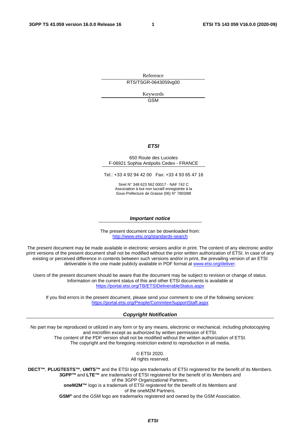Reference RTS/TSGR-0643059vg00

> Keywords GSM

#### *ETSI*

#### 650 Route des Lucioles F-06921 Sophia Antipolis Cedex - FRANCE

Tel.: +33 4 92 94 42 00 Fax: +33 4 93 65 47 16

Siret N° 348 623 562 00017 - NAF 742 C Association à but non lucratif enregistrée à la Sous-Préfecture de Grasse (06) N° 7803/88

#### *Important notice*

The present document can be downloaded from: <http://www.etsi.org/standards-search>

The present document may be made available in electronic versions and/or in print. The content of any electronic and/or print versions of the present document shall not be modified without the prior written authorization of ETSI. In case of any existing or perceived difference in contents between such versions and/or in print, the prevailing version of an ETSI deliverable is the one made publicly available in PDF format at [www.etsi.org/deliver](http://www.etsi.org/deliver).

Users of the present document should be aware that the document may be subject to revision or change of status. Information on the current status of this and other ETSI documents is available at <https://portal.etsi.org/TB/ETSIDeliverableStatus.aspx>

If you find errors in the present document, please send your comment to one of the following services: <https://portal.etsi.org/People/CommiteeSupportStaff.aspx>

#### *Copyright Notification*

No part may be reproduced or utilized in any form or by any means, electronic or mechanical, including photocopying and microfilm except as authorized by written permission of ETSI. The content of the PDF version shall not be modified without the written authorization of ETSI. The copyright and the foregoing restriction extend to reproduction in all media.

> © ETSI 2020. All rights reserved.

**DECT™**, **PLUGTESTS™**, **UMTS™** and the ETSI logo are trademarks of ETSI registered for the benefit of its Members. **3GPP™** and **LTE™** are trademarks of ETSI registered for the benefit of its Members and of the 3GPP Organizational Partners. **oneM2M™** logo is a trademark of ETSI registered for the benefit of its Members and of the oneM2M Partners. **GSM®** and the GSM logo are trademarks registered and owned by the GSM Association.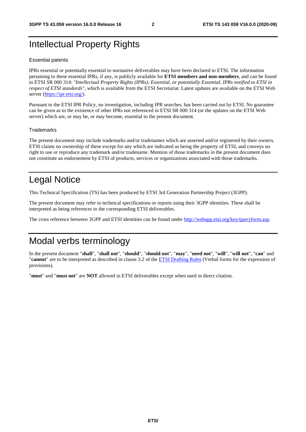# Intellectual Property Rights

#### Essential patents

IPRs essential or potentially essential to normative deliverables may have been declared to ETSI. The information pertaining to these essential IPRs, if any, is publicly available for **ETSI members and non-members**, and can be found in ETSI SR 000 314: *"Intellectual Property Rights (IPRs); Essential, or potentially Essential, IPRs notified to ETSI in respect of ETSI standards"*, which is available from the ETSI Secretariat. Latest updates are available on the ETSI Web server [\(https://ipr.etsi.org/](https://ipr.etsi.org/)).

Pursuant to the ETSI IPR Policy, no investigation, including IPR searches, has been carried out by ETSI. No guarantee can be given as to the existence of other IPRs not referenced in ETSI SR 000 314 (or the updates on the ETSI Web server) which are, or may be, or may become, essential to the present document.

#### **Trademarks**

The present document may include trademarks and/or tradenames which are asserted and/or registered by their owners. ETSI claims no ownership of these except for any which are indicated as being the property of ETSI, and conveys no right to use or reproduce any trademark and/or tradename. Mention of those trademarks in the present document does not constitute an endorsement by ETSI of products, services or organizations associated with those trademarks.

# Legal Notice

This Technical Specification (TS) has been produced by ETSI 3rd Generation Partnership Project (3GPP).

The present document may refer to technical specifications or reports using their 3GPP identities. These shall be interpreted as being references to the corresponding ETSI deliverables.

The cross reference between 3GPP and ETSI identities can be found under<http://webapp.etsi.org/key/queryform.asp>.

# Modal verbs terminology

In the present document "**shall**", "**shall not**", "**should**", "**should not**", "**may**", "**need not**", "**will**", "**will not**", "**can**" and "**cannot**" are to be interpreted as described in clause 3.2 of the [ETSI Drafting Rules](https://portal.etsi.org/Services/editHelp!/Howtostart/ETSIDraftingRules.aspx) (Verbal forms for the expression of provisions).

"**must**" and "**must not**" are **NOT** allowed in ETSI deliverables except when used in direct citation.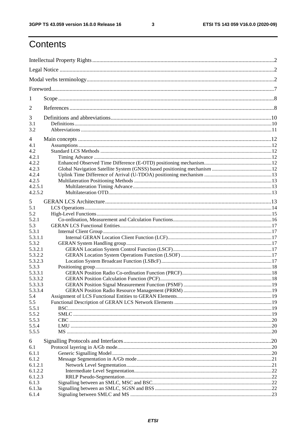$\mathbf{3}$ 

# Contents

| 1              |  |
|----------------|--|
| $\overline{2}$ |  |
| 3              |  |
| 3.1            |  |
| 3.2            |  |
| 4              |  |
| 4.1            |  |
| 4.2            |  |
| 4.2.1          |  |
| 4.2.2          |  |
| 4.2.3          |  |
| 4.2.4          |  |
| 4.2.5          |  |
| 4.2.5.1        |  |
| 4.2.5.2        |  |
|                |  |
| 5              |  |
| 5.1            |  |
| 5.2            |  |
| 5.2.1          |  |
| 5.3            |  |
| 5.3.1          |  |
| 5.3.1.1        |  |
| 5.3.2          |  |
| 5.3.2.1        |  |
| 5.3.2.2        |  |
| 5.3.2.3        |  |
| 5.3.3          |  |
| 5.3.3.1        |  |
| 5.3.3.2        |  |
|                |  |
| 5.3.3.3        |  |
| 5.3.3.4        |  |
| 5.4            |  |
| 5.5            |  |
| 5.5.1          |  |
| 5.5.2          |  |
| 5.5.3          |  |
| 5.5.4          |  |
| 5.5.5          |  |
| 6              |  |
| 6.1            |  |
|                |  |
| 6.1.1          |  |
| 6.1.2          |  |
| 6.1.2.1        |  |
| 6.1.2.2        |  |
| 6.1.2.3        |  |
| 6.1.3          |  |
| 6.1.3a         |  |
| 6.1.4          |  |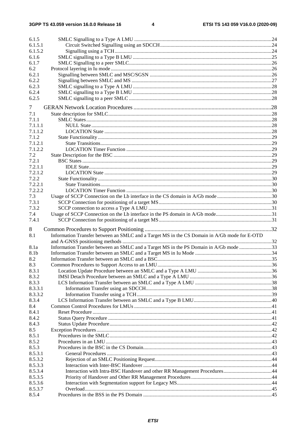| 6.1.5   |                                                                                              |  |
|---------|----------------------------------------------------------------------------------------------|--|
| 6.1.5.1 |                                                                                              |  |
| 6.1.5.2 |                                                                                              |  |
| 6.1.6   |                                                                                              |  |
| 6.1.7   |                                                                                              |  |
| 6.2     |                                                                                              |  |
| 6.2.1   |                                                                                              |  |
| 6.2.2   |                                                                                              |  |
| 6.2.3   |                                                                                              |  |
| 6.2.4   |                                                                                              |  |
| 6.2.5   |                                                                                              |  |
|         |                                                                                              |  |
| 7       |                                                                                              |  |
| 7.1     |                                                                                              |  |
| 7.1.1   |                                                                                              |  |
| 7.1.1.1 |                                                                                              |  |
| 7.1.1.2 |                                                                                              |  |
| 7.1.2   |                                                                                              |  |
| 7.1.2.1 |                                                                                              |  |
| 7.1.2.2 |                                                                                              |  |
| 7.2     |                                                                                              |  |
| 7.2.1   |                                                                                              |  |
| 7.2.1.1 |                                                                                              |  |
| 7.2.1.2 |                                                                                              |  |
| 7.2.2   |                                                                                              |  |
| 7.2.2.1 |                                                                                              |  |
| 7.2.2.2 |                                                                                              |  |
|         |                                                                                              |  |
| 7.3     |                                                                                              |  |
| 7.3.1   |                                                                                              |  |
| 7.3.2   |                                                                                              |  |
| 7.4     |                                                                                              |  |
| 7.4.1   |                                                                                              |  |
| 8       |                                                                                              |  |
| 8.1     | Information Transfer between an SMLC and a Target MS in the CS Domain in A/Gb mode for E-OTD |  |
|         |                                                                                              |  |
| 8.1a    | Information Transfer between an SMLC and a Target MS in the PS Domain in A/Gb mode 33        |  |
| 8.1b    |                                                                                              |  |
| 8.2     |                                                                                              |  |
| 8.3     |                                                                                              |  |
| 8.3.1   |                                                                                              |  |
| 8.3.2   |                                                                                              |  |
| 8.3.3   |                                                                                              |  |
| 8.3.3.1 |                                                                                              |  |
| 8.3.3.2 |                                                                                              |  |
|         |                                                                                              |  |
| 8.3.4   |                                                                                              |  |
| 8.4     |                                                                                              |  |
| 8.4.1   |                                                                                              |  |
| 8.4.2   |                                                                                              |  |
| 8.4.3   |                                                                                              |  |
| 8.5     |                                                                                              |  |
| 8.5.1   |                                                                                              |  |
| 8.5.2   |                                                                                              |  |
| 8.5.3   |                                                                                              |  |
| 8.5.3.1 |                                                                                              |  |
| 8.5.3.2 |                                                                                              |  |
| 8.5.3.3 |                                                                                              |  |
| 8.5.3.4 | Interaction with Intra-BSC Handover and other RR Management Procedures44                     |  |
| 8.5.3.5 |                                                                                              |  |
|         |                                                                                              |  |
| 8.5.3.6 |                                                                                              |  |
| 8.5.3.7 |                                                                                              |  |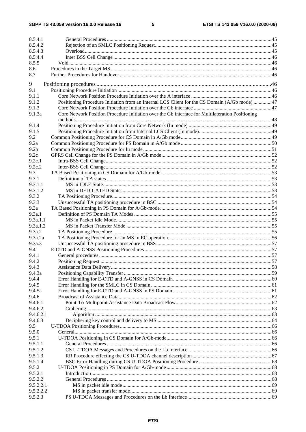3GPP TS 43.059 version 16.0.0 Release 16

 $5\phantom{a}$ 

| 8.5.4.1          |                                                                                                  |  |
|------------------|--------------------------------------------------------------------------------------------------|--|
| 8.5.4.2          |                                                                                                  |  |
| 8.5.4.3          |                                                                                                  |  |
| 8.5.4.4          |                                                                                                  |  |
| 8.5.5            |                                                                                                  |  |
| 8.6              |                                                                                                  |  |
| 8.7              |                                                                                                  |  |
| 9                |                                                                                                  |  |
| 9.1              |                                                                                                  |  |
| 9.1.1            |                                                                                                  |  |
| 9.1.2            | Positioning Procedure Initiation from an Internal LCS Client for the CS Domain (A/Gb mode) 47    |  |
| 9.1.3            |                                                                                                  |  |
| 9.1.3a           | Core Network Position Procedure Initiation over the Gb interface for Multilateration Positioning |  |
|                  |                                                                                                  |  |
| 9.1.4            |                                                                                                  |  |
| 9.1.5            |                                                                                                  |  |
| 9.2              |                                                                                                  |  |
| 9.2a             |                                                                                                  |  |
| 9.2 <sub>b</sub> |                                                                                                  |  |
| 9.2c             |                                                                                                  |  |
| 9.2c.1           |                                                                                                  |  |
| 9.2c.2<br>9.3    |                                                                                                  |  |
| 9.3.1            |                                                                                                  |  |
| 9.3.1.1          |                                                                                                  |  |
| 9.3.1.2          |                                                                                                  |  |
| 9.3.2            |                                                                                                  |  |
| 9.3.3            |                                                                                                  |  |
| 9.3a             |                                                                                                  |  |
| 9.3a.1           |                                                                                                  |  |
| 9.3a.1.1         |                                                                                                  |  |
| 9.3a.1.2         |                                                                                                  |  |
| 9.3a.2           |                                                                                                  |  |
| 9.3a.2a          |                                                                                                  |  |
| 9.3a.3           |                                                                                                  |  |
| 9.4              |                                                                                                  |  |
| 9.4.1            |                                                                                                  |  |
| 9.4.2            |                                                                                                  |  |
| 9.4.3<br>9.4.3a  |                                                                                                  |  |
| 9.4.4            |                                                                                                  |  |
| 9.4.5            |                                                                                                  |  |
| 9.4.5a           |                                                                                                  |  |
| 9.4.6            |                                                                                                  |  |
| 9.4.6.1          |                                                                                                  |  |
| 9.4.6.2          |                                                                                                  |  |
| 9.4.6.2.1        |                                                                                                  |  |
| 9.4.6.3          |                                                                                                  |  |
| 9.5              |                                                                                                  |  |
| 9.5.0            |                                                                                                  |  |
| 9.5.1            |                                                                                                  |  |
| 9.5.1.1          |                                                                                                  |  |
| 9.5.1.2          |                                                                                                  |  |
| 9.5.1.3          |                                                                                                  |  |
| 9.5.1.4<br>9.5.2 |                                                                                                  |  |
| 9.5.2.1          |                                                                                                  |  |
| 9.5.2.2          |                                                                                                  |  |
| 9.5.2.2.1        |                                                                                                  |  |
| 9.5.2.2.2        |                                                                                                  |  |
| 9.5.2.3          |                                                                                                  |  |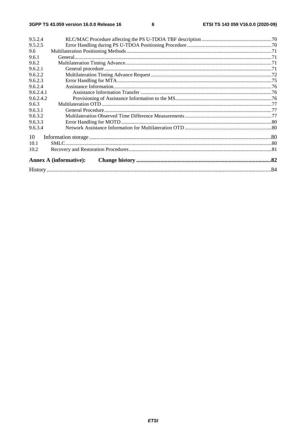| 10<br>10.1<br>10.2<br><b>Annex A (informative):</b> | 9.5.2.4   |  |
|-----------------------------------------------------|-----------|--|
|                                                     | 9.5.2.5   |  |
|                                                     | 9.6       |  |
|                                                     | 9.6.1     |  |
|                                                     | 9.6.2     |  |
|                                                     | 9.6.2.1   |  |
|                                                     | 9.6.2.2   |  |
|                                                     | 9.6.2.3   |  |
|                                                     | 9.6.2.4   |  |
|                                                     | 9.6.2.4.1 |  |
|                                                     | 9.6.2.4.2 |  |
|                                                     | 9.6.3     |  |
|                                                     | 9.6.3.1   |  |
|                                                     | 9.6.3.2   |  |
|                                                     | 9.6.3.3   |  |
|                                                     | 9.6.3.4   |  |
|                                                     |           |  |
|                                                     |           |  |
|                                                     |           |  |
|                                                     |           |  |
|                                                     |           |  |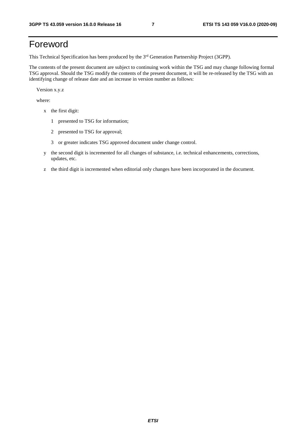# Foreword

This Technical Specification has been produced by the 3<sup>rd</sup> Generation Partnership Project (3GPP).

The contents of the present document are subject to continuing work within the TSG and may change following formal TSG approval. Should the TSG modify the contents of the present document, it will be re-released by the TSG with an identifying change of release date and an increase in version number as follows:

Version x.y.z

where:

- x the first digit:
	- 1 presented to TSG for information;
	- 2 presented to TSG for approval;
	- 3 or greater indicates TSG approved document under change control.
- y the second digit is incremented for all changes of substance, i.e. technical enhancements, corrections, updates, etc.
- z the third digit is incremented when editorial only changes have been incorporated in the document.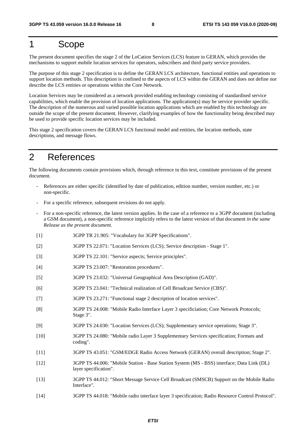# 1 Scope

The present document specifies the stage 2 of the LoCation Services (LCS) feature in GERAN, which provides the mechanisms to support mobile location services for operators, subscribers and third party service providers.

The purpose of this stage 2 specification is to define the GERAN LCS architecture, functional entities and operations to support location methods. This description is confined to the aspects of LCS within the GERAN and does not define nor describe the LCS entities or operations within the Core Network.

Location Services may be considered as a network provided enabling technology consisting of standardised service capabilities, which enable the provision of location applications. The application(s) may be service provider specific. The description of the numerous and varied possible location applications which are enabled by this technology are outside the scope of the present document. However, clarifying examples of how the functionality being described may be used to provide specific location services may be included.

This stage 2 specification covers the GERAN LCS functional model and entities, the location methods, state descriptions, and message flows.

# 2 References

The following documents contain provisions which, through reference in this text, constitute provisions of the present document.

- References are either specific (identified by date of publication, edition number, version number, etc.) or non-specific.
- For a specific reference, subsequent revisions do not apply.
- For a non-specific reference, the latest version applies. In the case of a reference to a 3GPP document (including a GSM document), a non-specific reference implicitly refers to the latest version of that document *in the same Release as the present document*.
- [1] 3GPP TR 21.905: "Vocabulary for 3GPP Specifications".
- [2] 3GPP TS 22.071: "Location Services (LCS); Service description Stage 1".
- [3] 3GPP TS 22.101: "Service aspects; Service principles".
- [4] 3GPP TS 23.007: "Restoration procedures".
- [5] 3GPP TS 23.032: "Universal Geographical Area Description (GAD)".
- [6] 3GPP TS 23.041: "Technical realization of Cell Broadcast Service (CBS)".
- [7] 3GPP TS 23.271: "Functional stage 2 description of location services".
- [8] 3GPP TS 24.008: "Mobile Radio Interface Layer 3 specificiation; Core Network Protocols; Stage 3".
- [9] 3GPP TS 24.030: "Location Services (LCS); Supplementary service operations; Stage 3".
- [10] 3GPP TS 24.080: "Mobile radio Layer 3 Supplementary Services specification; Formats and coding".
- [11] 3GPP TS 43.051: "GSM/EDGE Radio Access Network (GERAN) overall description; Stage 2".
- [12] 3GPP TS 44.006: "Mobile Station Base Station System (MS BSS) interface; Data Link (DL) layer specification".
- [13] 3GPP TS 44.012: "Short Message Service Cell Broadcast (SMSCB) Support on the Mobile Radio Interface".
- [14] 3GPP TS 44.018: "Mobile radio interface layer 3 specification; Radio Resource Control Protocol".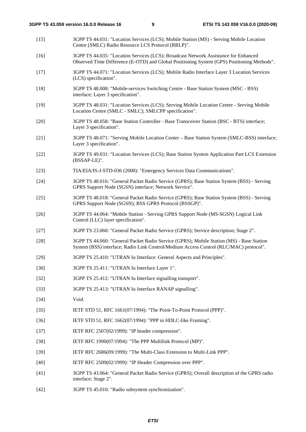- [15] 3GPP TS 44.031: "Location Services (LCS); Mobile Station (MS) Serving Mobile Location Centre (SMLC) Radio Resource LCS Protocol (RRLP)".
- [16] 3GPP TS 44.035: "Location Services (LCS); Broadcast Network Assistance for Enhanced Observed Time Difference (E-OTD) and Global Positioning System (GPS) Positioning Methods".
- [17] 3GPP TS 44.071: "Location Services (LCS); Mobile Radio Interface Layer 3 Location Services (LCS) specification".
- [18] 3GPP TS 48.008: "Mobile-services Switching Centre Base Station System (MSC BSS) interface; Layer 3 specification".
- [19] 3GPP TS 48.031: "Location Services (LCS); Serving Mobile Location Centre Serving Mobile Location Centre (SMLC - SMLC); SMLCPP specification".
- [20] 3GPP TS 48.058: "Base Station Controller Base Transceiver Station (BSC BTS) interface; Layer 3 specification".
- [21] 3GPP TS 48.071: "Serving Mobile Location Center Base Station System (SMLC-BSS) interface; Layer 3 specification".
- [22] 3GPP TS 49.031: "Location Services (LCS); Base Station System Application Part LCS Extension (BSSAP-LE)".
- [23] TIA/EIA/IS-J-STD-036 (2000): "Emergency Services Data Communications".
- [24] 3GPP TS 48.016: "General Packet Radio Service (GPRS); Base Station System (BSS) Serving GPRS Support Node (SGSN) interface; Network Service".
- [25] 3GPP TS 48.018: "General Packet Radio Service (GPRS); Base Station System (BSS) Serving GPRS Support Node (SGSN); BSS GPRS Protocol (BSSGP)".
- [26] 3GPP TS 44.064: "Mobile Station Serving GPRS Support Node (MS-SGSN) Logical Link Control (LLC) layer specification".
- [27] 3GPP TS 23.060: "General Packet Radio Service (GPRS); Service description; Stage 2".
- [28] 3GPP TS 44.060: "General Packet Radio Service (GPRS); Mobile Station (MS) Base Station System (BSS) interface; Radio Link Control/Medium Access Control (RLC/MAC) protocol".
- [29] 3GPP TS 25.410: "UTRAN Iu Interface: General Aspects and Principles".
- [30] 3GPP TS 25.411: "UTRAN Iu Interface Layer 1".
- [32] 3GPP TS 25.412: "UTRAN Iu Interface signalling transport".
- [33] 3GPP TS 25.413: "UTRAN Iu Interface RANAP signalling".
- [34] **Void.**
- [35] IETF STD 51, RFC 1661(07/1994): "The Point-To-Point Protocol (PPP)".
- [36] IETF STD 51, RFC 1662(07/1994): "PPP in HDLC-like Framing".
- [37] **IETF RFC 2507(02/1999): "IP header compression".**
- [38] IETF RFC 1990(07/1994): "The PPP Multilink Protocol (MP)".
- [39] IETF RFC 2686(09/1999): "The Multi-Class Extension to Multi-Link PPP".
- [40] IETF RFC 2509(02/1999): "IP Header Compression over PPP".
- [41] 3GPP TS 43.064: "General Packet Radio Service (GPRS); Overall description of the GPRS radio interface; Stage 2".
- [42] 3GPP TS 45.010: "Radio subsystem synchronization".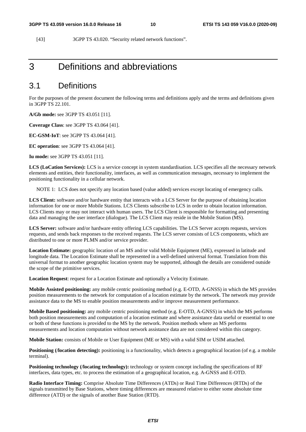[43] 3GPP TS 43.020. "Security related network functions".

# 3 Definitions and abbreviations

### 3.1 Definitions

For the purposes of the present document the following terms and definitions apply and the terms and definitions given in 3GPP TS 22.101.

**A/Gb mode:** see 3GPP TS 43.051 [11].

**Coverage Class**: see 3GPP TS 43.064 [41].

**EC-GSM-IoT**: see 3GPP TS 43.064 [41].

**EC operation**: see 3GPP TS 43.064 [41].

**Iu mode:** see 3GPP TS 43.051 [11].

**LCS (LoCation Services):** LCS is a service concept in system standardisation. LCS specifies all the necessary network elements and entities, their functionality, interfaces, as well as communication messages, necessary to implement the positioning functionality in a cellular network.

NOTE 1: LCS does not specify any location based (value added) services except locating of emergency calls.

**LCS Client:** software and/or hardware entity that interacts with a LCS Server for the purpose of obtaining location information for one or more Mobile Stations. LCS Clients subscribe to LCS in order to obtain location information. LCS Clients may or may not interact with human users. The LCS Client is responsible for formatting and presenting data and managing the user interface (dialogue). The LCS Client may reside in the Mobile Station (MS).

**LCS Server:** software and/or hardware entity offering LCS capabilities. The LCS Server accepts requests, services requests, and sends back responses to the received requests. The LCS server consists of LCS components, which are distributed to one or more PLMN and/or service provider.

**Location Estimate:** geographic location of an MS and/or valid Mobile Equipment (ME), expressed in latitude and longitude data. The Location Estimate shall be represented in a well-defined universal format. Translation from this universal format to another geographic location system may be supported, although the details are considered outside the scope of the primitive services.

**Location Request**: request for a Location Estimate and optionally a Velocity Estimate.

**Mobile Assisted positioning:** any mobile centric positioning method (e.g. E-OTD, A-GNSS) in which the MS provides position measurements to the network for computation of a location estimate by the network. The network may provide assistance data to the MS to enable position measurements and/or improve measurement performance.

**Mobile Based positioning:** any mobile centric positioning method (e.g. E-OTD, A-GNSS) in which the MS performs both position measurements and computation of a location estimate and where assistance data useful or essential to one or both of these functions is provided to the MS by the network. Position methods where an MS performs measurements and location computation without network assistance data are not considered within this category.

**Mobile Station:** consists of Mobile or User Equipment (ME or MS) with a valid SIM or USIM attached.

Positioning (*/location detecting*): positioning is a functionality, which detects a geographical location (of e.g. a mobile terminal).

**Positioning technology (/locating technology):** technology or system concept including the specifications of RF interfaces, data types, etc. to process the estimation of a geographical location, e.g. A-GNSS and E-OTD.

**Radio Interface Timing:** Comprise Absolute Time Differences (ATDs) or Real Time Differences (RTDs) of the signals transmitted by Base Stations, where timing differences are measured relative to either some absolute time difference (ATD) or the signals of another Base Station (RTD).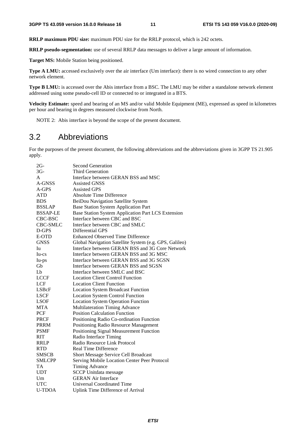**RRLP maximum PDU size:** maximum PDU size for the RRLP protocol, which is 242 octets.

**RRLP pseudo-segmentation:** use of several RRLP data messages to deliver a large amount of information.

**Target MS:** Mobile Station being positioned.

**Type A LMU:** accessed exclusively over the air interface (Um interface): there is no wired connection to any other network element.

**Type B LMU:** is accessed over the Abis interface from a BSC. The LMU may be either a standalone network element addressed using some pseudo-cell ID or connected to or integrated in a BTS.

**Velocity Estimate:** speed and bearing of an MS and/or valid Mobile Equipment (ME), expressed as speed in kilometres per hour and bearing in degrees measured clockwise from North.

NOTE 2: Abis interface is beyond the scope of the present document.

### 3.2 Abbreviations

For the purposes of the present document, the following abbreviations and the abbreviations given in 3GPP TS 21.905 apply.

| $2G-$           | <b>Second Generation</b>                               |
|-----------------|--------------------------------------------------------|
| $3G -$          | <b>Third Generation</b>                                |
| A               | Interface between GERAN BSS and MSC                    |
| A-GNSS          | <b>Assisted GNSS</b>                                   |
| $A-GPS$         | <b>Assisted GPS</b>                                    |
| <b>ATD</b>      | <b>Absolute Time Difference</b>                        |
| <b>BDS</b>      | BeiDou Navigation Satellite System                     |
| <b>BSSLAP</b>   | <b>Base Station System Application Part</b>            |
| <b>BSSAP-LE</b> | Base Station System Application Part LCS Extension     |
| CBC-BSC         | Interface between CBC and BSC                          |
| CBC-SMLC        | Interface between CBC and SMLC                         |
| D-GPS           | Differential GPS                                       |
| E-OTD           | <b>Enhanced Observed Time Difference</b>               |
| <b>GNSS</b>     | Global Navigation Satellite System (e.g. GPS, Galileo) |
| Iu              | Interface between GERAN BSS and 3G Core Network        |
| Iu-cs           | Interface between GERAN BSS and 3G MSC                 |
| Iu-ps           | Interface between GERAN BSS and 3G SGSN                |
| Gb              | Interface between GERAN BSS and SGSN                   |
| L <sub>b</sub>  | Interface between SMLC and BSC                         |
| <b>LCCF</b>     | <b>Location Client Control Function</b>                |
| <b>LCF</b>      | <b>Location Client Function</b>                        |
| LSBcF           | <b>Location System Broadcast Function</b>              |
| <b>LSCF</b>     | <b>Location System Control Function</b>                |
| <b>LSOF</b>     | <b>Location System Operation Function</b>              |
| <b>MTA</b>      | Multilateration Timing Advance                         |
| PCF             | <b>Position Calculation Function</b>                   |
| <b>PRCF</b>     | Positioning Radio Co-ordination Function               |
| <b>PRRM</b>     | Positioning Radio Resource Management                  |
| <b>PSMF</b>     | Positioning Signal Measurement Function                |
| <b>RIT</b>      | Radio Interface Timing                                 |
| <b>RRLP</b>     | Radio Resource Link Protocol                           |
| <b>RTD</b>      | <b>Real Time Difference</b>                            |
| <b>SMSCB</b>    | <b>Short Message Service Cell Broadcast</b>            |
| <b>SMLCPP</b>   | Serving Mobile Location Center Peer Protocol           |
| TA              | <b>Timing Advance</b>                                  |
| <b>UDT</b>      | <b>SCCP</b> Unitdata message                           |
| Um              | <b>GERAN Air Interface</b>                             |
| <b>UTC</b>      | <b>Universal Coordinated Time</b>                      |
| <b>U-TDOA</b>   | <b>Uplink Time Difference of Arrival</b>               |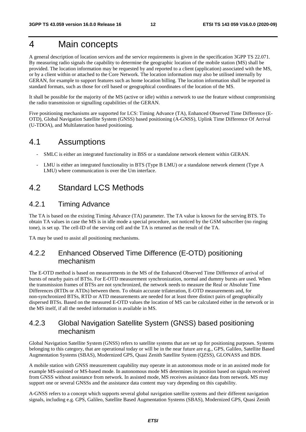# 4 Main concepts

A general description of location services and the service requirements is given in the specification 3GPP TS 22.071. By measuring radio signals the capability to determine the geographic location of the mobile station (MS) shall be provided. The location information may be requested by and reported to a client (application) associated with the MS, or by a client within or attached to the Core Network. The location information may also be utilised internally by GERAN, for example to support features such as home location billing. The location information shall be reported in standard formats, such as those for cell based or geographical coordinates of the location of the MS.

It shall be possible for the majority of the MS (active or idle) within a network to use the feature without compromising the radio transmission or signalling capabilities of the GERAN.

Five positioning mechanisms are supported for LCS: Timing Advance (TA), Enhanced Observed Time Difference (E-OTD), Global Navigation Satellite System (GNSS) based positioning (A-GNSS), Uplink Time Difference Of Arrival (U-TDOA), and Multilateration based positioning.

### 4.1 Assumptions

- SMLC is either an integrated functionality in BSS or a standalone network element within GERAN.
- LMU is either an integrated functionality in BTS (Type B LMU) or a standalone network element (Type A LMU) where communication is over the Um interface.

### 4.2 Standard LCS Methods

#### 4.2.1 Timing Advance

The TA is based on the existing Timing Advance (TA) parameter. The TA value is known for the serving BTS. To obtain TA values in case the MS is in idle mode a special procedure, not noticed by the GSM subscriber (no ringing tone), is set up. The cell-ID of the serving cell and the TA is returned as the result of the TA.

TA may be used to assist all positioning mechanisms.

### 4.2.2 Enhanced Observed Time Difference (E-OTD) positioning mechanism

The E-OTD method is based on measurements in the MS of the Enhanced Observed Time Difference of arrival of bursts of nearby pairs of BTSs. For E-OTD measurement synchronization, normal and dummy bursts are used. When the transmission frames of BTSs are not synchronized, the network needs to measure the Real or Absolute Time Differences (RTDs or ATDs) between them. To obtain accurate trilateration, E-OTD measurements and, for non-synchronized BTSs, RTD or ATD measurements are needed for at least three distinct pairs of geographically dispersed BTSs. Based on the measured E-OTD values the location of MS can be calculated either in the network or in the MS itself, if all the needed information is available in MS.

### 4.2.3 Global Navigation Satellite System (GNSS) based positioning mechanism

Global Navigation Satellite System (GNSS) refers to satellite systems that are set up for positioning purposes. Systems belonging to this category, that are operational today or will be in the near future are e.g., GPS, Galileo, Satellite Based Augmentation Systems (SBAS), Modernized GPS, Quasi Zenith Satellite System (QZSS), GLONASS and BDS.

A mobile station with GNSS measurement capability may operate in an autonomous mode or in an assisted mode for example MS-assisted or MS-based mode. In autonomous mode MS determines its position based on signals received from GNSS without assistance from network. In assisted mode, MS receives assistance data from network. MS may support one or several GNSSs and the assistance data content may vary depending on this capability.

A-GNSS refers to a concept which supports several global navigation satellite systems and their different navigation signals, including e.g. GPS, Galileo, Satellite Based Augmentation Systems (SBAS), Modernized GPS, Quasi Zenith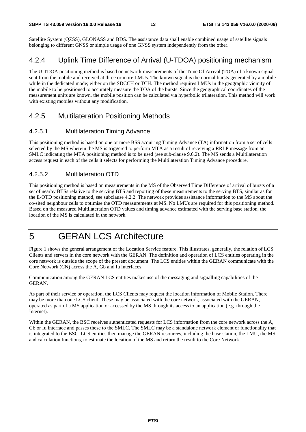Satellite System (QZSS), GLONASS and BDS. The assistance data shall enable combined usage of satellite signals belonging to different GNSS or simple usage of one GNSS system independently from the other.

### 4.2.4 Uplink Time Difference of Arrival (U-TDOA) positioning mechanism

The U-TDOA positioning method is based on network measurements of the Time Of Arrival (TOA) of a known signal sent from the mobile and received at three or more LMUs. The known signal is the normal bursts generated by a mobile while in the dedicated mode; either on the SDCCH or TCH. The method requires LMUs in the geographic vicinity of the mobile to be positioned to accurately measure the TOA of the bursts. Since the geographical coordinates of the measurement units are known, the mobile position can be calculated via hyperbolic trilateration. This method will work with existing mobiles without any modification.

### 4.2.5 Multilateration Positioning Methods

#### 4.2.5.1 Multilateration Timing Advance

This positioning method is based on one or more BSS acquiring Timing Advance (TA) information from a set of cells selected by the MS wherein the MS is triggered to perform MTA as a result of receiving a RRLP message from an SMLC indicating the MTA positioning method is to be used (see sub-clause 9.6.2). The MS sends a Multilateration access request in each of the cells it selects for performing the Multilateration Timing Advance procedure.

### 4.2.5.2 Multilateration OTD

This positioning method is based on measurements in the MS of the Observed Time Difference of arrival of bursts of a set of nearby BTSs relative to the serving BTS and reporting of these measurements to the serving BTS, similar as for the E-OTD positioning method, see subclause 4.2.2. The network provides assistance information to the MS about the co-sited neighbour cells to optimise the OTD measurements at MS. No LMUs are required for this positioning method. Based on the measured Multilateration OTD values and timing advance estimated with the serving base station, the location of the MS is calculated in the network.

# 5 GERAN LCS Architecture

Figure 1 shows the general arrangement of the Location Service feature. This illustrates, generally, the relation of LCS Clients and servers in the core network with the GERAN. The definition and operation of LCS entities operating in the core network is outside the scope of the present document. The LCS entities within the GERAN communicate with the Core Network (CN) across the A, Gb and Iu interfaces.

Communication among the GERAN LCS entities makes use of the messaging and signalling capabilities of the GERAN.

As part of their service or operation, the LCS Clients may request the location information of Mobile Station. There may be more than one LCS client. These may be associated with the core network, associated with the GERAN, operated as part of a MS application or accessed by the MS through its access to an application (e.g. through the Internet).

Within the GERAN, the BSC receives authenticated requests for LCS information from the core network across the A, Gb or Iu interface and passes these to the SMLC. The SMLC may be a standalone network element or functionality that is integrated to the BSC. LCS entities then manage the GERAN resources, including the base station, the LMU, the MS and calculation functions, to estimate the location of the MS and return the result to the Core Network.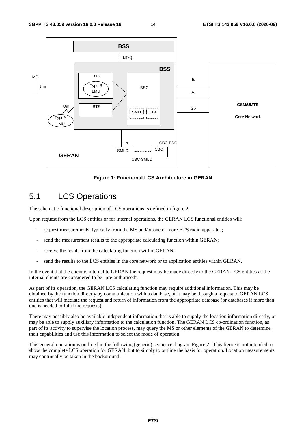

**Figure 1: Functional LCS Architecture in GERAN** 

# 5.1 LCS Operations

The schematic functional description of LCS operations is defined in figure 2.

Upon request from the LCS entities or for internal operations, the GERAN LCS functional entities will:

- request measurements, typically from the MS and/or one or more BTS radio apparatus;
- send the measurement results to the appropriate calculating function within GERAN;
- receive the result from the calculating function within GERAN;
- send the results to the LCS entities in the core network or to application entities within GERAN.

In the event that the client is internal to GERAN the request may be made directly to the GERAN LCS entities as the internal clients are considered to be "pre-authorised".

As part of its operation, the GERAN LCS calculating function may require additional information. This may be obtained by the function directly by communication with a database, or it may be through a request to GERAN LCS entities that will mediate the request and return of information from the appropriate database (or databases if more than one is needed to fulfil the requests).

There may possibly also be available independent information that is able to supply the location information directly, or may be able to supply auxiliary information to the calculation function. The GERAN LCS co-ordination function, as part of its activity to supervise the location process, may query the MS or other elements of the GERAN to determine their capabilities and use this information to select the mode of operation.

This general operation is outlined in the following (generic) sequence diagram Figure 2. This figure is not intended to show the complete LCS operation for GERAN, but to simply to outline the basis for operation. Location measurements may continually be taken in the background.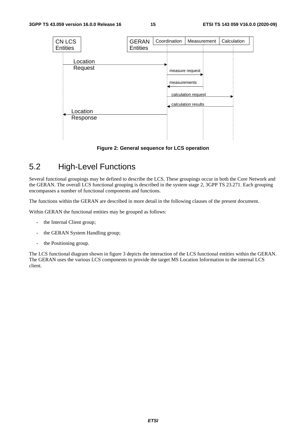

**Figure 2: General sequence for LCS operation**

# 5.2 High-Level Functions

Several functional groupings may be defined to describe the LCS. These groupings occur in both the Core Network and the GERAN. The overall LCS functional grouping is described in the system stage 2, 3GPP TS 23.271. Each grouping encompasses a number of functional components and functions.

The functions within the GERAN are described in more detail in the following clauses of the present document.

Within GERAN the functional entities may be grouped as follows:

- the Internal Client group;
- the GERAN System Handling group;
- the Positioning group.

The LCS functional diagram shown in figure 3 depicts the interaction of the LCS functional entities within the GERAN. The GERAN uses the various LCS components to provide the target MS Location Information to the internal LCS client.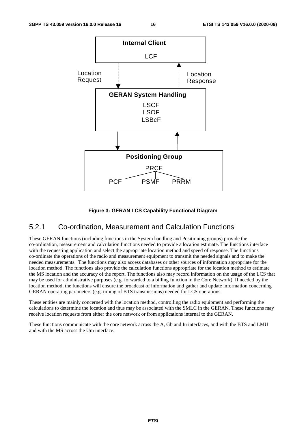

#### **Figure 3: GERAN LCS Capability Functional Diagram**

#### 5.2.1 Co-ordination, Measurement and Calculation Functions

These GERAN functions (including functions in the System handling and Positioning groups) provide the co-ordination, measurement and calculation functions needed to provide a location estimate. The functions interface with the requesting application and select the appropriate location method and speed of response. The functions co-ordinate the operations of the radio and measurement equipment to transmit the needed signals and to make the needed measurements. The functions may also access databases or other sources of information appropriate for the location method. The functions also provide the calculation functions appropriate for the location method to estimate the MS location and the accuracy of the report. The functions also may record information on the usage of the LCS that may be used for administrative purposes (e.g. forwarded to a billing function in the Core Network). If needed by the location method, the functions will ensure the broadcast of information and gather and update information concerning GERAN operating parameters (e.g. timing of BTS transmissions) needed for LCS operations.

These entities are mainly concerned with the location method, controlling the radio equipment and performing the calculations to determine the location and thus may be associated with the SMLC in the GERAN. These functions may receive location requests from either the core network or from applications internal to the GERAN.

These functions communicate with the core network across the A, Gb and Iu interfaces, and with the BTS and LMU and with the MS across the Um interface.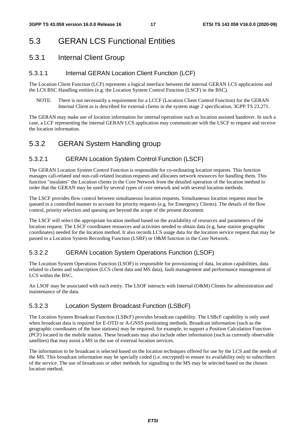# 5.3 GERAN LCS Functional Entities

### 5.3.1 Internal Client Group

#### 5.3.1.1 Internal GERAN Location Client Function (LCF)

The Location Client Function (LCF) represents a logical interface between the internal GERAN LCS applications and the LCS BSC Handling entities (e.g. the Location System Control Function (LSCF) in the BSC).

NOTE: There is not necessarily a requirement for a LCCF (Location Client Control Function) for the GERAN Internal Client as is described for external clients in the system stage 2 specification, 3GPP TS 23.271.

The GERAN may make use of location information for internal operations such as location assisted handover. In such a case, a LCF representing the internal GERAN LCS application may communicate with the LSCF to request and receive the location information.

### 5.3.2 GERAN System Handling group

### 5.3.2.1 GERAN Location System Control Function (LSCF)

The GERAN Location System Control Function is responsible for co-ordinating location requests. This function manages call-related and non-call-related location requests and allocates network resources for handling them. This function "insulates" the Location clients in the Core Network from the detailed operation of the location method in order that the GERAN may be used by several types of core network and with several location methods.

The LSCF provides flow control between simultaneous location requests. Simultaneous location requests must be queued in a controlled manner to account for priority requests (e.g. for Emergency Clients). The details of the flow control, priority selection and queuing are beyond the scope of the present document.

The LSCF will select the appropriate location method based on the availability of resources and parameters of the location request. The LSCF coordinates resources and activities needed to obtain data (e.g. base station geographic coordinates) needed for the location method. It also records LCS usage data for the location service request that may be passed to a Location System Recording Function (LSRF) or O&M function in the Core Network.

#### 5.3.2.2 GERAN Location System Operations Function (LSOF)

The Location System Operations Function (LSOF) is responsible for provisioning of data, location capabilities, data related to clients and subscription (LCS client data and MS data), fault management and performance management of LCS within the BSC.

An LSOF may be associated with each entity. The LSOF interacts with Internal (O&M) Clients for administration and maintenance of the data.

#### 5.3.2.3 Location System Broadcast Function (LSBcF)

The Location System Broadcast Function (LSBcF) provides broadcast capability. The LSBcF capability is only used when broadcast data is required for E-OTD or A-GNSS positioning methods. Broadcast information (such as the geographic coordinates of the base stations) may be required, for example, to support a Position Calculation Function (PCF) located in the mobile station. These broadcasts may also include other information (such as currently observable satellites) that may assist a MS in the use of external location services.

The information to be broadcast is selected based on the location techniques offered for use by the LCS and the needs of the MS. This broadcast information may be specially coded (i.e. encrypted) to ensure its availability only to subscribers of the service. The use of broadcasts or other methods for signalling to the MS may be selected based on the chosen location method.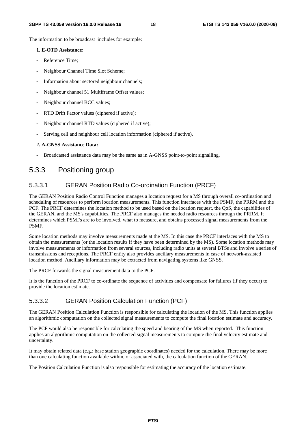The information to be broadcast includes for example:

#### **1. E-OTD Assistance:**

- Reference Time:
- Neighbour Channel Time Slot Scheme;
- Information about sectored neighbour channels;
- Neighbour channel 51 Multiframe Offset values;
- Neighbour channel BCC values;
- RTD Drift Factor values (ciphered if active);
- Neighbour channel RTD values (ciphered if active);
- Serving cell and neighbour cell location information (ciphered if active).

#### **2. A-GNSS Assistance Data:**

- Broadcasted assistance data may be the same as in A-GNSS point-to-point signalling.

#### 5.3.3 Positioning group

#### 5.3.3.1 GERAN Position Radio Co-ordination Function (PRCF)

The GERAN Position Radio Control Function manages a location request for a MS through overall co-ordination and scheduling of resources to perform location measurements. This function interfaces with the PSMF, the PRRM and the PCF. The PRCF determines the location method to be used based on the location request, the QoS, the capabilities of the GERAN, and the MS's capabilities. The PRCF also manages the needed radio resources through the PRRM. It determines which PSMFs are to be involved, what to measure, and obtains processed signal measurements from the PSMF.

Some location methods may involve measurements made at the MS. In this case the PRCF interfaces with the MS to obtain the measurements (or the location results if they have been determined by the MS). Some location methods may involve measurements or information from several sources, including radio units at several BTSs and involve a series of transmissions and receptions. The PRCF entity also provides ancillary measurements in case of network-assisted location method. Ancillary information may be extracted from navigating systems like GNSS.

The PRCF forwards the signal measurement data to the PCF.

It is the function of the PRCF to co-ordinate the sequence of activities and compensate for failures (if they occur) to provide the location estimate.

#### 5.3.3.2 GERAN Position Calculation Function (PCF)

The GERAN Position Calculation Function is responsible for calculating the location of the MS. This function applies an algorithmic computation on the collected signal measurements to compute the final location estimate and accuracy.

The PCF would also be responsible for calculating the speed and bearing of the MS when reported. This function applies an algorithmic computation on the collected signal measurements to compute the final velocity estimate and uncertainty.

It may obtain related data (e.g.: base station geographic coordinates) needed for the calculation. There may be more than one calculating function available within, or associated with, the calculation function of the GERAN.

The Position Calculation Function is also responsible for estimating the accuracy of the location estimate.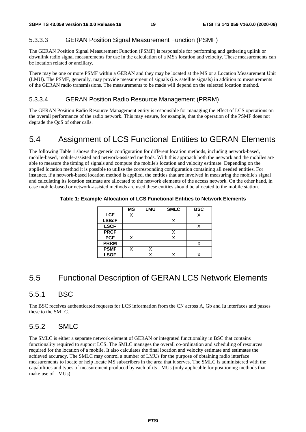#### 5.3.3.3 GERAN Position Signal Measurement Function (PSMF)

The GERAN Position Signal Measurement Function (PSMF) is responsible for performing and gathering uplink or downlink radio signal measurements for use in the calculation of a MS's location and velocity. These measurements can be location related or ancillary.

There may be one or more PSMF within a GERAN and they may be located at the MS or a Location Measurement Unit (LMU). The PSMF, generally, may provide measurement of signals (i.e. satellite signals) in addition to measurements of the GERAN radio transmissions. The measurements to be made will depend on the selected location method.

#### 5.3.3.4 GERAN Position Radio Resource Management (PRRM)

The GERAN Position Radio Resource Management entity is responsible for managing the effect of LCS operations on the overall performance of the radio network. This may ensure, for example, that the operation of the PSMF does not degrade the QoS of other calls.

### 5.4 Assignment of LCS Functional Entities to GERAN Elements

The following Table 1 shows the generic configuration for different location methods, including network-based, mobile-based, mobile-assisted and network-assisted methods. With this approach both the network and the mobiles are able to measure the timing of signals and compute the mobile's location and velocity estimate. Depending on the applied location method it is possible to utilise the corresponding configuration containing all needed entities. For instance, if a network-based location method is applied, the entities that are involved in measuring the mobile's signal and calculating its location estimate are allocated to the network elements of the access network. On the other hand, in case mobile-based or network-assisted methods are used these entities should be allocated to the mobile station.

|              | <b>MS</b> | <b>LMU</b> | <b>SMLC</b> | <b>BSC</b> |
|--------------|-----------|------------|-------------|------------|
| <b>LCF</b>   | X         |            |             | Х          |
| <b>LSBcF</b> |           |            |             |            |
| <b>LSCF</b>  |           |            |             |            |
| <b>PRCF</b>  |           |            | X           |            |
| <b>PCF</b>   |           |            |             |            |
| <b>PRRM</b>  |           |            |             |            |
| <b>PSMF</b>  | X         |            |             |            |
| <b>LSOF</b>  |           |            |             |            |

**Table 1: Example Allocation of LCS Functional Entities to Network Elements** 

### 5.5 Functional Description of GERAN LCS Network Elements

#### 5.5.1 BSC

The BSC receives authenticated requests for LCS information from the CN across A, Gb and Iu interfaces and passes these to the SMLC.

#### 5.5.2 SMLC

The SMLC is either a separate network element of GERAN or integrated functionality in BSC that contains functionality required to support LCS. The SMLC manages the overall co-ordination and scheduling of resources required for the location of a mobile. It also calculates the final location and velocity estimate and estimates the achieved accuracy. The SMLC may control a number of LMUs for the purpose of obtaining radio interface measurements to locate or help locate MS subscribers in the area that it serves. The SMLC is administered with the capabilities and types of measurement produced by each of its LMUs (only applicable for positioning methods that make use of LMUs).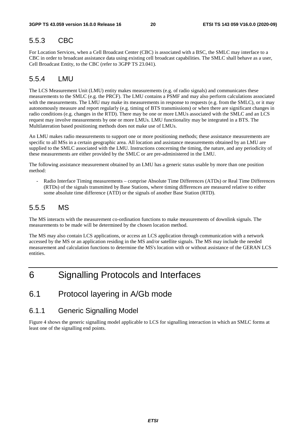#### 5.5.3 CBC

For Location Services, when a Cell Broadcast Center (CBC) is associated with a BSC, the SMLC may interface to a CBC in order to broadcast assistance data using existing cell broadcast capabilities. The SMLC shall behave as a user, Cell Broadcast Entity, to the CBC (refer to 3GPP TS 23.041).

#### 5.5.4 LMU

The LCS Measurement Unit (LMU) entity makes measurements (e.g. of radio signals) and communicates these measurements to the SMLC (e.g. the PRCF). The LMU contains a PSMF and may also perform calculations associated with the measurements. The LMU may make its measurements in response to requests (e.g. from the SMLC), or it may autonomously measure and report regularly (e.g. timing of BTS transmissions) or when there are significant changes in radio conditions (e.g. changes in the RTD). There may be one or more LMUs associated with the SMLC and an LCS request may involve measurements by one or more LMUs. LMU functionality may be integrated in a BTS. The Multilateration based positioning methods does not make use of LMUs.

An LMU makes radio measurements to support one or more positioning methods; these assistance measurements are specific to all MSs in a certain geographic area. All location and assistance measurements obtained by an LMU are supplied to the SMLC associated with the LMU. Instructions concerning the timing, the nature, and any periodicity of these measurements are either provided by the SMLC or are pre-administered in the LMU.

The following assistance measurement obtained by an LMU has a generic status usable by more than one position method:

- Radio Interface Timing measurements – comprise Absolute Time Differences (ATDs) or Real Time Differences (RTDs) of the signals transmitted by Base Stations, where timing differences are measured relative to either some absolute time difference (ATD) or the signals of another Base Station (RTD).

#### 5.5.5 MS

The MS interacts with the measurement co-ordination functions to make measurements of downlink signals. The measurements to be made will be determined by the chosen location method.

The MS may also contain LCS applications, or access an LCS application through communication with a network accessed by the MS or an application residing in the MS and/or satellite signals. The MS may include the needed measurement and calculation functions to determine the MS's location with or without assistance of the GERAN LCS entities.

# 6 Signalling Protocols and Interfaces

### 6.1 Protocol layering in A/Gb mode

#### 6.1.1 Generic Signalling Model

Figure 4 shows the generic signalling model applicable to LCS for signalling interaction in which an SMLC forms at least one of the signalling end points.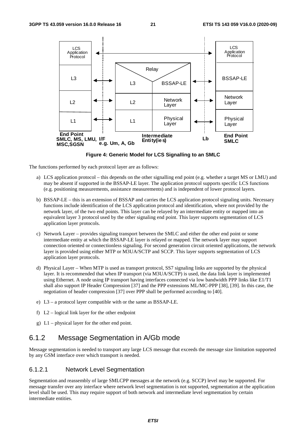

**Figure 4: Generic Model for LCS Signalling to an SMLC** 

The functions performed by each protocol layer are as follows:

- a) LCS application protocol this depends on the other signalling end point (e.g. whether a target MS or LMU) and may be absent if supported in the BSSAP-LE layer. The application protocol supports specific LCS functions (e.g. positioning measurements, assistance measurements) and is independent of lower protocol layers.
- b) BSSAP-LE this is an extension of BSSAP and carries the LCS application protocol signaling units. Necessary functions include identification of the LCS application protocol and identification, where not provided by the network layer, of the two end points. This layer can be relayed by an intermediate entity or mapped into an equivalent layer 3 protocol used by the other signaling end point. This layer supports segmentation of LCS application layer protocols.
- c) Network Layer provides signaling transport between the SMLC and either the other end point or some intermediate entity at which the BSSAP-LE layer is relayed or mapped. The network layer may support connection oriented or connectionless signaling. For second generation circuit oriented applications, the network layer is provided using either MTP or M3UA/SCTP and SCCP. This layer supports segmentation of LCS application layer protocols.
- d) Physical Layer When MTP is used as transport protocol, SS7 signaling links are supported by the physical layer. It is recommended that when IP transport (via M3UA/SCTP) is used, the data link layer is implemented using Ethernet. A node using IP transport having interfaces connected via low bandwidth PPP links like E1/T1 shall also support IP Header Compression [37] and the PPP extensions ML/MC-PPP [38], [39]. In this case, the negotiation of header compression [37] over PPP shall be performed according to [40].
- e) L3 a protocol layer compatible with or the same as BSSAP-LE.
- f) L2 logical link layer for the other endpoint
- g) L1 physical layer for the other end point.

#### 6.1.2 Message Segmentation in A/Gb mode

Message segmentation is needed to transport any large LCS message that exceeds the message size limitation supported by any GSM interface over which transport is needed.

#### 6.1.2.1 Network Level Segmentation

Segmentation and reassembly of large SMLCPP messages at the network (e.g. SCCP) level may be supported. For message transfer over any interface where network level segmentation is not supported, segmentation at the application level shall be used. This may require support of both network and intermediate level segmentation by certain intermediate entities.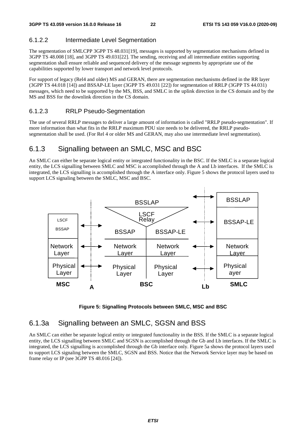#### 6.1.2.2 Intermediate Level Segmentation

The segmentation of SMLCPP 3GPP TS 48.031[19], messages is supported by segmentation mechanisms defined in 3GPP TS 48.008 [18], and 3GPP TS 49.031[22]. The sending, receiving and all intermediate entities supporting segmentation shall ensure reliable and sequenced delivery of the message segments by appropriate use of the capabilities supported by lower transport and network level protocols.

For support of legacy (Rel4 and older) MS and GERAN, there are segmentation mechanisms defined in the RR layer (3GPP TS 44.018 [14]) and BSSAP-LE layer (3GPP TS 49.031 [22]) for segmentation of RRLP (3GPP TS 44.031) messages, which need to be supported by the MS, BSS, and SMLC in the uplink direction in the CS domain and by the MS and BSS for the downlink direction in the CS domain.

#### 6.1.2.3 RRLP Pseudo-Segmentation

The use of several RRLP messages to deliver a large amount of information is called "RRLP pseudo-segmentation". If more information than what fits in the RRLP maximum PDU size needs to be delivered, the RRLP pseudosegmentation shall be used. (For Rel 4 or older MS and GERAN, may also use intermediate level segmentation).

#### 6.1.3 Signalling between an SMLC, MSC and BSC

An SMLC can either be separate logical entity or integrated functionality in the BSC. If the SMLC is a separate logical entity, the LCS signalling between SMLC and MSC is accomplished through the A and Lb interfaces. If the SMLC is integrated, the LCS signalling is accomplished through the A interface only. Figure 5 shows the protocol layers used to support LCS signaling between the SMLC, MSC and BSC.



**Figure 5: Signalling Protocols between SMLC, MSC and BSC** 

#### 6.1.3a Signalling between an SMLC, SGSN and BSS

An SMLC can either be separate logical entity or integrated functionality in the BSS. If the SMLC is a separate logical entity, the LCS signalling between SMLC and SGSN is accomplished through the Gb and Lb interfaces. If the SMLC is integrated, the LCS signalling is accomplished through the Gb interface only. Figure 5a shows the protocol layers used to support LCS signaling between the SMLC, SGSN and BSS. Notice that the Network Service layer may be based on frame relay or IP (see 3GPP TS 48.016 [24]).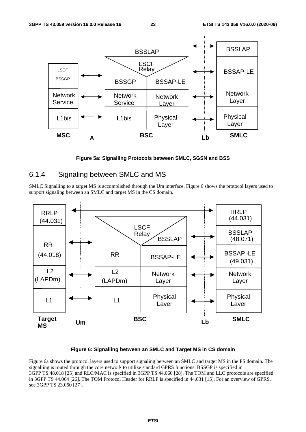

**Figure 5a: Signalling Protocols between SMLC, SGSN and BSS** 

### 6.1.4 Signaling between SMLC and MS

SMLC Signalling to a target MS is accomplished through the Um interface. Figure 6 shows the protocol layers used to support signaling between an SMLC and target MS in the CS domain.



#### **Figure 6: Signalling between an SMLC and Target MS in CS domain**

Figure 6a shows the protocol layers used to support signaling between an SMLC and target MS in the PS domain. The signalling is routed through the core network to utilize standard GPRS functions. BSSGP is specified in 3GPP TS 48.018 [25] and RLC/MAC is specified in 3GPP TS 44.060 [28]. The TOM and LLC protocols are specified in 3GPP TS 44.064 [26]. The TOM Protocol Header for RRLP is specified in 44.031 [15]. For an overview of GPRS, see 3GPP TS 23.060 [27].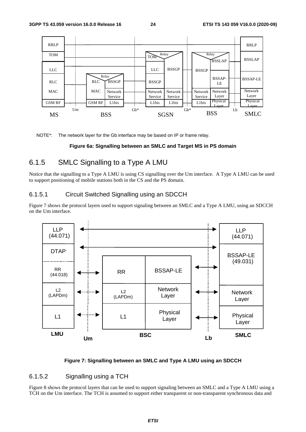

NOTE\*: The network layer for the Gb interface may be based on IP or frame relay.

#### **Figure 6a: Signalling between an SMLC and Target MS in PS domain**

### 6.1.5 SMLC Signalling to a Type A LMU

Notice that the signalling to a Type A LMU is using CS signalling over the Um interface. A Type A LMU can be used to support positioning of mobile stations both in the CS and the PS domain.

#### 6.1.5.1 Circuit Switched Signalling using an SDCCH

Figure 7 shows the protocol layers used to support signaling between an SMLC and a Type A LMU, using an SDCCH on the Um interface.



#### **Figure 7: Signalling between an SMLC and Type A LMU using an SDCCH**

#### 6.1.5.2 Signalling using a TCH

Figure 8 shows the protocol layers that can be used to support signaling between an SMLC and a Type A LMU using a TCH on the Um interface. The TCH is assumed to support either transparent or non-transparent synchronous data and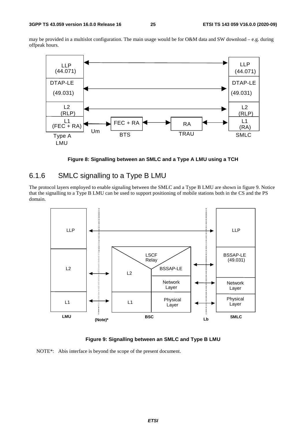may be provided in a multislot configuration. The main usage would be for O&M data and SW download – e.g. during offpeak hours.



**Figure 8: Signalling between an SMLC and a Type A LMU using a TCH** 

### 6.1.6 SMLC signalling to a Type B LMU

The protocol layers employed to enable signaling between the SMLC and a Type B LMU are shown in figure 9. Notice that the signalling to a Type B LMU can be used to support positioning of mobile stations both in the CS and the PS domain.



**Figure 9: Signalling between an SMLC and Type B LMU** 

NOTE\*: Abis interface is beyond the scope of the present document.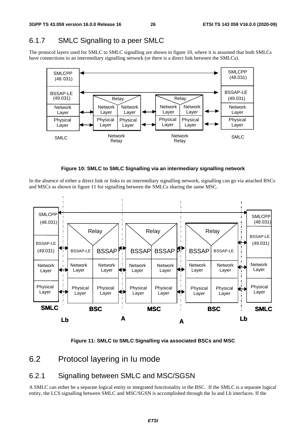### 6.1.7 SMLC Signalling to a peer SMLC

The protocol layers used for SMLC to SMLC signalling are shown in figure 10, where it is assumed that both SMLCs have connections to an intermediary signalling network (or there is a direct link between the SMLCs).





In the absence of either a direct link or links to an intermediary signalling network, signalling can go via attached BSCs and MSCs as shown in figure 11 for signalling between the SMLCs sharing the same MSC.



**Figure 11: SMLC to SMLC Signalling via associated BSCs and MSC** 

### 6.2 Protocol layering in Iu mode

### 6.2.1 Signalling between SMLC and MSC/SGSN

A SMLC can either be a separate logical entity or integrated functionality in the BSC. If the SMLC is a separate logical entity, the LCS signalling between SMLC and MSC/SGSN is accomplished through the Iu and Lb interfaces. If the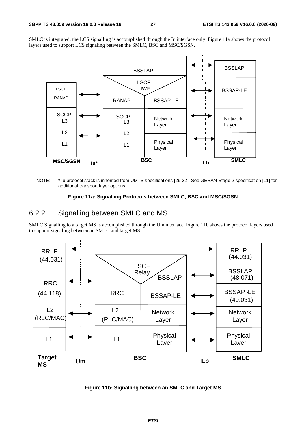SMLC is integrated, the LCS signalling is accomplished through the Iu interface only. Figure 11a shows the protocol layers used to support LCS signaling between the SMLC, BSC and MSC/SGSN.



NOTE: \* Iu protocol stack is inherited from UMTS specifications [29-32]. See GERAN Stage 2 specification [11] for additional transport layer options.

#### **Figure 11a: Signalling Protocols between SMLC, BSC and MSC/SGSN**

### 6.2.2 Signalling between SMLC and MS

SMLC Signalling to a target MS is accomplished through the Um interface. Figure 11b shows the protocol layers used to support signaling between an SMLC and target MS.



**Figure 11b: Signalling between an SMLC and Target MS**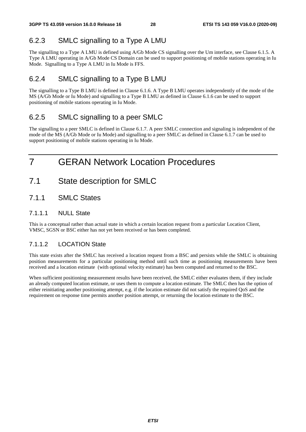### 6.2.3 SMLC signalling to a Type A LMU

The signalling to a Type A LMU is defined using A/Gb Mode CS signalling over the Um interface, see Clause 6.1.5. A Type A LMU operating in A/Gb Mode CS Domain can be used to support positioning of mobile stations operating in Iu Mode. Signalling to a Type A LMU in Iu Mode is FFS.

### 6.2.4 SMLC signalling to a Type B LMU

The signalling to a Type B LMU is defined in Clause 6.1.6. A Type B LMU operates independently of the mode of the MS (A/Gb Mode or Iu Mode) and signalling to a Type B LMU as defined in Clause 6.1.6 can be used to support positioning of mobile stations operating in Iu Mode.

### 6.2.5 SMLC signalling to a peer SMLC

The signalling to a peer SMLC is defined in Clause 6.1.7. A peer SMLC connection and signaling is independent of the mode of the MS (A/Gb Mode or Iu Mode) and signalling to a peer SMLC as defined in Clause 6.1.7 can be used to support positioning of mobile stations operating in Iu Mode.

# 7 GERAN Network Location Procedures

- 7.1 State description for SMLC
- 7.1.1 SMLC States

#### 7.1.1.1 NULL State

This is a conceptual rather than actual state in which a certain location request from a particular Location Client, VMSC, SGSN or BSC either has not yet been received or has been completed.

#### 7.1.1.2 LOCATION State

This state exists after the SMLC has received a location request from a BSC and persists while the SMLC is obtaining position measurements for a particular positioning method until such time as positioning measurements have been received and a location estimate (with optional velocity estimate) has been computed and returned to the BSC.

When sufficient positioning measurement results have been received, the SMLC either evaluates them, if they include an already computed location estimate, or uses them to compute a location estimate. The SMLC then has the option of either reinitiating another positioning attempt, e.g. if the location estimate did not satisfy the required QoS and the requirement on response time permits another position attempt, or returning the location estimate to the BSC.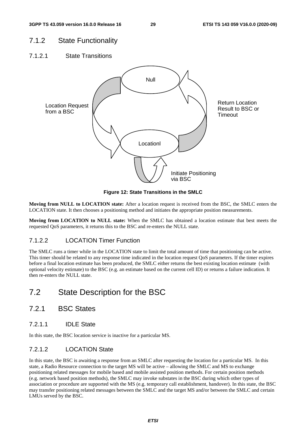### 7.1.2 State Functionality

7.1.2.1 State Transitions



**Figure 12: State Transitions in the SMLC** 

**Moving from NULL to LOCATION state:** After a location request is received from the BSC, the SMLC enters the LOCATION state. It then chooses a positioning method and initiates the appropriate position measurements.

**Moving from LOCATION to NULL state:** When the SMLC has obtained a location estimate that best meets the requested QoS parameters, it returns this to the BSC and re-enters the NULL state.

#### 7.1.2.2 LOCATION Timer Function

The SMLC runs a timer while in the LOCATION state to limit the total amount of time that positioning can be active. This timer should be related to any response time indicated in the location request QoS parameters. If the timer expires before a final location estimate has been produced, the SMLC either returns the best existing location estimate (with optional velocity estimate) to the BSC (e.g. an estimate based on the current cell ID) or returns a failure indication. It then re-enters the NULL state.

### 7.2 State Description for the BSC

- 7.2.1 BSC States
- 7.2.1.1 IDLE State

In this state, the BSC location service is inactive for a particular MS.

#### 7.2.1.2 LOCATION State

In this state, the BSC is awaiting a response from an SMLC after requesting the location for a particular MS. In this state, a Radio Resource connection to the target MS will be active – allowing the SMLC and MS to exchange positioning related messages for mobile based and mobile assisted position methods. For certain position methods (e.g. network based position methods), the SMLC may invoke substates in the BSC during which other types of association or procedure are supported with the MS (e.g. temporary call establishment, handover). In this state, the BSC may transfer positioning related messages between the SMLC and the target MS and/or between the SMLC and certain LMUs served by the BSC.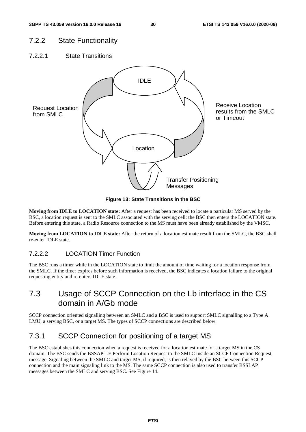### 7.2.2 State Functionality

7.2.2.1 State Transitions



**Figure 13: State Transitions in the BSC** 

**Moving from IDLE to LOCATION state:** After a request has been received to locate a particular MS served by the BSC, a location request is sent to the SMLC associated with the serving cell: the BSC then enters the LOCATION state. Before entering this state, a Radio Resource connection to the MS must have been already established by the VMSC.

**Moving from LOCATION to IDLE state:** After the return of a location estimate result from the SMLC, the BSC shall re-enter IDLE state.

#### 7.2.2.2 LOCATION Timer Function

The BSC runs a timer while in the LOCATION state to limit the amount of time waiting for a location response from the SMLC. If the timer expires before such information is received, the BSC indicates a location failure to the original requesting entity and re-enters IDLE state.

### 7.3 Usage of SCCP Connection on the Lb interface in the CS domain in A/Gb mode

SCCP connection oriented signalling between an SMLC and a BSC is used to support SMLC signalling to a Type A LMU, a serving BSC, or a target MS. The types of SCCP connections are described below.

### 7.3.1 SCCP Connection for positioning of a target MS

The BSC establishes this connection when a request is received for a location estimate for a target MS in the CS domain. The BSC sends the BSSAP-LE Perform Location Request to the SMLC inside an SCCP Connection Request message. Signaling between the SMLC and target MS, if required, is then relayed by the BSC between this SCCP connection and the main signaling link to the MS. The same SCCP connection is also used to transfer BSSLAP messages between the SMLC and serving BSC. See Figure 14.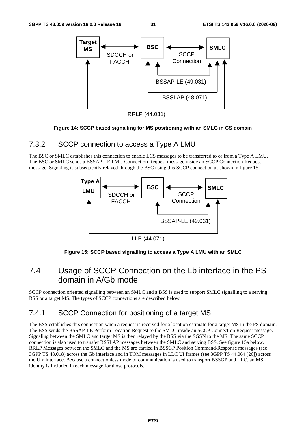

RRLP (44.031)

#### **Figure 14: SCCP based signalling for MS positioning with an SMLC in CS domain**

#### 7.3.2 SCCP connection to access a Type A LMU

The BSC or SMLC establishes this connection to enable LCS messages to be transferred to or from a Type A LMU. The BSC or SMLC sends a BSSAP-LE LMU Connection Request message inside an SCCP Connection Request message. Signaling is subsequently relayed through the BSC using this SCCP connection as shown in figure 15.



LLP (44.071)

#### **Figure 15: SCCP based signalling to access a Type A LMU with an SMLC**

### 7.4 Usage of SCCP Connection on the Lb interface in the PS domain in A/Gb mode

SCCP connection oriented signalling between an SMLC and a BSS is used to support SMLC signalling to a serving BSS or a target MS. The types of SCCP connections are described below.

### 7.4.1 SCCP Connection for positioning of a target MS

The BSS establishes this connection when a request is received for a location estimate for a target MS in the PS domain. The BSS sends the BSSAP-LE Perform Location Request to the SMLC inside an SCCP Connection Request message. Signaling between the SMLC and target MS is then relayed by the BSS via the SGSN to the MS. The same SCCP connection is also used to transfer BSSLAP messages between the SMLC and serving BSS. See figure 15a below. RRLP Messages between the SMLC and the MS are carried in BSSGP Position Command/Response messages (see 3GPP TS 48.018) across the Gb interface and in TOM messages in LLC UI frames (see 3GPP TS 44.064 [26]) across the Um interface. Because a connectionless mode of communication is used to transport BSSGP and LLC, an MS identity is included in each message for those protocols.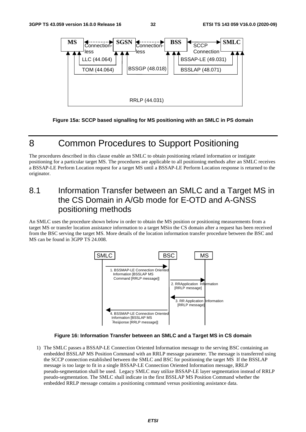

**Figure 15a: SCCP based signalling for MS positioning with an SMLC in PS domain** 

# 8 Common Procedures to Support Positioning

The procedures described in this clause enable an SMLC to obtain positioning related information or instigate positioning for a particular target MS. The procedures are applicable to all positioning methods after an SMLC receives a BSSAP-LE Perform Location request for a target MS until a BSSAP-LE Perform Location response is returned to the originator.

### 8.1 Information Transfer between an SMLC and a Target MS in the CS Domain in A/Gb mode for E-OTD and A-GNSS positioning methods

An SMLC uses the procedure shown below in order to obtain the MS position or positioning measurements from a target MS or transfer location assistance information to a target MSin the CS domain after a request has been received from the BSC serving the target MS. More details of the location information transfer procedure between the BSC and MS can be found in 3GPP TS 24.008.



#### **Figure 16: Information Transfer between an SMLC and a Target MS in CS domain**

1) The SMLC passes a BSSAP-LE Connection Oriented Information message to the serving BSC containing an embedded BSSLAP MS Position Command with an RRLP message parameter. The message is transferred using the SCCP connection established between the SMLC and BSC for positioning the target MS If the BSSLAP message is too large to fit in a single BSSAP-LE Connection Oriented Information message, RRLP pseudo-segmentation shall be used. Legacy SMLC may utilize BSSAP-LE layer segmentation instead of RRLP pseudo-segmentation. The SMLC shall indicate in the first BSSLAP MS Position Command whether the embedded RRLP message contains a positioning command versus positioning assistance data.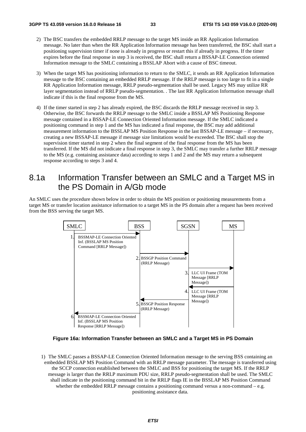- 2) The BSC transfers the embedded RRLP message to the target MS inside an RR Application Information message. No later than when the RR Application Information message has been transferred, the BSC shall start a positioning supervision timer if none is already in progress or restart this if already in progress. If the timer expires before the final response in step 3 is received, the BSC shall return a BSSAP-LE Connection oriented Information message to the SMLC containing a BSSLAP Abort with a cause of BSC timeout.
- 3) When the target MS has positioning information to return to the SMLC, it sends an RR Application Information message to the BSC containing an embedded RRLP message. If the RRLP message is too large to fit in a single RR Application Information message, RRLP pseudo-segmentation shall be used. Legacy MS may utilize RR layer segmentation instead of RRLP pseudo-segmentation. . The last RR Application Information message shall indicate if this is the final response from the MS.
- 4) If the timer started in step 2 has already expired, the BSC discards the RRLP message received in step 3. Otherwise, the BSC forwards the RRLP message to the SMLC inside a BSSLAP MS Positioning Response message contained in a BSSAP-LE Connection Oriented Information message. If the SMLC indicated a positioning command in step 1 and the MS has indicated a final response, the BSC may add additional measurement information to the BSSLAP MS Position Response in the last BSSAP-LE message – if necessary, creating a new BSSAP-LE message if message size limitations would be exceeded. The BSC shall stop the supervision timer started in step 2 when the final segment of the final response from the MS has been transferred. If the MS did not indicate a final response in step 3, the SMLC may transfer a further RRLP message to the MS (e.g. containing assistance data) according to steps 1 and 2 and the MS may return a subsequent response according to steps 3 and 4.

### 8.1a Information Transfer between an SMLC and a Target MS in the PS Domain in A/Gb mode

An SMLC uses the procedure shown below in order to obtain the MS position or positioning measurements from a target MS or transfer location assistance information to a target MS in the PS domain after a request has been received from the BSS serving the target MS.



**Figure 16a: Information Transfer between an SMLC and a Target MS in PS Domain** 

1) The SMLC passes a BSSAP-LE Connection Oriented Information message to the serving BSS containing an embedded BSSLAP MS Position Command with an RRLP message parameter. The message is transferred using the SCCP connection established between the SMLC and BSS for positioning the target MS. If the RRLP message is larger than the RRLP maximum PDU size, RRLP pseudo-segmentation shall be used. The SMLC shall indicate in the positioning command bit in the RRLP flags IE in the BSSLAP MS Position Command whether the embedded RRLP message contains a positioning command versus a non-command  $-e.g.$ positioning assistance data.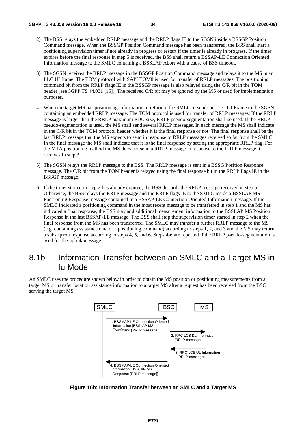- 2) The BSS relays the embedded RRLP message and the RRLP flags IE to the SGSN inside a BSSGP Position Command message. When the BSSGP Position Command message has been transferred, the BSS shall start a positioning supervision timer if not already in progress or restart if the timer is already in progress. If the timer expires before the final response in step 5 is received, the BSS shall return a BSSAP-LE Connection Oriented Information message to the SMLC containing a BSSLAP Abort with a cause of BSS timeout.
- 3) The SGSN receives the RRLP message in the BSSGP Position Command message and relays it to the MS in an LLC UI frame. The TOM protocol with SAPI TOM8 is used for transfer of RRLP messages. The positioning command bit from the RRLP flags IE in the BSSGP message is also relayed using the C/R bit in the TOM header (see 3GPP TS 44.031 [15]). The received C/R bit may be ignored by the MS or used for implementation purposes.
- 4) When the target MS has positioning information to return to the SMLC, it sends an LLC UI Frame to the SGSN containing an embedded RRLP message. The TOM protocol is used for transfer of RRLP messages. If the RRLP message is larger than the RRLP maximum PDU size, RRLP pseudo-segmentation shall be used. If the RRLP pseudo-segmentation is used, the MS shall send several RRLP messages. In each message the MS shall indicate in the C/R bit in the TOM protocol header whether it is the final response or not. The final response shall be the last RRLP message that the MS expects to send in response to RRLP messages received so far from the SMLC. In the final message the MS shall indicate that it is the final response by setting the appropriate RRLP flag. For the MTA positioning method the MS does not send a RRLP message in response to the RRLP message it receives in step 3.
- 5) The SGSN relays the RRLP message to the BSS. The RRLP message is sent in a BSSG Position Response message. The C/R bit from the TOM header is relayed using the final response bit in the RRLP flags IE in the BSSGP message.
- 6) If the timer started in step 2 has already expired, the BSS discards the RRLP message received in step 5. Otherwise, the BSS relays the RRLP message and the RRLP flags IE to the SMLC inside a BSSLAP MS Positioning Response message contained in a BSSAP-LE Connection Oriented Information message. If the SMLC indicated a positioning command in the most recent message to be transferred in step 1 and the MS has indicated a final response, the BSS may add additional measurement information to the BSSLAP MS Position Response in the last BSSAP-LE message. The BSS shall stop the supervision timer started in step 2 when the final response from the MS has been transferred. The SMLC may transfer a further RRLP message to the MS (e.g. containing assistance data or a positioning command) according to steps 1, 2, and 3 and the MS may return a subsequent response according to steps 4, 5, and 6. Steps 4-6 are repeated if the RRLP pseudo-segmentation is used for the uplink message.

### 8.1b Information Transfer between an SMLC and a Target MS in Iu Mode

An SMLC uses the procedure shown below in order to obtain the MS position or positioning measurements from a target MS or transfer location assistance information to a target MS after a request has been received from the BSC serving the target MS.



**Figure 16b: Information Transfer between an SMLC and a Target MS**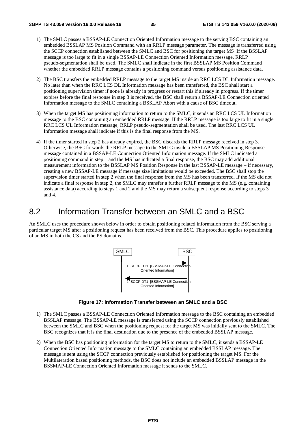- 1) The SMLC passes a BSSAP-LE Connection Oriented Information message to the serving BSC containing an embedded BSSLAP MS Position Command with an RRLP message parameter. The message is transferred using the SCCP connection established between the SMLC and BSC for positioning the target MS If the BSSLAP message is too large to fit in a single BSSAP-LE Connection Oriented Information message, RRLP pseudo-segmentation shall be used. The SMLC shall indicate in the first BSSLAP MS Position Command whether the embedded RRLP message contains a positioning command versus positioning assistance data.
- 2) The BSC transfers the embedded RRLP message to the target MS inside an RRC LCS DL Information message. No later than when the RRC LCS DL Information message has been transferred, the BSC shall start a positioning supervision timer if none is already in progress or restart this if already in progress. If the timer expires before the final response in step 3 is received, the BSC shall return a BSSAP-LE Connection oriented Information message to the SMLC containing a BSSLAP Abort with a cause of BSC timeout.
- 3) When the target MS has positioning information to return to the SMLC, it sends an RRC LCS UL Information message to the BSC containing an embedded RRLP message. If the RRLP message is too large to fit in a single RRC LCS UL Information message, RRLP pseudo-segmentation shall be used. The last RRC LCS UL Information message shall indicate if this is the final response from the MS.
- 4) If the timer started in step 2 has already expired, the BSC discards the RRLP message received in step 3. Otherwise, the BSC forwards the RRLP message to the SMLC inside a BSSLAP MS Positioning Response message contained in a BSSAP-LE Connection Oriented Information message. If the SMLC indicated a positioning command in step 1 and the MS has indicated a final response, the BSC may add additional measurement information to the BSSLAP MS Position Response in the last BSSAP-LE message – if necessary, creating a new BSSAP-LE message if message size limitations would be exceeded. The BSC shall stop the supervision timer started in step 2 when the final response from the MS has been transferred. If the MS did not indicate a final response in step 2, the SMLC may transfer a further RRLP message to the MS (e.g. containing assistance data) according to steps 1 and 2 and the MS may return a subsequent response according to steps 3 and 4.

### 8.2 Information Transfer between an SMLC and a BSC

An SMLC uses the procedure shown below in order to obtain positioning related information from the BSC serving a particular target MS after a positioning request has been received from the BSC. This procedure applies to positioning of an MS in both the CS and the PS domains.



**Figure 17: Information Transfer between an SMLC and a BSC** 

- 1) The SMLC passes a BSSAP-LE Connection Oriented Information message to the BSC containing an embedded BSSLAP message. The BSSAP-LE message is transferred using the SCCP connection previously established between the SMLC and BSC when the positioning request for the target MS was initially sent to the SMLC. The BSC recognizes that it is the final destination due to the presence of the embedded BSSLAP message.
- 2) When the BSC has positioning information for the target MS to return to the SMLC, it sends a BSSAP-LE Connection Oriented Information message to the SMLC containing an embedded BSSLAP message. The message is sent using the SCCP connection previously established for positioning the target MS. For the Multilateration based positioning methods, the BSC does not include an embedded BSSLAP message in the BSSMAP-LE Connection Oriented Information message it sends to the SMLC.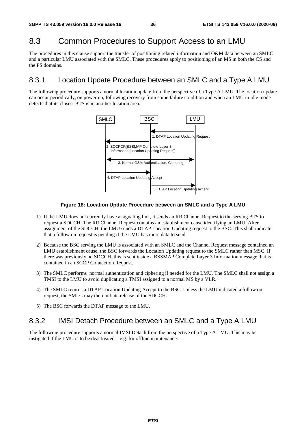# 8.3 Common Procedures to Support Access to an LMU

The procedures in this clause support the transfer of positioning related information and O&M data between an SMLC and a particular LMU associated with the SMLC. These procedures apply to positioning of an MS in both the CS and the PS domains.

## 8.3.1 Location Update Procedure between an SMLC and a Type A LMU

The following procedure supports a normal location update from the perspective of a Type A LMU. The location update can occur periodically, on power up, following recovery from some failure condition and when an LMU in idle mode detects that its closest BTS is in another location area.



#### **Figure 18: Location Update Procedure between an SMLC and a Type A LMU**

- 1) If the LMU does not currently have a signaling link, it sends an RR Channel Request to the serving BTS to request a SDCCH. The RR Channel Request contains an establishment cause identifying an LMU. After assignment of the SDCCH, the LMU sends a DTAP Location Updating request to the BSC. This shall indicate that a follow on request is pending if the LMU has more data to send.
- 2) Because the BSC serving the LMU is associated with an SMLC and the Channel Request message contained an LMU establishment cause, the BSC forwards the Location Updating request to the SMLC rather than MSC. If there was previously no SDCCH, this is sent inside a BSSMAP Complete Layer 3 Information message that is contained in an SCCP Connection Request.
- 3) The SMLC performs normal authentication and ciphering if needed for the LMU. The SMLC shall not assign a TMSI to the LMU to avoid duplicating a TMSI assigned to a normal MS by a VLR.
- 4) The SMLC returns a DTAP Location Updating Accept to the BSC. Unless the LMU indicated a follow on request, the SMLC may then initiate release of the SDCCH.
- 5) The BSC forwards the DTAP message to the LMU.

## 8.3.2 IMSI Detach Procedure between an SMLC and a Type A LMU

The following procedure supports a normal IMSI Detach from the perspective of a Type A LMU. This may be instigated if the LMU is to be deactivated – e.g. for offline maintenance.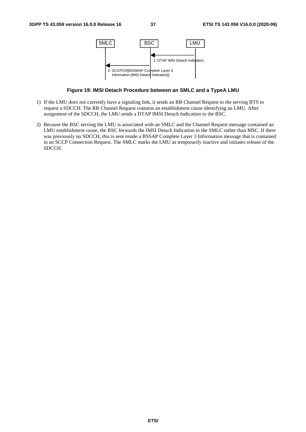

**Figure 19: IMSI Detach Procedure between an SMLC and a TypeA LMU** 

- 1) If the LMU does not currently have a signaling link, it sends an RR Channel Request to the serving BTS to request a SDCCH. The RR Channel Request contains an establishment cause identifying an LMU. After assignment of the SDCCH, the LMU sends a DTAP IMSI Detach Indication to the BSC.
- 2) Because the BSC serving the LMU is associated with an SMLC and the Channel Request message contained an LMU establishment cause, the BSC forwards the IMSI Detach Indication to the SMLC rather than MSC. If there was previously no SDCCH, this is sent inside a BSSAP Complete Layer 3 Information message that is contained in an SCCP Connection Request. The SMLC marks the LMU as temporarily inactive and initiates release of the SDCCH.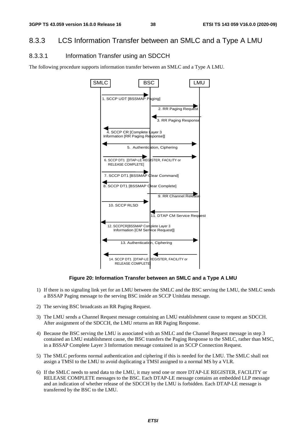# 8.3.3 LCS Information Transfer between an SMLC and a Type A LMU

### 8.3.3.1 Information Transfer using an SDCCH

The following procedure supports information transfer between an SMLC and a Type A LMU.



**Figure 20: Information Transfer between an SMLC and a Type A LMU** 

- 1) If there is no signaling link yet for an LMU between the SMLC and the BSC serving the LMU, the SMLC sends a BSSAP Paging message to the serving BSC inside an SCCP Unitdata message.
- 2) The serving BSC broadcasts an RR Paging Request.
- 3) The LMU sends a Channel Request message containing an LMU establishment cause to request an SDCCH. After assignment of the SDCCH, the LMU returns an RR Paging Response.
- 4) Because the BSC serving the LMU is associated with an SMLC and the Channel Request message in step 3 contained an LMU establishment cause, the BSC transfers the Paging Response to the SMLC, rather than MSC, in a BSSAP Complete Layer 3 Information message contained in an SCCP Connection Request.
- 5) The SMLC performs normal authentication and ciphering if this is needed for the LMU. The SMLC shall not assign a TMSI to the LMU to avoid duplicating a TMSI assigned to a normal MS by a VLR.
- 6) If the SMLC needs to send data to the LMU, it may send one or more DTAP-LE REGISTER, FACILITY or RELEASE COMPLETE messages to the BSC. Each DTAP-LE message contains an embedded LLP message and an indication of whether release of the SDCCH by the LMU is forbidden. Each DTAP-LE message is transferred by the BSC to the LMU.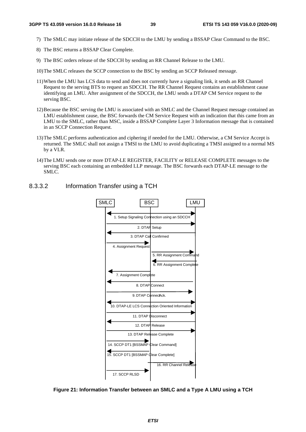- 7) The SMLC may initiate release of the SDCCH to the LMU by sending a BSSAP Clear Command to the BSC.
- 8) The BSC returns a BSSAP Clear Complete.
- 9) The BSC orders release of the SDCCH by sending an RR Channel Release to the LMU.
- 10) The SMLC releases the SCCP connection to the BSC by sending an SCCP Released message.
- 11) When the LMU has LCS data to send and does not currently have a signaling link, it sends an RR Channel Request to the serving BTS to request an SDCCH. The RR Channel Request contains an establishment cause identifying an LMU. After assignment of the SDCCH, the LMU sends a DTAP CM Service request to the serving BSC.
- 12) Because the BSC serving the LMU is associated with an SMLC and the Channel Request message contained an LMU establishment cause, the BSC forwards the CM Service Request with an indication that this came from an LMU to the SMLC, rather than MSC, inside a BSSAP Complete Layer 3 Information message that is contained in an SCCP Connection Request.
- 13) The SMLC performs authentication and ciphering if needed for the LMU. Otherwise, a CM Service Accept is returned. The SMLC shall not assign a TMSI to the LMU to avoid duplicating a TMSI assigned to a normal MS by a VLR.
- 14) The LMU sends one or more DTAP-LE REGISTER, FACILITY or RELEASE COMPLETE messages to the serving BSC each containing an embedded LLP message. The BSC forwards each DTAP-LE message to the SMLC.

### 8.3.3.2 Information Transfer using a TCH



**Figure 21: Information Transfer between an SMLC and a Type A LMU using a TCH**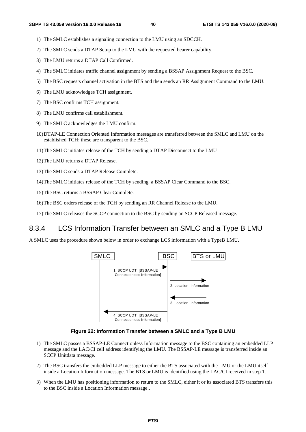- 1) The SMLC establishes a signaling connection to the LMU using an SDCCH.
- 2) The SMLC sends a DTAP Setup to the LMU with the requested bearer capability.
- 3) The LMU returns a DTAP Call Confirmed.
- 4) The SMLC initiates traffic channel assignment by sending a BSSAP Assignment Request to the BSC.
- 5) The BSC requests channel activation in the BTS and then sends an RR Assignment Command to the LMU.
- 6) The LMU acknowledges TCH assignment.
- 7) The BSC confirms TCH assignment.
- 8) The LMU confirms call establishment.
- 9) The SMLC acknowledges the LMU confirm.
- 10) DTAP-LE Connection Oriented Information messages are transferred between the SMLC and LMU on the established TCH: these are transparent to the BSC.
- 11) The SMLC initiates release of the TCH by sending a DTAP Disconnect to the LMU
- 12) The LMU returns a DTAP Release.

13) The SMLC sends a DTAP Release Complete.

- 14) The SMLC initiates release of the TCH by sending a BSSAP Clear Command to the BSC.
- 15) The BSC returns a BSSAP Clear Complete.
- 16) The BSC orders release of the TCH by sending an RR Channel Release to the LMU.
- 17) The SMLC releases the SCCP connection to the BSC by sending an SCCP Released message.

### 8.3.4 LCS Information Transfer between an SMLC and a Type B LMU

A SMLC uses the procedure shown below in order to exchange LCS information with a TypeB LMU.



**Figure 22: Information Transfer between a SMLC and a Type B LMU** 

- 1) The SMLC passes a BSSAP-LE Connectionless Information message to the BSC containing an embedded LLP message and the LAC/CI cell address identifying the LMU. The BSSAP-LE message is transferred inside an SCCP Unitdata message.
- 2) The BSC transfers the embedded LLP message to either the BTS associated with the LMU or the LMU itself inside a Location Information message. The BTS or LMU is identified using the LAC/CI received in step 1.
- 3) When the LMU has positioning information to return to the SMLC, either it or its associated BTS transfers this to the BSC inside a Location Information message..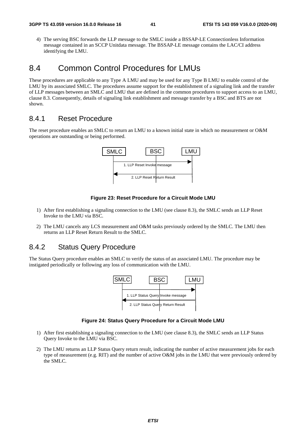4) The serving BSC forwards the LLP message to the SMLC inside a BSSAP-LE Connectionless Information message contained in an SCCP Unitdata message. The BSSAP-LE message contains the LAC/CI address identifying the LMU.

# 8.4 Common Control Procedures for LMUs

These procedures are applicable to any Type A LMU and may be used for any Type B LMU to enable control of the LMU by its associated SMLC. The procedures assume support for the establishment of a signaling link and the transfer of LLP messages between an SMLC and LMU that are defined in the common procedures to support access to an LMU, clause 8.3. Consequently, details of signaling link establishment and message transfer by a BSC and BTS are not shown.

### 8.4.1 Reset Procedure

The reset procedure enables an SMLC to return an LMU to a known initial state in which no measurement or O&M operations are outstanding or being performed.



#### **Figure 23: Reset Procedure for a Circuit Mode LMU**

- 1) After first establishing a signaling connection to the LMU (see clause 8.3), the SMLC sends an LLP Reset Invoke to the LMU via BSC.
- 2) The LMU cancels any LCS measurement and O&M tasks previously ordered by the SMLC. The LMU then returns an LLP Reset Return Result to the SMLC.

## 8.4.2 Status Query Procedure

The Status Query procedure enables an SMLC to verify the status of an associated LMU. The procedure may be instigated periodically or following any loss of communication with the LMU.



#### **Figure 24: Status Query Procedure for a Circuit Mode LMU**

- 1) After first establishing a signaling connection to the LMU (see clause 8.3), the SMLC sends an LLP Status Query Invoke to the LMU via BSC.
- 2) The LMU returns an LLP Status Query return result, indicating the number of active measurement jobs for each type of measurement (e.g. RIT) and the number of active O&M jobs in the LMU that were previously ordered by the SMLC.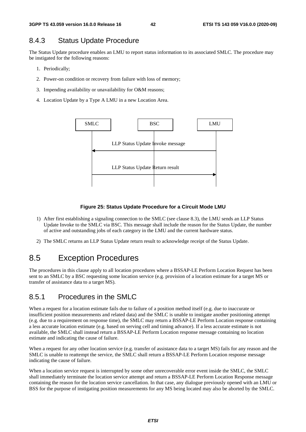## 8.4.3 Status Update Procedure

The Status Update procedure enables an LMU to report status information to its associated SMLC. The procedure may be instigated for the following reasons:

- 1. Periodically;
- 2. Power-on condition or recovery from failure with loss of memory;
- 3. Impending availability or unavailability for O&M reasons;
- 4. Location Update by a Type A LMU in a new Location Area.



#### **Figure 25: Status Update Procedure for a Circuit Mode LMU**

- 1) After first establishing a signaling connection to the SMLC (see clause 8.3), the LMU sends an LLP Status Update Invoke to the SMLC via BSC. This message shall include the reason for the Status Update, the number of active and outstanding jobs of each category in the LMU and the current hardware status.
- 2) The SMLC returns an LLP Status Update return result to acknowledge receipt of the Status Update.

# 8.5 Exception Procedures

The procedures in this clause apply to all location procedures where a BSSAP-LE Perform Location Request has been sent to an SMLC by a BSC requesting some location service (e.g. provision of a location estimate for a target MS or transfer of assistance data to a target MS).

## 8.5.1 Procedures in the SMLC

When a request for a location estimate fails due to failure of a position method itself (e.g. due to inaccurate or insufficient position measurements and related data) and the SMLC is unable to instigate another positioning attempt (e.g. due to a requirement on response time), the SMLC may return a BSSAP-LE Perform Location response containing a less accurate location estimate (e.g. based on serving cell and timing advance). If a less accurate estimate is not available, the SMLC shall instead return a BSSAP-LE Perform Location response message containing no location estimate and indicating the cause of failure.

When a request for any other location service (e.g. transfer of assistance data to a target MS) fails for any reason and the SMLC is unable to reattempt the service, the SMLC shall return a BSSAP-LE Perform Location response message indicating the cause of failure.

When a location service request is interrupted by some other unrecoverable error event inside the SMLC, the SMLC shall immediately terminate the location service attempt and return a BSSAP-LE Perform Location Response message containing the reason for the location service cancellation. In that case, any dialogue previously opened with an LMU or BSS for the purpose of instigating position measurements for any MS being located may also be aborted by the SMLC.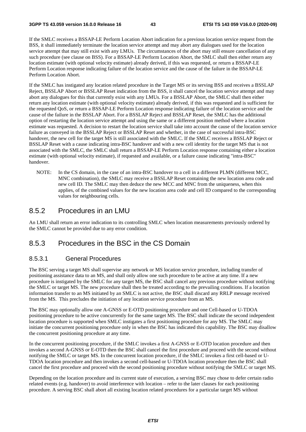If the SMLC receives a BSSAP-LE Perform Location Abort indication for a previous location service request from the BSS, it shall immediately terminate the location service attempt and may abort any dialogues used for the location service attempt that may still exist with any LMUs. The circumstances of the abort may still ensure cancellation of any such procedure (see clause on BSS). For a BSSAP-LE Perform Location Abort, the SMLC shall then either return any location estimate (with optional velocity estimate) already derived, if this was requested, or return a BSSAP-LE Perform Location response indicating failure of the location service and the cause of the failure in the BSSAP-LE Perform Location Abort.

If the SMLC has instigated any location related procedure in the Target MS or its serving BSS and receives a BSSLAP Reject, BSSLAP Abort or BSSLAP Reset indication from the BSS, it shall cancel the location service attempt and may abort any dialogues for this that currently exist with any LMUs. For a BSSLAP Abort, the SMLC shall then either return any location estimate (with optional velocity estimate) already derived, if this was requested and is sufficient for the requested QoS, or return a BSSAP-LE Perform Location response indicating failure of the location service and the cause of the failure in the BSSLAP Abort. For a BSSLAP Reject and BSSLAP Reset, the SMLC has the additional option of restarting the location service attempt and using the same or a different position method where a location estimate was requested. A decision to restart the location service shall take into account the cause of the location service failure as conveyed in the BSSLAP Reject or BSSLAP Reset and whether, in the case of successful intra-BSC handover, the new cell for the target MS is still associated with the SMLC. If the SMLC receives a BSSLAP Reject or BSSLAP Reset with a cause indicating intra-BSC handover and with a new cell identity for the target MS that is not associated with the SMLC, the SMLC shall return a BSSAP-LE Perform Location response containing either a location estimate (with optional velocity estimate), if requested and available, or a failure cause indicating "intra-BSC" handover.

NOTE: In the CS domain, in the case of an intra-BSC handover to a cell in a different PLMN (different MCC, MNC combination), the SMLC may receive a BSSLAP Reset containing the new location area code and new cell ID. The SMLC may then deduce the new MCC and MNC from the uniqueness, when this applies, of the combined values for the new location area code and cell ID compared to the corresponding values for neighbouring cells.

## 8.5.2 Procedures in an LMU

An LMU shall return an error indication to its controlling SMLC when location measurements previously ordered by the SMLC cannot be provided due to any error condition.

## 8.5.3 Procedures in the BSC in the CS Domain

#### 8.5.3.1 General Procedures

The BSC serving a target MS shall supervise any network or MS location service procedure, including transfer of positioning assistance data to an MS, and shall only allow one such procedure to be active at any time. If a new procedure is instigated by the SMLC for any target MS, the BSC shall cancel any previous procedure without notifying the SMLC or target MS. The new procedure shall then be treated according to the prevailing conditions. If a location information transfer to an MS initiated by an SMLC is not active, the BSC shall discard any RRLP message received from the MS. This precludes the initiation of any location service procedure from an MS.

The BSC may optionally allow one A-GNSS or E-OTD positioning procedure and one Cell-based or U-TDOA positioning procedure to be active concurrently for the same target MS. The BSC shall indicate the second independent location procedure is supported when SMLC instigates a first positioning procedure for any MS. The SMLC may initiate the concurrent positioning procedure only in when the BSC has indicated this capability. The BSC may disallow the concurrent positioning procedure at any time.

In the concurrent positioning procedure, if the SMLC invokes a first A-GNSS or E-OTD location procedure and then invokes a second A-GNSS or E-OTD then the BSC shall cancel the first procedure and proceed with the second without notifying the SMLC or target MS. In the concurrent location procedure, if the SMLC invokes a first cell-based or U-TDOA location procedure and then invokes a second cell-based or U-TDOA location procedure then the BSC shall cancel the first procedure and proceed with the second positioning procedure without notifying the SMLC or target MS.

Depending on the location procedure and its current state of execution, a serving BSC may chose to defer certain radio related events (e.g. handover) to avoid interference with location – refer to the later clauses for each positioning procedure. A serving BSC shall abort all existing location related procedures for a particular target MS without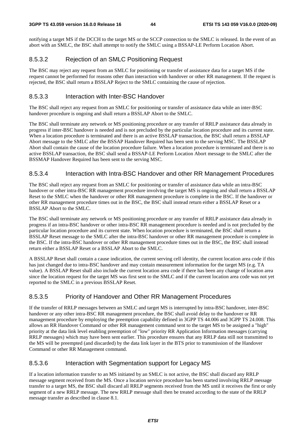notifying a target MS if the DCCH to the target MS or the SCCP connection to the SMLC is released. In the event of an abort with an SMLC, the BSC shall attempt to notify the SMLC using a BSSAP-LE Perform Location Abort.

## 8.5.3.2 Rejection of an SMLC Positioning Request

The BSC may reject any request from an SMLC for positioning or transfer of assistance data for a target MS if the request cannot be performed for reasons other than interaction with handover or other RR management. If the request is rejected, the BSC shall return a BSSLAP Reject to the SMLC containing the cause of rejection.

### 8.5.3.3 Interaction with Inter-BSC Handover

The BSC shall reject any request from an SMLC for positioning or transfer of assistance data while an inter-BSC handover procedure is ongoing and shall return a BSSLAP Abort to the SMLC.

The BSC shall terminate any network or MS positioning procedure or any transfer of RRLP assistance data already in progress if inter-BSC handover is needed and is not precluded by the particular location procedure and its current state. When a location procedure is terminated and there is an active BSSLAP transaction, the BSC shall return a BSSLAP Abort message to the SMLC after the BSSAP Handover Required has been sent to the serving MSC. The BSSLAP Abort shall contain the cause of the location procedure failure. When a location procedure is terminated and there is no active BSSLAP transaction, the BSC shall send a BSSAP-LE Perform Location Abort message to the SMLC after the BSSMAP Handover Required has been sent to the serving MSC.

### 8.5.3.4 Interaction with Intra-BSC Handover and other RR Management Procedures

The BSC shall reject any request from an SMLC for positioning or transfer of assistance data while an intra-BSC handover or other intra-BSC RR management procedure involving the target MS is ongoing and shall return a BSSLAP Reset to the SMLC when the handover or other RR management procedure is complete in the BSC. If the handover or other RR management procedure times out in the BSC, the BSC shall instead return either a BSSLAP Reset or a BSSLAP Abort to the SMLC.

The BSC shall terminate any network or MS positioning procedure or any transfer of RRLP assistance data already in progress if an intra-BSC handover or other intra-BSC RR management procedure is needed and is not precluded by the particular location procedure and its current state. When location procedure is terminated, the BSC shall return a BSSLAP Reset message to the SMLC after the intra-BSC handover or other RR management procedure is complete in the BSC. If the intra-BSC handover or other RR management procedure times out in the BSC, the BSC shall instead return either a BSSLAP Reset or a BSSLAP Abort to the SMLC.

A BSSLAP Reset shall contain a cause indication, the current serving cell identity, the current location area code if this has just changed due to intra-BSC handover and may contain measurement information for the target MS (e.g. TA value). A BSSLAP Reset shall also include the current location area code if there has been any change of location area since the location request for the target MS was first sent to the SMLC and if the current location area code was not yet reported to the SMLC in a previous BSSLAP Reset.

### 8.5.3.5 Priority of Handover and Other RR Management Procedures

If the transfer of RRLP messages between an SMLC and target MS is interrupted by intra-BSC handover, inter-BSC handover or any other intra-BSC RR management procedure, the BSC shall avoid delay to the handover or RR management procedure by employing the preemption capability defined in 3GPP TS 44.006 and 3GPP TS 24.008. This allows an RR Handover Command or other RR management command sent to the target MS to be assigned a "high" priority at the data link level enabling preemption of "low" priority RR Application Information messages (carrying RRLP messages) which may have been sent earlier. This procedure ensures that any RRLP data still not transmitted to the MS will be preempted (and discarded) by the data link layer in the BTS prior to transmission of the Handover Command or other RR Management command.

### 8.5.3.6 Interaction with Segmentation support for Legacy MS

If a location information transfer to an MS initiated by an SMLC is not active, the BSC shall discard any RRLP message segment received from the MS. Once a location service procedure has been started involving RRLP message transfer to a target MS, the BSC shall discard all RRLP segments received from the MS until it receives the first or only segment of a new RRLP message. The new RRLP message shall then be treated according to the state of the RRLP message transfer as described in clause 8.1.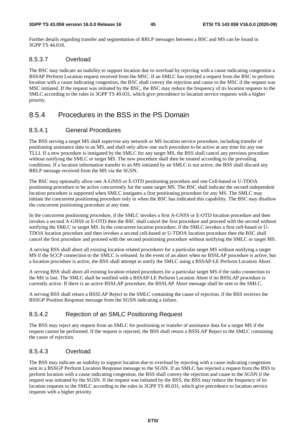Further details regarding transfer and segmentation of RRLP messages between a BSC and MS can be found in 3GPP TS 44.018.

### 8.5.3.7 Overload

The BSC may indicate an inability to support location due to overload by rejecting with a cause indicating congestion a BSSAP Perform Location request received from the MSC. If an SMLC has rejected a request from the BSC to perform location with a cause indicating congestion, the BSC shall convey the rejection and cause to the MSC if the request was MSC initiated. If the request was initiated by the BSC, the BSC may reduce the frequency of its location requests to the SMLC according to the rules in 3GPP TS 49.031, which give precedence to location service requests with a higher priority.

# 8.5.4 Procedures in the BSS in the PS Domain

### 8.5.4.1 General Procedures

The BSS serving a target MS shall supervise any network or MS location service procedure, including transfer of positioning assistance data to an MS, and shall only allow one such procedure to be active at any time for any one TLLI. If a new procedure is instigated by the SMLC for any target MS, the BSS shall cancel any previous procedure without notifying the SMLC or target MS. The new procedure shall then be treated according to the prevailing conditions. If a location information transfer to an MS initiated by an SMLC is not active, the BSS shall discard any RRLP message received from the MS via the SGSN.

The BSC may optionally allow one A-GNSS or E-OTD positioning procedure and one Cell-based or U-TDOA positioning procedure to be active concurrently for the same target MS. The BSC shall indicate the second independent location procedure is supported when SMLC instigates a first positioning procedure for any MS. The SMLC may initiate the concurrent positioning procedure only in when the BSC has indicated this capability. The BSC may disallow the concurrent positioning procedure at any time.

In the concurrent positioning procedure, if the SMLC invokes a first A-GNSS or E-OTD location procedure and then invokes a second A-GNSS or E-OTD then the BSC shall cancel the first procedure and proceed with the second without notifying the SMLC or target MS. In the concurrent location procedure, if the SMLC invokes a first cell-based or U-TDOA location procedure and then invokes a second cell-based or U-TDOA location procedure then the BSC shall cancel the first procedure and proceed with the second positioning procedure without notifying the SMLC or target MS.

A serving BSS shall abort all existing location related procedures for a particular target MS without notifying a target MS if the SCCP connection to the SMLC is released. In the event of an abort when no BSSLAP procedure is active, but a location procedure is active, the BSS shall attempt to notify the SMLC using a BSSAP-LE Perform Location Abort.

A serving BSS shall abort all existing location related procedures for a particular target MS if the radio connection to the MS is lost. The SMLC shall be notified with a BSSAP-LE Perform Location Abort if no BSSLAP procedure is currently active. If there is an active BSSLAP procedure, the BSSLAP Abort message shall be sent to the SMLC.

A serving BSS shall return a BSSLAP Reject to the SMLC containing the cause of rejection, if the BSS receives the BSSGP Position Response message from the SGSN indicating a failure.

### 8.5.4.2 Rejection of an SMLC Positioning Request

The BSS may reject any request from an SMLC for positioning or transfer of assistance data for a target MS if the request cannot be performed. If the request is rejected, the BSS shall return a BSSLAP Reject to the SMLC containing the cause of rejection.

### 8.5.4.3 Overload

The BSS may indicate an inability to support location due to overload by rejecting with a cause indicating congestion sent in a BSSGP Perform Location Response message to the SGSN. If an SMLC has rejected a request from the BSS to perform location with a cause indicating congestion, the BSS shall convey the rejection and cause to the SGSN if the request was initiated by the SGSN. If the request was initiated by the BSS, the BSS may reduce the frequency of its location requests to the SMLC according to the rules in 3GPP TS 49.031, which give precedence to location service requests with a higher priority.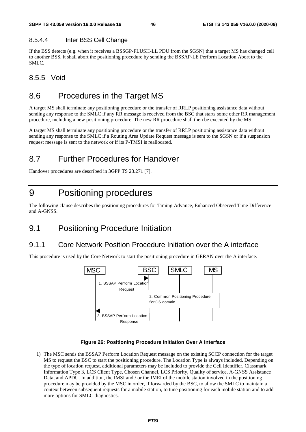### 8.5.4.4 Inter BSS Cell Change

If the BSS detects (e.g. when it receives a BSSGP-FLUSH-LL PDU from the SGSN) that a target MS has changed cell to another BSS, it shall abort the positioning procedure by sending the BSSAP-LE Perform Location Abort to the SMLC.

# 8.5.5 Void

# 8.6 Procedures in the Target MS

A target MS shall terminate any positioning procedure or the transfer of RRLP positioning assistance data without sending any response to the SMLC if any RR message is received from the BSC that starts some other RR management procedure, including a new positioning procedure. The new RR procedure shall then be executed by the MS.

A target MS shall terminate any positioning procedure or the transfer of RRLP positioning assistance data without sending any response to the SMLC if a Routing Area Update Request message is sent to the SGSN or if a suspension request message is sent to the network or if its P-TMSI is reallocated.

# 8.7 Further Procedures for Handover

Handover procedures are described in 3GPP TS 23.271 [7].

# 9 Positioning procedures

The following clause describes the positioning procedures for Timing Advance, Enhanced Observed Time Difference and A-GNSS.

# 9.1 Positioning Procedure Initiation

# 9.1.1 Core Network Position Procedure Initiation over the A interface

This procedure is used by the Core Network to start the positioning procedure in GERAN over the A interface.



#### **Figure 26: Positioning Procedure Initiation Over A Interface**

1) The MSC sends the BSSAP Perform Location Request message on the existing SCCP connection for the target MS to request the BSC to start the positioning procedure. The Location Type is always included. Depending on the type of location request, additional parameters may be included to provide the Cell Identifier, Classmark Information Type 3, LCS Client Type, Chosen Channel, LCS Priority, Quality of service, A-GNSS Assistance Data, and APDU. In addition, the IMSI and / or the IMEI of the mobile station involved in the positioning procedure may be provided by the MSC in order, if forwarded by the BSC, to allow the SMLC to maintain a context between subsequent requests for a mobile station, to tune positioning for each mobile station and to add more options for SMLC diagnostics.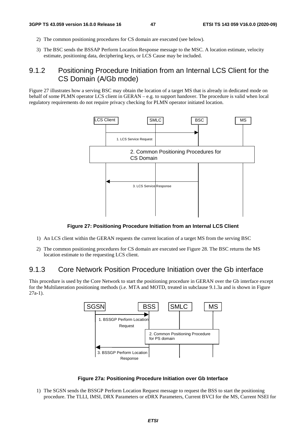- 2) The common positioning procedures for CS domain are executed (see below).
- 3) The BSC sends the BSSAP Perform Location Response message to the MSC. A location estimate, velocity estimate, positioning data, deciphering keys, or LCS Cause may be included.

# 9.1.2 Positioning Procedure Initiation from an Internal LCS Client for the CS Domain (A/Gb mode)

Figure 27 illustrates how a serving BSC may obtain the location of a target MS that is already in dedicated mode on behalf of some PLMN operator LCS client in GERAN – e.g. to support handover. The procedure is valid when local regulatory requirements do not require privacy checking for PLMN operator initiated location.



**Figure 27: Positioning Procedure Initiation from an Internal LCS Client** 

- 1) An LCS client within the GERAN requests the current location of a target MS from the serving BSC
- 2) The common positioning procedures for CS domain are executed see Figure 28. The BSC returns the MS location estimate to the requesting LCS client.

# 9.1.3 Core Network Position Procedure Initiation over the Gb interface

This procedure is used by the Core Network to start the positioning procedure in GERAN over the Gb interface except for the Multilateration positioning methods (i.e. MTA and MOTD, treated in subclause 9.1.3a and is shown in Figure 27a-1).



#### **Figure 27a: Positioning Procedure Initiation over Gb Interface**

1) The SGSN sends the BSSGP Perform Location Request message to request the BSS to start the positioning procedure. The TLLI, IMSI, DRX Parameters or eDRX Parameters, Current BVCI for the MS, Current NSEI for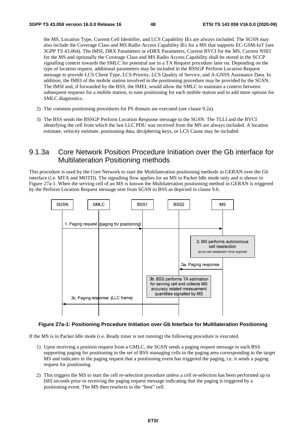the MS, Location Type, Current Cell Identifier, and LCS Capability IEs are always included. The SGSN may also include the Coverage Class and MS Radio Access Capability IEs for a MS that supports EC-GSM-IoT (see 3GPP TS 43.064). The IMSI, DRX Parameters or eDRX Parameters, Current BVCI for the MS, Current NSEI for the MS and optionally the Coverage Class and MS Radio Access Capability shall be stored in the SCCP signalling context towards the SMLC for potential use in a TA Request procedure later on. Depending on the type of location request, additional parameters may be included in the BSSGP Perform Location Request message to provide LCS Client Type, LCS Priority, LCS Quality of Service, and A-GNSS Assistance Data. In addition, the IMEI of the mobile station involved in the positioning procedure may be provided by the SGSN. The IMSI and, if forwarded by the BSS, the IMEI, would allow the SMLC to maintain a context between subsequent requests for a mobile station, to tune positioning for each mobile station and to add more options for SMLC diagnostics.

- 2) The common positioning procedures for PS domain are executed (see clause 9.2a).
- 3) The BSS sends the BSSGP Perform Location Response message to the SGSN. The TLLI and the BVCI identifying the cell from which the last LLC PDU was received from the MS are always included. A location estimate, velocity estimate, positioning data, deciphering keys, or LCS Cause may be included.

## 9.1.3a Core Network Position Procedure Initiation over the Gb interface for Multilateration Positioning methods

This procedure is used by the Core Network to start the Multilateration positioning methods in GERAN over the Gb interface (i.e. MTA and MOTD). The signalling flow applies for an MS in Packet Idle mode only and is shown in Figure 27a-1. When the serving cell of an MS is known the Multilateration positioning method in GERAN is triggered by the Perform Location Request message sent from SGSN to BSS as depicted in clause 9.6.



#### **Figure 27a-1: Positioning Procedure Initiation over Gb Interface for Multilateration Positioning**

If the MS is in Packet Idle mode (i.e. Ready timer is not running) the following procedure is executed.

- 1) Upon receiving a position request from a GMLC, the SGSN sends a paging request message to each BSS supporting paging for positioning in the set of BSS managing cells in the paging area corresponding to the target MS and indicates in the paging request that a positioning event has triggered the paging, i.e. it sends a paging request for positioning.
- 2) This triggers the MS to start the cell re-selection procedure unless a cell re-selection has been performed up to [60] seconds prior to receiving the paging request message indicating that the paging is triggered by a positioning event. The MS then reselects to the "best" cell.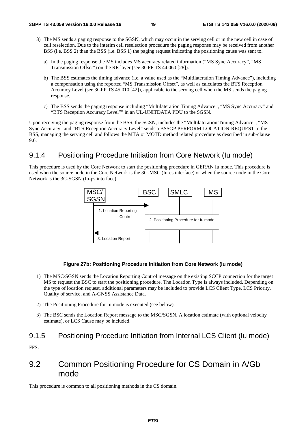- 3) The MS sends a paging response to the SGSN, which may occur in the serving cell or in the new cell in case of cell reselection. Due to the interim cell reselection procedure the paging response may be received from another BSS (i.e. BSS 2) than the BSS (i.e. BSS 1) the paging request indicating the positioning cause was sent to.
	- a) In the paging response the MS includes MS accuracy related information ("MS Sync Accuracy", "MS Transmission Offset") on the RR layer (see 3GPP TS 44.060 [28]).
	- b) The BSS estimates the timing advance (i.e. a value used as the "Multilateration Timing Advance"), including a compensation using the reported "MS Transmission Offset", as well as calculates the BTS Reception Accuracy Level (see 3GPP TS 45.010 [42]), applicable to the serving cell when the MS sends the paging response.
	- c) The BSS sends the paging response including "Multilateration Timing Advance", "MS Sync Accuracy" and "BTS Reception Accuracy Level"" in an UL-UNITDATA PDU to the SGSN.

Upon receiving the paging response from the BSS, the SGSN, includes the "Multilateration Timing Advance", "MS Sync Accuracy" and "BTS Reception Accuracy Level" sends a BSSGP PERFORM-LOCATION-REQUEST to the BSS, managing the serving cell and follows the MTA or MOTD method related procedure as described in sub-clause 9.6.

# 9.1.4 Positioning Procedure Initiation from Core Network (Iu mode)

This procedure is used by the Core Network to start the positioning procedure in GERAN Iu mode. This procedure is used when the source node in the Core Network is the 3G-MSC (Iu-cs interface) or when the source node in the Core Network is the 3G-SGSN (Iu-ps interface).



#### **Figure 27b: Positioning Procedure Initiation from Core Network (Iu mode)**

- 1) The MSC/SGSN sends the Location Reporting Control message on the existing SCCP connection for the target MS to request the BSC to start the positioning procedure. The Location Type is always included. Depending on the type of location request, additional parameters may be included to provide LCS Client Type, LCS Priority, Quality of service, and A-GNSS Assistance Data.
- 2) The Positioning Procedure for Iu mode is executed (see below).
- 3) The BSC sends the Location Report message to the MSC/SGSN. A location estimate (with optional velocity estimate), or LCS Cause may be included.

## 9.1.5 Positioning Procedure Initiation from Internal LCS Client (Iu mode)

FFS.

# 9.2 Common Positioning Procedure for CS Domain in A/Gb mode

This procedure is common to all positioning methods in the CS domain.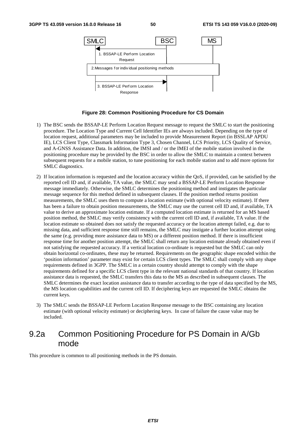

#### **Figure 28: Common Positioning Procedure for CS Domain**

- 1) The BSC sends the BSSAP-LE Perform Location Request message to request the SMLC to start the positioning procedure. The Location Type and Current Cell Identifier IEs are always included. Depending on the type of location request, additional parameters may be included to provide Measurement Report (in BSSLAP APDU IE), LCS Client Type, Classmark Information Type 3, Chosen Channel, LCS Priority, LCS Quality of Service, and A-GNSS Assistance Data. In addition, the IMSI and / or the IMEI of the mobile station involved in the positioning procedure may be provided by the BSC in order to allow the SMLC to maintain a context between subsequent requests for a mobile station, to tune positioning for each mobile station and to add more options for SMLC diagnostics.
- 2) If location information is requested and the location accuracy within the QoS, if provided, can be satisfied by the reported cell ID and, if available, TA value, the SMLC may send a BSSAP-LE Perform Location Response message immediately. Otherwise, the SMLC determines the positioning method and instigates the particular message sequence for this method defined in subsequent clauses. If the position method returns position measurements, the SMLC uses them to compute a location estimate (with optional velocity estimate). If there has been a failure to obtain position measurements, the SMLC may use the current cell ID and, if available, TA value to derive an approximate location estimate. If a computed location estimate is returned for an MS based position method, the SMLC may verify consistency with the current cell ID and, if available, TA value. If the location estimate so obtained does not satisfy the requested accuracy or the location attempt failed, e.g. due to missing data, and sufficient response time still remains, the SMLC may instigate a further location attempt using the same (e.g. providing more assistance data to MS) or a different position method. If there is insufficient response time for another position attempt, the SMLC shall return any location estimate already obtained even if not satisfying the requested accuracy. If a vertical location co-ordinate is requested but the SMLC can only obtain horizontal co-ordinates, these may be returned. Requirements on the geographic shape encoded within the 'position information' parameter may exist for certain LCS client types. The SMLC shall comply with any shape requirements defined in 3GPP. The SMLC in a certain country should attempt to comply with the shape requirements defined for a specific LCS client type in the relevant national standards of that country. If location assistance data is requested, the SMLC transfers this data to the MS as described in subsequent clauses. The SMLC determines the exact location assistance data to transfer according to the type of data specified by the MS, the MS location capabilities and the current cell ID. If deciphering keys are requested the SMLC obtains the current keys.
- 3) The SMLC sends the BSSAP-LE Perform Location Response message to the BSC containing any location estimate (with optional velocity estimate) or deciphering keys. In case of failure the cause value may be included.

# 9.2a Common Positioning Procedure for PS Domain in A/Gb mode

This procedure is common to all positioning methods in the PS domain.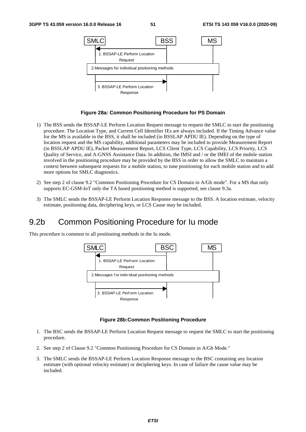

#### **Figure 28a: Common Positioning Procedure for PS Domain**

- 1) The BSS sends the BSSAP-LE Perform Location Request message to request the SMLC to start the positioning procedure. The Location Type, and Current Cell Identifier IEs are always included. If the Timing Advance value for the MS is available in the BSS, it shall be included (in BSSLAP APDU IE). Depending on the type of location request and the MS capability, additional parameters may be included to provide Measurement Report (in BSSLAP APDU IE), Packet Measurement Report, LCS Client Type, LCS Capability, LCS Priority, LCS Quality of Service, and A-GNSS Assistance Data. In addition, the IMSI and / or the IMEI of the mobile station involved in the positioning procedure may be provided by the BSS in order to allow the SMLC to maintain a context between subsequent requests for a mobile station, to tune positioning for each mobile station and to add more options for SMLC diagnostics.
- 2) See step 2 of clause 9.2 "Common Positioning Procedure for CS Domain in A/Gb mode". For a MS that only supports EC-GSM-IoT only the TA based positioning method is supported, see clause 9.3a.
- 3) The SMLC sends the BSSAP-LE Perform Location Response message to the BSS. A location estimate, velocity estimate, positioning data, deciphering keys, or LCS Cause may be included.

# 9.2b Common Positioning Procedure for Iu mode

This procedure is common to all positioning methods in the Iu mode.



#### **Figure 28b:Common Positioning Procedure**

- 1. The BSC sends the BSSAP-LE Perform Location Request message to request the SMLC to start the positioning procedure.
- 2. See step 2 of Clause 9.2 "Common Positioning Procedure for CS Domain in A/Gb Mode."
- 3. The SMLC sends the BSSAP-LE Perform Location Response message to the BSC containing any location estimate (with optional velocity estimate) or deciphering keys. In case of failure the cause value may be included.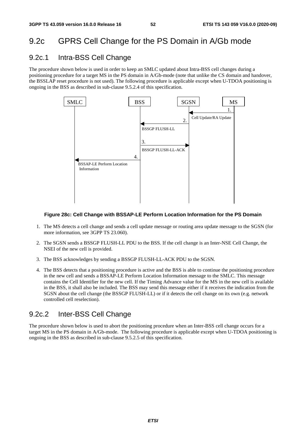# 9.2c GPRS Cell Change for the PS Domain in A/Gb mode

## 9.2c.1 Intra-BSS Cell Change

The procedure shown below is used in order to keep an SMLC updated about Intra-BSS cell changes during a positioning procedure for a target MS in the PS domain in A/Gb-mode (note that unlike the CS domain and handover, the BSSLAP reset procedure is not used). The following procedure is applicable except when U-TDOA positioning is ongoing in the BSS as described in sub-clause 9.5.2.4 of this specification.



#### **Figure 28c: Cell Change with BSSAP-LE Perform Location Information for the PS Domain**

- 1. The MS detects a cell change and sends a cell update message or routing area update message to the SGSN (for more information, see 3GPP TS 23.060).
- 2. The SGSN sends a BSSGP FLUSH-LL PDU to the BSS. If the cell change is an Inter-NSE Cell Change, the NSEI of the new cell is provided.
- 3. The BSS acknowledges by sending a BSSGP FLUSH-LL-ACK PDU to the SGSN.
- 4. The BSS detects that a positioning procedure is active and the BSS is able to continue the positioning procedure in the new cell and sends a BSSAP-LE Perform Location Information message to the SMLC. This message contains the Cell Identifier for the new cell. If the Timing Advance value for the MS in the new cell is available in the BSS, it shall also be included. The BSS may send this message either if it receives the indication from the SGSN about the cell change (the BSSGP FLUSH-LL) or if it detects the cell change on its own (e.g. network controlled cell reselection).

# 9.2c.2 Inter-BSS Cell Change

The procedure shown below is used to abort the positioning procedure when an Inter-BSS cell change occurs for a target MS in the PS domain in A/Gb-mode. The following procedure is applicable except when U-TDOA positioning is ongoing in the BSS as described in sub-clause 9.5.2.5 of this specification.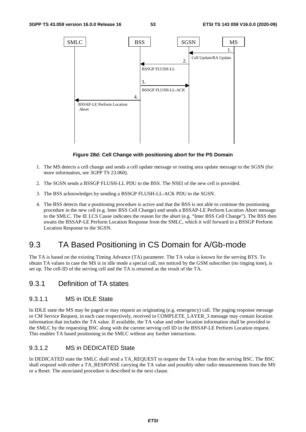

#### **Figure 28d: Cell Change with positioning abort for the PS Domain**

- 1. The MS detects a cell change and sends a cell update message or routing area update message to the SGSN (for more information, see 3GPP TS 23.060).
- 2. The SGSN sends a BSSGP FLUSH-LL PDU to the BSS. The NSEI of the new cell is provided.
- 3. The BSS acknowledges by sending a BSSGP FLUSH-LL-ACK PDU to the SGSN.
- 4. The BSS detects that a positioning procedure is active and that the BSS is not able to continue the positioning procedure in the new cell (e.g. Inter BSS Cell Change) and sends a BSSAP-LE Perform Location Abort message to the SMLC. The IE LCS Cause indicates the reason for the abort (e.g. "Inter BSS Cell Change"). The BSS then awaits the BSSAP-LE Perform Location Response from the SMLC, which it will forward in a BSSGP Perform Location Response to the SGSN.

# 9.3 TA Based Positioning in CS Domain for A/Gb-mode

The TA is based on the existing Timing Advance (TA) parameter. The TA value is known for the serving BTS. To obtain TA values in case the MS is in idle mode a special call, not noticed by the GSM subscriber (no ringing tone), is set up. The cell-ID of the serving cell and the TA is returned as the result of the TA.

## 9.3.1 Definition of TA states

### 9.3.1.1 MS in IDLE State

In IDLE state the MS may be paged or may request an originating (e.g. emergency) call. The paging response message or CM Service Request, in each case respectively, received in COMPLETE\_LAYER\_3 message may contain location information that includes the TA value. If available, the TA value and other location information shall be provided to the SMLC by the requesting BSC along with the current serving cell ID in the BSSAP-LE Perform Location request. This enables TA based positioning in the SMLC without any further interactions.

### 9.3.1.2 MS in DEDICATED State

In DEDICATED state the SMLC shall send a TA\_REQUEST to request the TA value from the serving BSC. The BSC shall respond with either a TA\_RESPONSE carrying the TA value and possibly other radio measurements from the MS or a Reset. The associated procedure is described in the next clause.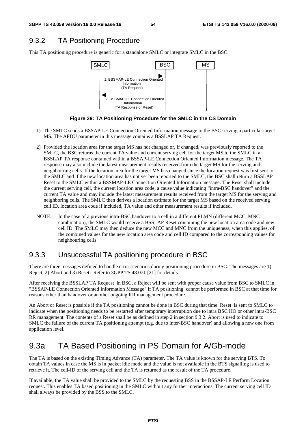# 9.3.2 TA Positioning Procedure

This TA positioning procedure is generic for a standalone SMLC or integrate SMLC in the BSC.



**Figure 29: TA Positioning Procedure for the SMLC in the CS Domain** 

- 1) The SMLC sends a BSSAP-LE Connection Oriented Information message to the BSC serving a particular target MS. The APDU parameter in this message contains a BSSLAP TA Request.
- 2) Provided the location area for the target MS has not changed or, if changed, was previously reported to the SMLC, the BSC returns the current TA value and current serving cell for the target MS to the SMLC in a BSSLAP TA response contained within a BSSAP-LE Connection Oriented Information message. The TA response may also include the latest measurement results received from the target MS for the serving and neighbouring cells. If the location area for the target MS has changed since the location request was first sent to the SMLC and if the new location area has not yet been reported to the SMLC, the BSC shall return a BSSLAP Reset to the SMLC within a BSSMAP-LE Connection Oriented Information message. The Reset shall include the current serving cell, the current location area code, a cause value indicating "intra-BSC handover" and the current TA value and may include the latest measurement results received from the target MS for the serving and neighboring cells. The SMLC then derives a location estimate for the target MS based on the received serving cell ID, location area code if included, TA value and other measurement results if included.
- NOTE: In the case of a previous intra-BSC handover to a cell in a different PLMN (different MCC, MNC combination), the SMLC would receive a BSSLAP Reset containing the new location area code and new cell ID. The SMLC may then deduce the new MCC and MNC from the uniqueness, when this applies, of the combined values for the new location area code and cell ID compared to the corresponding values for neighbouring cells.

## 9.3.3 Unsuccessful TA positioning procedure in BSC

There are three messages defined to handle error scenarios during positioning procedure in BSC. The messages are 1) Reject, 2) Abort and 3) Reset. Refer to 3GPP TS 48.071 [21] for details.

After receiving the BSSLAP TA Request in BSC, a Reject will be sent with proper cause value from BSC to SMLC in "BSSAP-LE Connection Oriented Information Message" if TA positioning cannot be performed in BSC at that time for reasons other than handover or another ongoing RR management procedure.

An Abort or Reset is possible if the TA positioning cannot be done in BSC during that time. Reset is sent to SMLC to indicate when the positioning needs to be restarted after temporary interruption due to intra BSC HO or other intra-BSC RR management. The contents of a Reset shall be as defined in step 2 in section 9.3.2. Abort is used to indicate to SMLC the failure of the current TA positioning attempt (e.g. due to inter-BSC handover) and allowing a new one from application level.

# 9.3a TA Based Positioning in PS Domain for A/Gb-mode

The TA is based on the existing Timing Advance (TA) parameter. The TA value is known for the serving BTS. To obtain TA values in case the MS is in packet idle mode and the value is not available in the BTS signalling is used to retrieve it. The cell-ID of the serving cell and the TA is returned as the result of the TA procedure.

If available, the TA value shall be provided to the SMLC by the requesting BSS in the BSSAP-LE Perform Location request. This enables TA based positioning in the SMLC without any further interactions. The current serving cell ID shall always be provided by the BSS to the SMLC.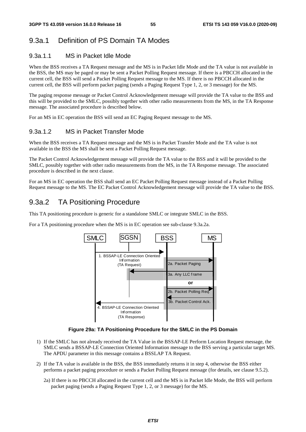# 9.3a.1 Definition of PS Domain TA Modes

## 9.3a.1.1 MS in Packet Idle Mode

When the BSS receives a TA Request message and the MS is in Packet Idle Mode and the TA value is not available in the BSS, the MS may be paged or may be sent a Packet Polling Request message. If there is a PBCCH allocated in the current cell, the BSS will send a Packet Polling Request message to the MS. If there is no PBCCH allocated in the current cell, the BSS will perform packet paging (sends a Paging Request Type 1, 2, or 3 message) for the MS.

The paging response message or Packet Control Acknowledgement message will provide the TA value to the BSS and this will be provided to the SMLC, possibly together with other radio measurements from the MS, in the TA Response message. The associated procedure is described below.

For an MS in EC operation the BSS will send an EC Paging Request message to the MS.

## 9.3a.1.2 MS in Packet Transfer Mode

When the BSS receives a TA Request message and the MS is in Packet Transfer Mode and the TA value is not available in the BSS the MS shall be sent a Packet Polling Request message.

The Packet Control Acknowledgement message will provide the TA value to the BSS and it will be provided to the SMLC, possibly together with other radio measurements from the MS, in the TA Response message. The associated procedure is described in the next clause.

For an MS in EC operation the BSS shall send an EC Packet Polling Request message instead of a Packet Polling Request message to the MS. The EC Packet Control Acknowledgement message will provide the TA value to the BSS.

# 9.3a.2 TA Positioning Procedure

This TA positioning procedure is generic for a standalone SMLC or integrate SMLC in the BSS.

For a TA positioning procedure when the MS is in EC operation see sub-clause 9.3a.2a.



#### **Figure 29a: TA Positioning Procedure for the SMLC in the PS Domain**

- 1) If the SMLC has not already received the TA Value in the BSSAP-LE Perform Location Request message, the SMLC sends a BSSAP-LE Connection Oriented Information message to the BSS serving a particular target MS. The APDU parameter in this message contains a BSSLAP TA Request.
- 2) If the TA value is available in the BSS, the BSS immediately returns it in step 4, otherwise the BSS either performs a packet paging procedure or sends a Packet Polling Request message (for details, see clause 9.5.2).
	- 2a) If there is no PBCCH allocated in the current cell and the MS is in Packet Idle Mode, the BSS will perform packet paging (sends a Paging Request Type 1, 2, or 3 message) for the MS.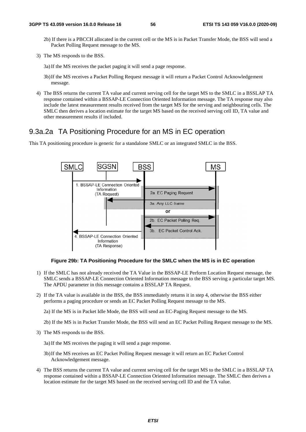2b) If there is a PBCCH allocated in the current cell or the MS is in Packet Transfer Mode, the BSS will send a Packet Polling Request message to the MS.

- 3a) If the MS receives the packet paging it will send a page response.
- 3b) If the MS receives a Packet Polling Request message it will return a Packet Control Acknowledgement message.
- 4) The BSS returns the current TA value and current serving cell for the target MS to the SMLC in a BSSLAP TA response contained within a BSSAP-LE Connection Oriented Information message. The TA response may also include the latest measurement results received from the target MS for the serving and neighbouring cells. The SMLC then derives a location estimate for the target MS based on the received serving cell ID, TA value and other measurement results if included.

### 9.3a.2a TA Positioning Procedure for an MS in EC operation

This TA positioning procedure is generic for a standalone SMLC or an integrated SMLC in the BSS.



#### **Figure 29b: TA Positioning Procedure for the SMLC when the MS is in EC operation**

- 1) If the SMLC has not already received the TA Value in the BSSAP-LE Perform Location Request message, the SMLC sends a BSSAP-LE Connection Oriented Information message to the BSS serving a particular target MS. The APDU parameter in this message contains a BSSLAP TA Request.
- 2) If the TA value is available in the BSS, the BSS immediately returns it in step 4, otherwise the BSS either performs a paging procedure or sends an EC Packet Polling Request message to the MS.

2a) If the MS is in Packet Idle Mode, the BSS will send an EC-Paging Request message to the MS.

2b) If the MS is in Packet Transfer Mode, the BSS will send an EC Packet Polling Request message to the MS.

3) The MS responds to the BSS.

3a) If the MS receives the paging it will send a page response.

- 3b) If the MS receives an EC Packet Polling Request message it will return an EC Packet Control Acknowledgement message.
- 4) The BSS returns the current TA value and current serving cell for the target MS to the SMLC in a BSSLAP TA response contained within a BSSAP-LE Connection Oriented Information message. The SMLC then derives a location estimate for the target MS based on the received serving cell ID and the TA value.

<sup>3)</sup> The MS responds to the BSS.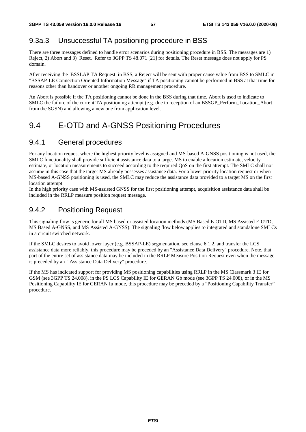# 9.3a.3 Unsuccessful TA positioning procedure in BSS

There are three messages defined to handle error scenarios during positioning procedure in BSS. The messages are 1) Reject, 2) Abort and 3) Reset. Refer to 3GPP TS 48.071 [21] for details. The Reset message does not apply for PS domain.

After receiving the BSSLAP TA Request in BSS, a Reject will be sent with proper cause value from BSS to SMLC in "BSSAP-LE Connection Oriented Information Message" if TA positioning cannot be performed in BSS at that time for reasons other than handover or another ongoing RR management procedure.

An Abort is possible if the TA positioning cannot be done in the BSS during that time. Abort is used to indicate to SMLC the failure of the current TA positioning attempt (e.g. due to reception of an BSSGP\_Perform\_Location\_Abort from the SGSN) and allowing a new one from application level.

# 9.4 E-OTD and A-GNSS Positioning Procedures

# 9.4.1 General procedures

For any location request where the highest priority level is assigned and MS-based A-GNSS positioning is not used, the SMLC functionality shall provide sufficient assistance data to a target MS to enable a location estimate, velocity estimate, or location measurements to succeed according to the required QoS on the first attempt. The SMLC shall not assume in this case that the target MS already possesses assistance data. For a lower priority location request or when MS-based A-GNSS positioning is used, the SMLC may reduce the assistance data provided to a target MS on the first location attempt.

In the high priority case with MS-assisted GNSS for the first positioning attempt, acquisition assistance data shall be included in the RRLP measure position request message.

# 9.4.2 Positioning Request

This signaling flow is generic for all MS based or assisted location methods (MS Based E-OTD, MS Assisted E-OTD, MS Based A-GNSS, and MS Assisted A-GNSS). The signaling flow below applies to integrated and standalone SMLCs in a circuit switched network.

If the SMLC desires to avoid lower layer (e.g. BSSAP-LE) segmentation, see clause 6.1.2, and transfer the LCS assistance data more reliably, this procedure may be preceded by an "Assistance Data Delivery" procedure. Note, that part of the entire set of assistance data may be included in the RRLP Measure Position Request even when the message is preceded by an "Assistance Data Delivery" procedure.

If the MS has indicated support for providing MS positioning capabilities using RRLP in the MS Classmark 3 IE for GSM (see 3GPP TS 24.008), in the PS LCS Capability IE for GERAN Gb mode (see 3GPP TS 24.008), or in the MS Positioning Capability IE for GERAN Iu mode, this procedure may be preceded by a "Positioning Capability Transfer" procedure.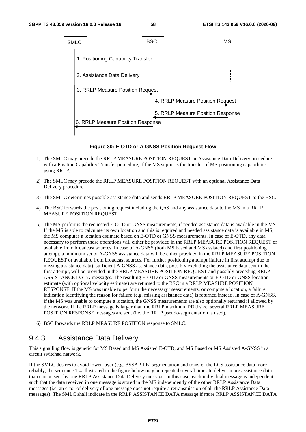

**Figure 30: E-OTD or A-GNSS Position Request Flow** 

- 1) The SMLC may precede the RRLP MEASURE POSITION REQUEST or Assistance Data Delivery procedure with a Position Capability Transfer procedure, if the MS supports the transfer of MS positioning capabilities using RRLP.
- 2) The SMLC may precede the RRLP MEASURE POSITION REQUEST with an optional Assistance Data Delivery procedure.
- 3) The SMLC determines possible assistance data and sends RRLP MEASURE POSITION REQUEST to the BSC.
- 4) The BSC forwards the positioning request including the QoS and any assistance data to the MS in a RRLP MEASURE POSITION REQUEST.
- 5) The MS performs the requested E-OTD or GNSS measurements, if needed assistance data is available in the MS. If the MS is able to calculate its own location and this is required and needed assistance data is available in MS, the MS computes a location estimate based on E-OTD or GNSS measurements. In case of E-OTD, any data necessary to perform these operations will either be provided in the RRLP MEASURE POSITION REQUEST or available from broadcast sources. In case of A-GNSS (both MS based and MS assisted) and first positioning attempt, a minimum set of A-GNSS assistance data will be either provided in the RRLP MEASURE POSITION REQUEST or available from broadcast sources. For further positioning attempt (failure in first attempt due to missing assistance data), sufficient A-GNSS assistance data, possibly excluding the assistance data sent in the first attempt, will be provided in the RRLP MEASURE POSITION REQUEST and possibly preceding RRLP ASSISTANCE DATA messages. The resulting E-OTD or GNSS measurements or E-OTD or GNSS location estimate (with optional velocity estimate) are returned to the BSC in a RRLP MEASURE POSITION RESPONSE. If the MS was unable to perform the necessary measurements, or compute a location, a failure indication identifying the reason for failure (e.g. missing assistance data) is returned instead. In case of A-GNSS, if the MS was unable to compute a location, the GNSS measurements are also optionally returned if allowed by the network. If the RRLP message is larger than the RRLP maximum PDU size, several RRLP MEASURE POSITION RESPONSE messages are sent (i.e. the RRLP pseudo-segmentation is used).
- 6) BSC forwards the RRLP MEASURE POSITION response to SMLC.

## 9.4.3 Assistance Data Delivery

This signalling flow is generic for MS Based and MS Assisted E-OTD, and MS Based or MS Assisted A-GNSS in a circuit switched network.

If the SMLC desires to avoid lower layer (e.g. BSSAP-LE) segmentation and transfer the LCS assistance data more reliably, the sequence 1-4 illustrated in the figure below may be repeated several times to deliver more assistance data than can be sent by one RRLP Assistance Data Delivery message. In this case, each individual message is independent such that the data received in one message is stored in the MS independently of the other RRLP Assistance Data messages (i.e. an error of delivery of one message does not require a retransmission of all the RRLP Assistance Data messages). The SMLC shall indicate in the RRLP ASSISTANCE DATA message if more RRLP ASSISTANCE DATA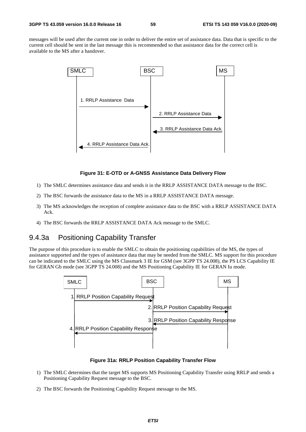messages will be used after the current one in order to deliver the entire set of assistance data. Data that is specific to the current cell should be sent in the last message this is recommended so that assistance data for the correct cell is available to the MS after a handover.



#### **Figure 31: E-OTD or A-GNSS Assistance Data Delivery Flow**

- 1) The SMLC determines assistance data and sends it in the RRLP ASSISTANCE DATA message to the BSC.
- 2) The BSC forwards the assistance data to the MS in a RRLP ASSISTANCE DATA message.
- 3) The MS acknowledges the reception of complete assistance data to the BSC with a RRLP ASSISTANCE DATA Ack.
- 4) The BSC forwards the RRLP ASSISTANCE DATA Ack message to the SMLC.

# 9.4.3a Positioning Capability Transfer

The purpose of this procedure is to enable the SMLC to obtain the positioning capabilities of the MS, the types of assistance supported and the types of assistance data that may be needed from the SMLC. MS support for this procedure can be indicated to the SMLC using the MS Classmark 3 IE for GSM (see 3GPP TS 24.008), the PS LCS Capability IE for GERAN Gb mode (see 3GPP TS 24.008) and the MS Positioning Capability IE for GERAN Iu mode.



#### **Figure 31a: RRLP Position Capability Transfer Flow**

- 1) The SMLC determines that the target MS supports MS Positioning Capability Transfer using RRLP and sends a Positioning Capability Request message to the BSC.
- 2) The BSC forwards the Positioning Capability Request message to the MS.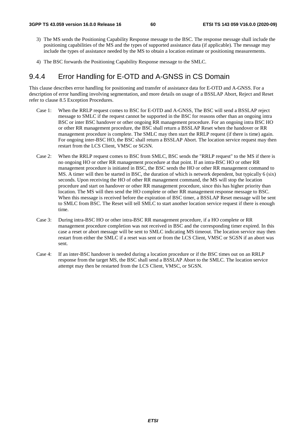- 3) The MS sends the Positioning Capability Response message to the BSC. The response message shall include the positioning capabilities of the MS and the types of supported assistance data (if applicable). The message may include the types of assistance needed by the MS to obtain a location estimate or positioning measurements.
- 4) The BSC forwards the Positioning Capability Response message to the SMLC.

# 9.4.4 Error Handling for E-OTD and A-GNSS in CS Domain

This clause describes error handling for positioning and transfer of assistance data for E-OTD and A-GNSS. For a description of error handling involving segmentation, and more details on usage of a BSSLAP Abort, Reject and Reset refer to clause 8.5 Exception Procedures.

- Case 1: When the RRLP request comes to BSC for E-OTD and A-GNSS, The BSC will send a BSSLAP reject message to SMLC if the request cannot be supported in the BSC for reasons other than an ongoing intra BSC or inter BSC handover or other ongoing RR management procedure. For an ongoing intra BSC HO or other RR management procedure, the BSC shall return a BSSLAP Reset when the handover or RR management procedure is complete. The SMLC may then start the RRLP request (if there is time) again. For ongoing inter-BSC HO, the BSC shall return a BSSLAP Abort. The location service request may then restart from the LCS Client, VMSC or SGSN.
- Case 2: When the RRLP request comes to BSC from SMLC, BSC sends the "RRLP request" to the MS if there is no ongoing HO or other RR management procedure at that point. If an intra-BSC HO or other RR management procedure is initiated in BSC, the BSC sends the HO or other RR management command to MS. A timer will then be started in BSC, the duration of which is network dependent, but typically 6 (six) seconds. Upon receiving the HO of other RR management command, the MS will stop the location procedure and start on handover or other RR management procedure, since this has higher priority than location. The MS will then send the HO complete or other RR management response message to BSC. When this message is received before the expiration of BSC timer, a BSSLAP Reset message will be sent to SMLC from BSC. The Reset will tell SMLC to start another location service request if there is enough time.
- Case 3: During intra-BSC HO or other intra-BSC RR management procedure, if a HO complete or RR management procedure completion was not received in BSC and the corresponding timer expired. In this case a reset or abort message will be sent to SMLC indicating MS timeout. The location service may then restart from either the SMLC if a reset was sent or from the LCS Client, VMSC or SGSN if an abort was sent.
- Case 4: If an inter-BSC handover is needed during a location procedure or if the BSC times out on an RRLP response from the target MS, the BSC shall send a BSSLAP Abort to the SMLC. The location service attempt may then be restarted from the LCS Client, VMSC, or SGSN.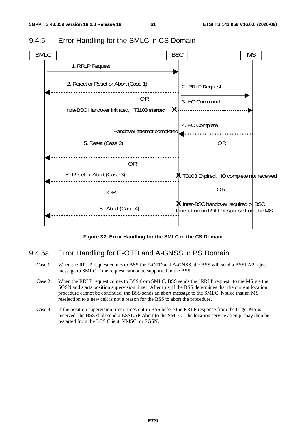

# 9.4.5 Error Handling for the SMLC in CS Domain

**Figure 32: Error Handling for the SMLC in the CS Domain** 

## 9.4.5a Error Handling for E-OTD and A-GNSS in PS Domain

- Case 1: When the RRLP request comes to BSS for E-OTD and A-GNSS, the BSS will send a BSSLAP reject message to SMLC if the request cannot be supported in the BSS.
- Case 2: When the RRLP request comes to BSS from SMLC, BSS sends the "RRLP request" to the MS via the SGSN and starts position supervision timer. After this, if the BSS determines that the current location procedure cannot be continued, the BSS sends an abort message to the SMLC. Notice that an MS reselection to a new cell is not a reason for the BSS to abort the procedure.
- Case 3: If the position supervision timer times out in BSS before the RRLP response from the target MS is received, the BSS shall send a BSSLAP Abort to the SMLC. The location service attempt may then be restarted from the LCS Client, VMSC, or SGSN.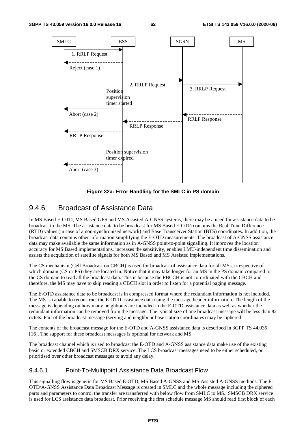

**Figure 32a: Error Handling for the SMLC in PS domain** 

# 9.4.6 Broadcast of Assistance Data

In MS Based E-OTD, MS Based GPS and MS Assisted A-GNSS systems, there may be a need for assistance data to be broadcast to the MS. The assistance data to be broadcast for MS Based E-OTD contains the Real Time Difference (RTD) values (in case of a non-synchronised network) and Base Transceiver Station (BTS) coordinates. In addition, the broadcast data contains other information simplifying the E-OTD measurements. The broadcast of A-GNSS assistance data may make available the same information as in A-GNSS point-to-point signalling. It improves the location accuracy for MS Based implementations, increases the sensitivity, enables LMU-independent time dissemination and assists the acquisition of satellite signals for both MS Based and MS Assisted implementations.

The CS mechanism (Cell Broadcast on CBCH) is used for broadcast of assistance data for all MSs, irrespective of which domain (CS or PS) they are located in. Notice that it may take longer for an MS in the PS domain compared to the CS domain to read all the broadcast data. This is because the PBCCH is not co-ordinated with the CBCH and therefore, the MS may have to skip reading a CBCH slot in order to listen for a potential paging message.

The E-OTD assistance data to be broadcast is in compressed format where the redundant information is not included. The MS is capable to reconstruct the E-OTD assistance data using the message header information. The length of the message is depending on how many neighbours are included in the E-OTD assistance data as well as whether the redundant information can be removed from the message. The typical size of one broadcast message will be less than 82 octets. Part of the broadcast message (serving and neighbour base station coordinates) may be ciphered.

The contents of the broadcast message for the E-OTD and A-GNSS assistance data is described in 3GPP TS 44.035 [16]. The support for these broadcast messages is optional for network and MS.

The broadcast channel which is used to broadcast the E-OTD and A-GNSS assistance data make use of the existing basic or extended CBCH and SMSCB DRX service. The LCS broadcast messages need to be either scheduled, or prioritised over other broadcast messages to avoid any delay.

### 9.4.6.1 Point-To-Multipoint Assistance Data Broadcast Flow

This signalling flow is generic for MS Based E-OTD, MS Based A-GNSS and MS Assisted A-GNSS methods. The E-OTD/A-GNSS Assistance Data Broadcast Message is created in SMLC and the whole message including the ciphered parts and parameters to control the transfer are transferred with below flow from SMLC to MS. SMSCB DRX service is used for LCS assistance data broadcast. Prior receiving the first schedule message MS should read first block of each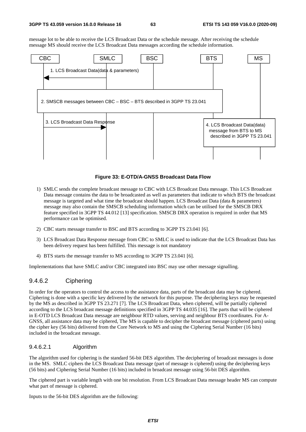message lot to be able to receive the LCS Broadcast Data or the schedule message. After receiving the schedule message MS should receive the LCS Broadcast Data messages according the schedule information.



#### **Figure 33: E-OTD/A-GNSS Broadcast Data Flow**

- 1) SMLC sends the complete broadcast message to CBC with LCS Broadcast Data message. This LCS Broadcast Data message contains the data to be broadcasted as well as parameters that indicate to which BTS the broadcast message is targeted and what time the broadcast should happen. LCS Broadcast Data (data & parameters) message may also contain the SMSCB scheduling information which can be utilised for the SMSCB DRX feature specified in 3GPP TS 44.012 [13] specification. SMSCB DRX operation is required in order that MS performance can be optimised.
- 2) CBC starts message transfer to BSC and BTS according to 3GPP TS 23.041 [6].
- 3) LCS Broadcast Data Response message from CBC to SMLC is used to indicate that the LCS Broadcast Data has been delivery request has been fulfilled. This message is not mandatory
- 4) BTS starts the message transfer to MS according to 3GPP TS 23.041 [6].

Implementations that have SMLC and/or CBC integrated into BSC may use other message signalling.

### 9.4.6.2 Ciphering

In order for the operators to control the access to the assistance data, parts of the broadcast data may be ciphered. Ciphering is done with a specific key delivered by the network for this purpose. The deciphering keys may be requested by the MS as described in 3GPP TS 23.271 [7]. The LCS Broadcast Data, when ciphered, will be partially ciphered according to the LCS broadcast message definitions specified in 3GPP TS 44.035 [16]. The parts that will be ciphered in E-OTD LCS Broadcast Data message are neighbour RTD values, serving and neighbour BTS coordinates. For A-GNSS, all assistance data may be ciphered, The MS is capable to decipher the broadcast message (ciphered parts) using the cipher key (56 bits) delivered from the Core Network to MS and using the Ciphering Serial Number (16 bits) included in the broadcast message.

#### 9.4.6.2.1 Algorithm

The algorithm used for ciphering is the standard 56-bit DES algorithm. The deciphering of broadcast messages is done in the MS. SMLC ciphers the LCS Broadcast Data message (part of message is ciphered) using the deciphering keys (56 bits) and Ciphering Serial Number (16 bits) included in broadcast message using 56-bit DES algorithm.

The ciphered part is variable length with one bit resolution. From LCS Broadcast Data message header MS can compute what part of message is ciphered.

Inputs to the 56-bit DES algorithm are the following: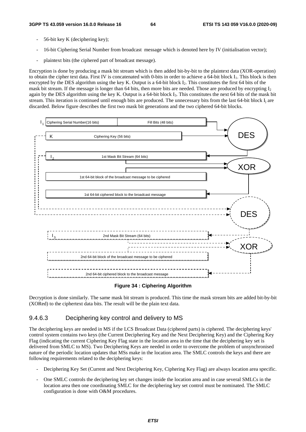- 56-bit key K (deciphering key);
- 16-bit Ciphering Serial Number from broadcast message which is denoted here by IV (initialisation vector);
- plaintext bits (the ciphered part of broadcast message).

Encryption is done by producing a mask bit stream which is then added bit-by-bit to the plaintext data (XOR-operation) to obtain the cipher text data. First IV is concatenated with 0-bits in order to achieve a 64-bit block I1. This block is then encrypted by the DES algorithm using the key K. Output is a 64-bit block I<sub>2</sub>. This constitutes the first 64 bits of the mask bit stream. If the message is longer than 64 bits, then more bits are needed. Those are produced by encrypting  $I_2$ again by the DES algorithm using the key K. Output is a 64-bit block I3. This constitutes the next 64 bits of the mask bit stream. This iteration is continued until enough bits are produced. The unnecessary bits from the last 64-bit block  $I_i$  are discarded. Below figure describes the first two mask bit generations and the two ciphered 64-bit blocks.



#### **Figure 34 : Ciphering Algorithm**

Decryption is done similarly. The same mask bit stream is produced. This time the mask stream bits are added bit-by-bit (XORed) to the ciphertext data bits. The result will be the plain text data.

### 9.4.6.3 Deciphering key control and delivery to MS

The deciphering keys are needed in MS if the LCS Broadcast Data (ciphered parts) is ciphered. The deciphering keys' control system contains two keys (the Current Deciphering Key and the Next Deciphering Key) and the Ciphering Key Flag (indicating the current Ciphering Key Flag state in the location area in the time that the deciphering key set is delivered from SMLC to MS). Two Deciphering Keys are needed in order to overcome the problem of unsynchronised nature of the periodic location updates that MSs make in the location area. The SMLC controls the keys and there are following requirements related to the deciphering keys:

- Deciphering Key Set (Current and Next Deciphering Key, Ciphering Key Flag) are always location area specific.
- One SMLC controls the deciphering key set changes inside the location area and in case several SMLCs in the location area then one coordinating SMLC for the deciphering key set control must be nominated. The SMLC configuration is done with O&M procedures.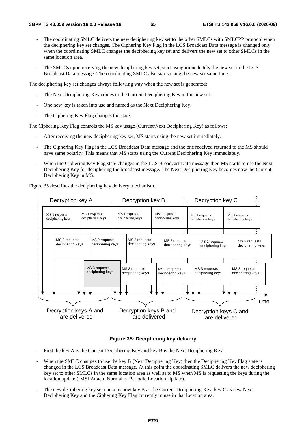- The coordinating SMLC delivers the new deciphering key set to the other SMLCs with SMLCPP protocol when the deciphering key set changes. The Ciphering Key Flag in the LCS Broadcast Data message is changed only when the coordinating SMLC changes the deciphering key set and delivers the new set to other SMLCs in the same location area.
- The SMLCs upon receiving the new deciphering key set, start using immediately the new set in the LCS Broadcast Data message. The coordinating SMLC also starts using the new set same time.

The deciphering key set changes always following way when the new set is generated:

- The Next Deciphering Key comes to the Current Deciphering Key in the new set.
- One new key is taken into use and named as the Next Deciphering Key.
- The Ciphering Key Flag changes the state.

The Ciphering Key Flag controls the MS key usage (Current/Next Deciphering Key) as follows:

- After receiving the new deciphering key set, MS starts using the new set immediately.
- The Ciphering Key Flag in the LCS Broadcast Data message and the one received returned to the MS should have same polarity. This means that MS starts using the Current Deciphering Key immediately.
- When the Ciphering Key Flag state changes in the LCS Broadcast Data message then MS starts to use the Next Deciphering Key for deciphering the broadcast message. The Next Deciphering Key becomes now the Current Deciphering Key in MS.

Figure 35 describes the deciphering key delivery mechanism.

| Decryption key A                                                                                                                   |                                   |                                        |                                   | Decryption key B                  |                                   |                                   |                                   | Decryption key C                  |                                   |                                   |                                   |  |
|------------------------------------------------------------------------------------------------------------------------------------|-----------------------------------|----------------------------------------|-----------------------------------|-----------------------------------|-----------------------------------|-----------------------------------|-----------------------------------|-----------------------------------|-----------------------------------|-----------------------------------|-----------------------------------|--|
| MS 1 requests<br>deciphering keys                                                                                                  |                                   | MS 1 requests<br>deciphering keys<br>٠ |                                   | MS 1 requests<br>deciphering keys |                                   | MS 1 requests<br>deciphering keys |                                   | MS 1 requests<br>deciphering keys |                                   | MS 1 requests<br>deciphering keys |                                   |  |
|                                                                                                                                    | MS 2 requests<br>deciphering keys |                                        | MS 2 requests<br>deciphering keys |                                   | MS 2 requests<br>deciphering keys |                                   | MS 2 requests<br>deciphering keys |                                   | MS 2 requests<br>deciphering keys |                                   | MS 2 requests<br>deciphering keys |  |
|                                                                                                                                    |                                   |                                        | MS 3 requests<br>deciphering keys |                                   | MS 3 requests<br>deciphering keys |                                   | MS 3 requests<br>deciphering keys |                                   | MS 3 requests<br>deciphering keys |                                   | MS 3 requests<br>deciphering keys |  |
| time<br>Decryption keys A and<br>Decryption keys B and<br>Decryption keys C and<br>are delivered<br>are delivered<br>are delivered |                                   |                                        |                                   |                                   |                                   |                                   |                                   |                                   |                                   |                                   |                                   |  |

#### **Figure 35: Deciphering key delivery**

- First the key A is the Current Deciphering Key and key B is the Next Deciphering Key.
- When the SMLC changes to use the key B (Next Deciphering Key) then the Deciphering Key Flag state is changed in the LCS Broadcast Data message. At this point the coordinating SMLC delivers the new deciphering key set to other SMLCs in the same location area as well as to MS when MS is requesting the keys during the location update (IMSI Attach, Normal or Periodic Location Update).
- The new deciphering key set contains now key B as the Current Deciphering Key, key C as new Next Deciphering Key and the Ciphering Key Flag currently in use in that location area.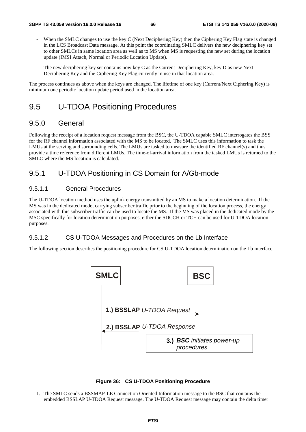- When the SMLC changes to use the key C (Next Deciphering Key) then the Ciphering Key Flag state is changed in the LCS Broadcast Data message. At this point the coordinating SMLC delivers the new deciphering key set to other SMLCs in same location area as well as to MS when MS is requesting the new set during the location update (IMSI Attach, Normal or Periodic Location Update).
- The new deciphering key set contains now key C as the Current Deciphering Key, key D as new Next Deciphering Key and the Ciphering Key Flag currently in use in that location area.

The process continues as above when the keys are changed. The lifetime of one key (Current/Next Ciphering Key) is minimum one periodic location update period used in the location area.

# 9.5 U-TDOA Positioning Procedures

## 9.5.0 General

Following the receipt of a location request message from the BSC, the U-TDOA capable SMLC interrogates the BSS for the RF channel information associated with the MS to be located. The SMLC uses this information to task the LMUs at the serving and surrounding cells. The LMUs are tasked to measure the identified RF channel(s) and thus provide a time reference from different LMUs. The time-of-arrival information from the tasked LMUs is returned to the SMLC where the MS location is calculated.

# 9.5.1 U-TDOA Positioning in CS Domain for A/Gb-mode

#### 9.5.1.1 General Procedures

The U-TDOA location method uses the uplink energy transmitted by an MS to make a location determination. If the MS was in the dedicated mode, carrying subscriber traffic prior to the beginning of the location process, the energy associated with this subscriber traffic can be used to locate the MS. If the MS was placed in the dedicated mode by the MSC specifically for location determination purposes, either the SDCCH or TCH can be used for U-TDOA location purposes.

### 9.5.1.2 CS U-TDOA Messages and Procedures on the Lb Interface

The following section describes the positioning procedure for CS U-TDOA location determination on the Lb interface.





1. The SMLC sends a BSSMAP-LE Connection Oriented Information message to the BSC that contains the embedded BSSLAP U-TDOA Request message. The U-TDOA Request message may contain the delta timer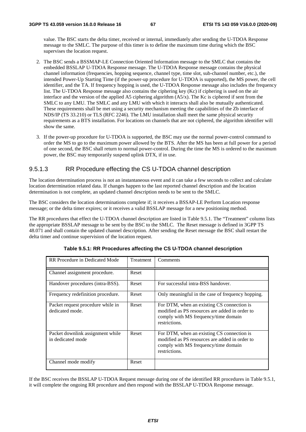value. The BSC starts the delta timer, received or internal, immediately after sending the U-TDOA Response message to the SMLC. The purpose of this timer is to define the maximum time during which the BSC supervises the location request.

- 2. The BSC sends a BSSMAP-LE Connection Oriented Information message to the SMLC that contains the embedded BSSLAP U-TDOA Response message. The U-TDOA Response message contains the physical channel information (frequencies, hopping sequence, channel type, time slot, sub-channel number, etc.), the intended Power-Up Starting Time (if the power-up procedure for U-TDOA is supported), the MS power, the cell identifier, and the TA. If frequency hopping is used, the U-TDOA Response message also includes the frequency list. The U-TDOA Response message also contains the ciphering key (Kc) if ciphering is used on the air interface and the version of the applied A5 ciphering algorithm (A5/x). The Kc is ciphered if sent from the SMLC to any LMU. The SMLC and any LMU with which it interacts shall also be mutually authenticated. These requirements shall be met using a security mechanism meeting the capabilities of the Zb interface of NDS/IP (TS 33.210) or TLS (RFC 2246). The LMU installation shall meet the same physical security requirements as a BTS installation. For locations on channels that are not ciphered, the algorithm identifier will show the same.
- 3. If the power-up procedure for U-TDOA is supported, the BSC may use the normal power-control command to order the MS to go to the maximum power allowed by the BTS. After the MS has been at full power for a period of one second, the BSC shall return to normal power-control. During the time the MS is ordered to the maximum power, the BSC may temporarily suspend uplink DTX, if in use.

### 9.5.1.3 RR Procedure effecting the CS U-TDOA channel description

The location determination process is not an instantaneous event and it can take a few seconds to collect and calculate location determination related data. If changes happen to the last reported channel description and the location determination is not complete, an updated channel description needs to be sent to the SMLC.

The BSC considers the location determinations complete if; it receives a BSSAP-LE Perform Location response message; or the delta timer expires; or it receives a valid BSSLAP message for a new positioning method.

The RR procedures that effect the U-TDOA channel description are listed in Table 9.5.1. The "Treatment" column lists the appropriate BSSLAP message to be sent by the BSC to the SMLC. The Reset message is defined in 3GPP TS 48.071 and shall contain the updated channel description. After sending the Reset message the BSC shall restart the delta timer and continue supervision of the location request.

| RR Procedure in Dedicated Mode                        | Treatment | Comments                                                                                                                                              |
|-------------------------------------------------------|-----------|-------------------------------------------------------------------------------------------------------------------------------------------------------|
| Channel assignment procedure.                         | Reset     |                                                                                                                                                       |
| Handover procedures (intra-BSS).                      | Reset     | For successful intra-BSS handover.                                                                                                                    |
| Frequency redefinition procedure.                     | Reset     | Only meaningful in the case of frequency hopping.                                                                                                     |
| Packet request procedure while in<br>dedicated mode.  | Reset     | For DTM, when an existing CS connection is<br>modified as PS resources are added in order to<br>comply with MS frequency/time domain<br>restrictions. |
| Packet downlink assignment while<br>in dedicated mode | Reset     | For DTM, when an existing CS connection is<br>modified as PS resources are added in order to<br>comply with MS frequency/time domain<br>restrictions. |
| Channel mode modify                                   | Reset     |                                                                                                                                                       |

**Table 9.5.1: RR Procedures affecting the CS U-TDOA channel description** 

If the BSC receives the BSSLAP U-TDOA Request message during one of the identified RR procedures in Table 9.5.1, it will complete the ongoing RR procedure and then respond with the BSSLAP U-TDOA Response message.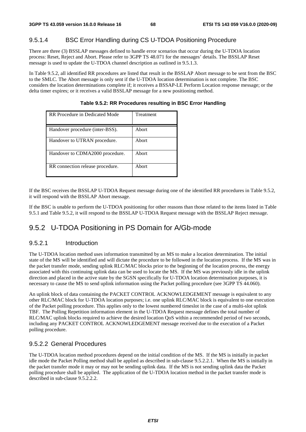## 9.5.1.4 BSC Error Handling during CS U-TDOA Positioning Procedure

There are three (3) BSSLAP messages defined to handle error scenarios that occur during the U-TDOA location process: Reset, Reject and Abort. Please refer to 3GPP TS 48.071 for the messages' details. The BSSLAP Reset message is used to update the U-TDOA channel description as outlined in 9.5.1.3.

In Table 9.5.2, all identified RR procedures are listed that result in the BSSLAP Abort message to be sent from the BSC to the SMLC. The Abort message is only sent if the U-TDOA location determination is not complete. The BSC considers the location determinations complete if; it receives a BSSAP-LE Perform Location response message; or the delta timer expires; or it receives a valid BSSLAP message for a new positioning method.

| RR Procedure in Dedicated Mode   | Treatment |
|----------------------------------|-----------|
| Handover procedure (inter-BSS).  | Abort     |
| Handover to UTRAN procedure.     | Abort     |
| Handover to CDMA2000 procedure.  | Abort     |
| RR connection release procedure. | Abort     |

**Table 9.5.2: RR Procedures resulting in BSC Error Handling** 

If the BSC receives the BSSLAP U-TDOA Request message during one of the identified RR procedures in Table 9.5.2, it will respond with the BSSLAP Abort message.

If the BSC is unable to perform the U-TDOA positioning for other reasons than those related to the items listed in Table 9.5.1 and Table 9.5.2, it will respond to the BSSLAP U-TDOA Request message with the BSSLAP Reject message.

# 9.5.2 U-TDOA Positioning in PS Domain for A/Gb-mode

### 9.5.2.1 Introduction

The U-TDOA location method uses information transmitted by an MS to make a location determination. The initial state of the MS will be identified and will dictate the procedure to be followed in the location process. If the MS was in the packet transfer mode, sending uplink RLC/MAC blocks prior to the beginning of the location process, the energy associated with this continuing uplink data can be used to locate the MS. If the MS was previously idle in the uplink direction and placed in the active state by the SGSN specifically for U-TDOA location determination purposes, it is necessary to cause the MS to send uplink information using the Packet polling procedure (see 3GPP TS 44.060).

An uplink block of data containing the PACKET CONTROL ACKNOWLEDGEMENT message is equivalent to any other RLC/MAC block for U-TDOA location purposes; i.e. one uplink RLC/MAC block is equivalent to one execution of the Packet polling procedure. This applies only to the lowest numbered timeslot in the case of a multi-slot uplink TBF. The Polling Repetition information element in the U-TDOA Request message defines the total number of RLC/MAC uplink blocks required to achieve the desired location QoS within a recommended period of two seconds, including any PACKET CONTROL ACKNOWLEDGEMENT message received due to the execution of a Packet polling procedure.

### 9.5.2.2 General Procedures

The U-TDOA location method procedures depend on the initial condition of the MS. If the MS is initially in packet idle mode the Packet Polling method shall be applied as described in sub-clause 9.5.2.2.1. When the MS is initially in the packet transfer mode it may or may not be sending uplink data. If the MS is not sending uplink data the Packet polling procedure shall be applied. The application of the U-TDOA location method in the packet transfer mode is described in sub-clause 9.5.2.2.2.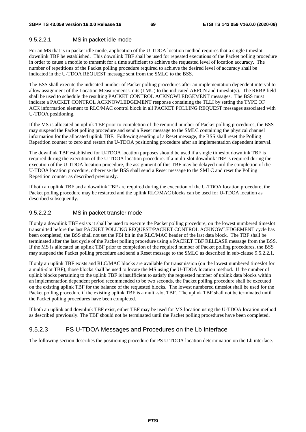#### 9.5.2.2.1 MS in packet idle mode

For an MS that is in packet idle mode, application of the U-TDOA location method requires that a single timeslot downlink TBF be established. This downlink TBF shall be used for repeated executions of the Packet polling procedure in order to cause a mobile to transmit for a time sufficient to achieve the requested level of location accuracy. The number of repetitions of the Packet polling procedure required to achieve the desired level of accuracy shall be indicated in the U-TDOA REQUEST message sent from the SMLC to the BSS.

The BSS shall execute the indicated number of Packet polling procedures after an implementation dependent interval to allow assignment of the Location Measurement Units (LMU) to the indicated ARFCN and timeslot(s). The RRBP field shall be used to schedule the resulting PACKET CONTROL ACKNOWLEDGEMENT messages. The BSS must indicate a PACKET CONTROL ACKNOWLEDGEMENT response containing the TLLI by setting the TYPE OF ACK information element to RLC/MAC control block in all PACKET POLLING REQUEST messages associated with U-TDOA positioning.

If the MS is allocated an uplink TBF prior to completion of the required number of Packet polling procedures, the BSS may suspend the Packet polling procedure and send a Reset message to the SMLC containing the physical channel information for the allocated uplink TBF. Following sending of a Reset message, the BSS shall reset the Polling Repetition counter to zero and restart the U-TDOA positioning procedure after an implementation dependent interval.

The downlink TBF established for U-TDOA location purposes should be used if a single timeslot downlink TBF is required during the execution of the U-TDOA location procedure. If a multi-slot downlink TBF is required during the execution of the U-TDOA location procedure, the assignment of this TBF may be delayed until the completion of the U-TDOA location procedure, otherwise the BSS shall send a Reset message to the SMLC and reset the Polling Repetition counter as described previously.

If both an uplink TBF and a downlink TBF are required during the execution of the U-TDOA location procedure, the Packet polling procedure may be restarted and the uplink RLC/MAC blocks can be used for U-TDOA location as described subsequently.

#### 9.5.2.2.2 MS in packet transfer mode

If only a downlink TBF exists it shall be used to execute the Packet polling procedure, on the lowest numbered timeslot transmitted before the last PACKET POLLING REQUEST/PACKET CONTROL ACKNOWLEDGEMENT cycle has been completed, the BSS shall not set the FBI bit in the RLC/MAC header of the last data block. The TBF shall be terminated after the last cycle of the Packet polling procedure using a PACKET TBF RELEASE message from the BSS. If the MS is allocated an uplink TBF prior to completion of the required number of Packet polling procedures, the BSS may suspend the Packet polling procedure and send a Reset message to the SMLC as described in sub-clause 9.5.2.2.1.

If only an uplink TBF exists and RLC/MAC blocks are available for transmission (on the lowest numbered timeslot for a multi-slot TBF), those blocks shall be used to locate the MS using the U-TDOA location method. If the number of uplink blocks pertaining to the uplink TBF is insufficient to satisfy the requested number of uplink data blocks within an implementation dependent period recommended to be two seconds, the Packet polling procedure shall be executed on the existing uplink TBF for the balance of the requested blocks. The lowest numbered timeslot shall be used for the Packet polling procedure if the existing uplink TBF is a multi-slot TBF. The uplink TBF shall not be terminated until the Packet polling procedures have been completed.

If both an uplink and downlink TBF exist, either TBF may be used for MS location using the U-TDOA location method as described previously. The TBF should not be terminated until the Packet polling procedures have been completed.

### 9.5.2.3 PS U-TDOA Messages and Procedures on the Lb Interface

The following section describes the positioning procedure for PS U-TDOA location determination on the Lb interface.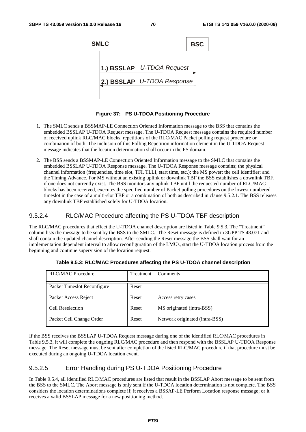

**Figure 37: PS U-TDOA Positioning Procedure** 

- 1. The SMLC sends a BSSMAP-LE Connection Oriented Information message to the BSS that contains the embedded BSSLAP U-TDOA Request message. The U-TDOA Request message contains the required number of received uplink RLC/MAC blocks, repetitions of the RLC/MAC Packet polling request procedure or combination of both. The inclusion of this Polling Repetition information element in the U-TDOA Request message indicates that the location determination shall occur in the PS domain.
- 2. The BSS sends a BSSMAP-LE Connection Oriented Information message to the SMLC that contains the embedded BSSLAP U-TDOA Response message. The U-TDOA Response message contains; the physical channel information (frequencies, time slot, TFI, TLLI, start time, etc.); the MS power; the cell identifier; and the Timing Advance. For MS without an existing uplink or downlink TBF the BSS establishes a downlink TBF, if one does not currently exist. The BSS monitors any uplink TBF until the requested number of RLC/MAC blocks has been received, executes the specified number of Packet polling procedures on the lowest numbered timeslot in the case of a multi-slot TBF or a combination of both as described in clause 9.5.2.1. The BSS releases any downlink TBF established solely for U-TDOA location.

### 9.5.2.4 RLC/MAC Procedure affecting the PS U-TDOA TBF description

The RLC/MAC procedures that effect the U-TDOA channel description are listed in Table 9.5.3. The "Treatment" column lists the message to be sent by the BSS to the SMLC. The Reset message is defined in 3GPP TS 48.071 and shall contain the updated channel description. After sending the Reset message the BSS shall wait for an implementation dependent interval to allow reconfiguration of the LMUs, start the U-TDOA location process from the beginning and continue supervision of the location request.

| <b>RLC/MAC Procedure</b>    | Treatment | Comments                       |
|-----------------------------|-----------|--------------------------------|
| Packet Timeslot Reconfigure | Reset     |                                |
| Packet Access Reject        | Reset     | Access retry cases             |
| Cell Reselection            | Reset     | MS originated (intra-BSS)      |
| Packet Cell Change Order    | Reset     | Network originated (intra-BSS) |

**Table 9.5.3: RLC/MAC Procedures affecting the PS U-TDOA channel description** 

If the BSS receives the BSSLAP U-TDOA Request message during one of the identified RLC/MAC procedures in Table 9.5.3, it will complete the ongoing RLC/MAC procedure and then respond with the BSSLAP U-TDOA Response message. The Reset message must be sent after completion of the listed RLC/MAC procedure if that procedure must be executed during an ongoing U-TDOA location event.

### 9.5.2.5 Error Handling during PS U-TDOA Positioning Procedure

In Table 9.5.4, all identified RLC/MAC procedures are listed that result in the BSSLAP Abort message to be sent from the BSS to the SMLC. The Abort message is only sent if the U-TDOA location determination is not complete. The BSS considers the location determinations complete if; it receives a BSSAP-LE Perform Location response message; or it receives a valid BSSLAP message for a new positioning method.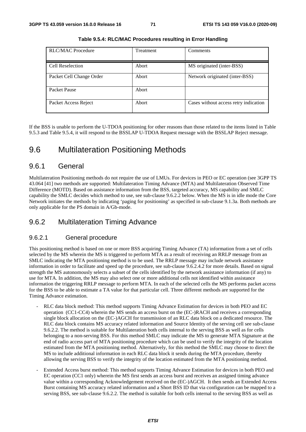| <b>RLC/MAC Procedure</b> | <b>Treatment</b> | Comments                              |
|--------------------------|------------------|---------------------------------------|
| Cell Reselection         | Abort            | MS originated (inter-BSS)             |
| Packet Cell Change Order | Abort            | Network originated (inter-BSS)        |
| Packet Pause             | Abort            |                                       |
| Packet Access Reject     | Abort            | Cases without access retry indication |

**Table 9.5.4: RLC/MAC Procedures resulting in Error Handling** 

If the BSS is unable to perform the U-TDOA positioning for other reasons than those related to the items listed in Table 9.5.3 and Table 9.5.4, it will respond to the BSSLAP U-TDOA Request message with the BSSLAP Reject message.

# 9.6 Multilateration Positioning Methods

## 9.6.1 General

Multilateration Positioning methods do not require the use of LMUs. For devices in PEO or EC operation (see 3GPP TS 43.064 [41] two methods are supported: Multilateration Timing Advance (MTA) and Multilateration Observed Time Difference (MOTD). Based on assistance information from the BSS, targeted accuracy, MS capability and SMLC capability the SMLC decides which method to use, see sub-clause 9.6.2.2 below. When the MS is in idle mode the Core Network initiates the methods by indicating 'paging for positioning' as specified in sub-clause 9.1.3a. Both methods are only applicable for the PS domain in A/Gb-mode.

## 9.6.2 Multilateration Timing Advance

### 9.6.2.1 General procedure

This positioning method is based on one or more BSS acquiring Timing Advance (TA) information from a set of cells selected by the MS wherein the MS is triggered to perform MTA as a result of receiving an RRLP message from an SMLC indicating the MTA positioning method is to be used. The RRLP message may include network assistance information in order to facilitate and speed up the procedure, see sub-clause 9.6.2.4.2 for more details. Based on signal strength the MS autonomously selects a subset of the cells identified by the network assistance information (if any) to use for MTA. In addition, the MS may also select one or more additional cells not identified within assistance information the triggering RRLP message to perform MTA. In each of the selected cells the MS performs packet access for the BSS to be able to estimate a TA value for that particular cell. Three different methods are supported for the Timing Advance estimation.

- RLC data block method: This method supports Timing Advance Estimation for devices in both PEO and EC operation (CC1-CC4) wherein the MS sends an access burst on the (EC-)RACH and receives a corresponding single block allocation on the (EC-)AGCH for transmission of an RLC data block on a dedicated resource. The RLC data block contains MS accuracy related information and Source Identity of the serving cell see sub-clause 9.6.2.2. The method is suitable for Multilateration both cells internal to the serving BSS as well as for cells belonging to a non-serving BSS. For this method SMLC may indicate the MS to generate MTA Signature at the end of radio access part of MTA positioning procedure which can be used to verify the integrity of the location estimated from the MTA positioning method. Alternatively, for this method the SMLC may choose to direct the MS to include additional information in each RLC data block it sends during the MTA procedure, thereby allowing the serving BSS to verify the integrity of the location estimated from the MTA positioning method.
- Extended Access burst method: This method supports Timing Advance Estimation for devices in both PEO and EC operation (CC1 only) wherein the MS first sends an access burst and receives an assigned timing advance value within a corresponding Acknowledgement received on the (EC-)AGCH. It then sends an Extended Access Burst containing MS accuracy related information and a Short BSS ID that via configuration can be mapped to a serving BSS, see sub-clause 9.6.2.2. The method is suitable for both cells internal to the serving BSS as well as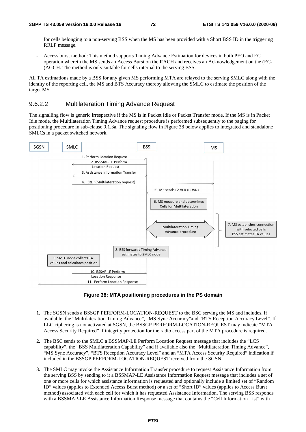for cells belonging to a non-serving BSS when the MS has been provided with a Short BSS ID in the triggering RRLP message.

- Access burst method: This method supports Timing Advance Estimation for devices in both PEO and EC operation wherein the MS sends an Access Burst on the RACH and receives an Acknowledgement on the (EC- )AGCH. The method is only suitable for cells internal to the serving BSS.

All TA estimations made by a BSS for any given MS performing MTA are relayed to the serving SMLC along with the identity of the reporting cell, the MS and BTS Accuracy thereby allowing the SMLC to estimate the position of the target MS.

## 9.6.2.2 Multilateration Timing Advance Request

The signalling flow is generic irrespective if the MS is in Packet Idle or Packet Transfer mode. If the MS is in Packet Idle mode, the Multilateration Timing Advance request procedure is performed subsequently to the paging for positioning procedure in sub-clause 9.1.3a. The signaling flow in Figure 38 below applies to integrated and standalone SMLCs in a packet switched network.



**Figure 38: MTA positioning procedures in the PS domain** 

- 1. The SGSN sends a BSSGP PERFORM-LOCATION-REQUEST to the BSC serving the MS and includes, if available, the "Multilateration Timing Advance", "MS Sync Accuracy"and "BTS Reception Accuracy Level". If LLC ciphering is not activated at SGSN, the BSSGP PERFORM-LOCATION-REQUEST may indicate "MTA Access Security Required" if integrity protection for the radio access part of the MTA procedure is required.
- 2. The BSC sends to the SMLC a BSSMAP-LE Perform Location Request message that includes the "LCS capability", the "BSS Multilateration Capability" and if available also the "Multilateration Timing Advance", "MS Sync Accuracy", "BTS Reception Accuracy Level" and an "MTA Access Security Required" indication if included in the BSSGP PERFORM-LOCATION-REQUEST received from the SGSN.
- 3. The SMLC may invoke the Assistance Information Transfer procedure to request Assistance Information from the serving BSS by sending to it a BSSMAP-LE Assistance Information Request message that includes a set of one or more cells for which assistance information is requested and optionally include a limited set of "Random ID" values (applies to Extended Access Burst method) or a set of "Short ID" values (applies to Access Burst method) associated with each cell for which it has requested Assistance Information. The serving BSS responds with a BSSMAP-LE Assistance Information Response message that contains the "Cell Information List" with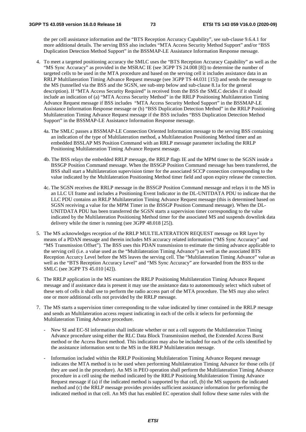the per cell assistance information and the "BTS Reception Accuracy Capability", see sub-clause 9.6.4.1 for more additional details. The serving BSS also includes "MTA Access Security Method Support" and/or "BSS Duplication Detection Method Support" in the BSSMAP-LE Assistance Information Response message.

- 4. To meet a targeted positioning accuracy the SMLC uses the "BTS Reception Accuracy Capability" as well as the "MS Sync Accuracy" as provided in the MSRAC IE (see 3GPP TS 24.008 [8]) to determine the number of targeted cells to be used in the MTA procedure and based on the serving cell it includes assistance data in an RRLP Multilateration Timing Advance Request message (see 3GPP TS 44.031 [15]) and sends the message to the MS (tunnelled via the BSS and the SGSN, see sub-step below and sub-clause 8.1a for the general description). If "MTA Access Security Required" is received from the BSS the SMLC decides if it should include an indication of (a) "MTA Access Security Method" in the RRLP Positioning Multilateration Timing Advance Request message if BSS includes "MTA Access Security Method Support" in the BSSMAP-LE Assistance Information Response message or (b) "BSS Duplication Detection Method" in the RRLP Positioning Multilateration Timing Advance Request message if the BSS includes "BSS Duplication Detection Method Support" in the BSSMAP-LE Assistance Information Response message.
	- 4a. The SMLC passes a BSSMAP-LE Connection Oriented Information message to the serving BSS containing an indication of the type of Multilateration method, a Multilateration Positioning Method timer and an embedded BSSLAP MS Position Command with an RRLP message parameter including the RRLP Positioning Multilateration Timing Advance Request message.
	- 4b. The BSS relays the embedded RRLP message, the RRLP flags IE and the MPM timer to the SGSN inside a BSSGP Position Command message. When the BSSGP Position Command message has been transferred, the BSS shall start a Multilateration supervision timer for the associated SCCP connection corresponding to the value indicated by the Multilateration Positioning Method timer field and upon expiry release the connection.
	- 4c. The SGSN receives the RRLP message in the BSSGP Position Command message and relays it to the MS in an LLC UI frame and includes a Positioning Event Indicator in the DL-UNITDATA PDU to indicate that the LLC PDU contains an RRLP Multilateration Timing Advance Request message (this is determined based on SGSN receiving a value for the MPM Timer in the BSSGP Position Command message). When the DL-UNITDATA PDU has been transferred the SGSN starts a supervision timer corresponding to the value indicated by the Multilateration Positioning Method timer for the associated MS and suspends downlink data delivery while the timer is running (see 3GPP 48.018 [25]).
- 5. The MS acknowledges reception of the RRLP MULTILATERATION REQUEST message on RR layer by means of a PDAN message and therein includes MS accuracy related information ("MS Sync Accuracy" and "MS Transmission Offset"). The BSS uses this PDAN transmission to estimate the timing advance applicable to the serving cell (i.e. a value used as the "Multilateration Timing Advance") as well as the associated BTS Reception Accurcy Level before the MS leaves the serving cell. The "Multilateration Timing Advance" value as well as the "BTS Reception Accuracy Level" and "MS Sync Accuracy" are forwarded from the BSS to the SMLC (see 3GPP TS 45.010 [42]).
- 6. The RRLP application in the MS examines the RRLP Positioning Multilateration Timing Advance Request message and if assistance data is present it may use the assistance data to autonomously select which subset of these sets of cells it shall use to perform the radio access part of the MTA procedure. The MS may also select one or more additional cells not provided by the RRLP message.
- 7. The MS starts a supervision timer corresponding to the value indicated by timer contained in the RRLP mesage and sends an Multilateration access request indicating in each of the cells it selects for performing the Multilateration Timing Advance procedure.
	- New SI and EC-SI information shall indicate whether or not a cell supports the Multilateration Timing Advance procedure using either the RLC Data Block Transmission method, the Extended Access Burst method or the Access Burst method. This indication may also be included for each of the cells identified by the assistance information sent to the MS in the RRLP Multilateration message.
	- Information included within the RRLP Positioning Multilateration Timing Advance Request message indicates the MTA method is to be used when performing Multilateration Timing Advance for those cells (if they are used in the procedure). An MS in PEO operation shall perform the Multilateration Timing Advance procedure in a cell using the method indicated by the RRLP Positioing Multilateration Timing Advance Request message if (a) if the indicated method is supported by that cell, (b) the MS supports the indicated method and (c) the RRLP message provides provides sufficient assistance information for performing the indicated method in that cell. An MS that has enabled EC operation shall follow these same rules with the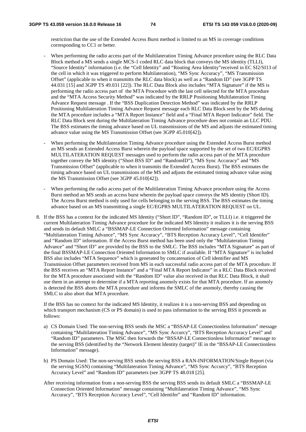restriction that the use of the Extended Access Burst method is limited to an MS in coverage conditions corresponding to CC1 or better.

- When performing the radio access part of the Multilateration Timing Advance procedure using the RLC Data Block method a MS sends a single MCS-1 coded RLC data block that conveys the MS identity (TLLI), "Source Identity" information (i.e. the "Cell Identity" and "Routing Area Identity"received in EC SI2/SI13 of the cell in which it was triggered to perform Multilateration), "MS Sync Accuracy", "MS Transmission Offset" (applicable to when it transmitts the RLC data block) as well as a "Random ID" (see 3GPP TS 44.031 [15] and 3GPP TS 49.031 [22]). The RLC Data Block also includes "MTA Signature" if the MS is performing the radio access part of the MTA Procedure with the last cell selected for the MTA procedure and the "MTA Access Security Method" was indicated by the RRLP Positioning Multilateration Timing Advance Request message . If the "BSS Duplication Detection Method" was indicated by the RRLP Positioning Multilateration Timing Advance Request message each RLC Data Block sent by the MS during the MTA procedure includes a "MTA Report Instance" field and a "Final MTA Report Indicator" field. The RLC Data Block sent during the Multilateration Timing Advance procedure does not contain an LLC PDU. The BSS estimates the timing advance based on UL transmissions of the MS and adjusts the estimated timing advance value using the MS Transmission Offset (see 3GPP 45.010[42]).
- When performing the Multilateration Timing Advance procedure using the Extended Access Burst method an MS sends an Extended Access Burst wherein the payload space supported by the set of two EC/EGPRS MULTILATERATION REQUEST messages used to perform the radio access part of the MTA procedure together convey the MS identity ("Short BSS ID" and "RandomID"), "MS Sync Accuracy" and "MS Transmission Offset" (applicable to when it transmits the Extended Access Burst). The BSS estimates the timing advance based on UL transmissions of the MS and adjusts the estimated timing advance value using the MS Transmission Offset (see 3GPP 45.010[42]).
- When performing the radio access part of the Multilateration Timing Advance procedure using the Access Burst method an MS sends an access burst wherein the payload space conveys the MS identity (Short ID). The Access Burst method is only used for cells belonging to the serving BSS. The BSS estimates the timing advance based on an MS transmitting a single EC/EGPRS MULTILATERATION REQUEST on UL.
- 8. If the BSS has a context for the indicated MS Identity ("Short ID", "Random ID", or TLLI) i.e. it triggered the current Multilateration Timing Advance procedure for the indicated MS Identity it realizes it is the serving BSS and sends its default SMLC a "BSSMAP-LE Connection Oriented Information" message containing "Multilateration Timing Advance", "MS Sync Accuracy", "BTS Reception Accuracy Level", "Cell Identifer" and "Random ID" information. If the Access Burst method has been used only the "Multilateration Timing Advance" and "Short ID" are provided by the BSS to the SMLC. The BSS includes "MTA Signature" as part of the final BSSMAP-LE Connection Oriented Information to SMLC if available. If "MTA Signature" is included BSS also includes "MTA Sequence" which is generated by concatenation of Cell identifier and MS Transmission Offset parameters received from MS in each successful radio access part of the MTA procedure. If the BSS receives an "MTA Report Instance" and a "Final MTA Report Indicator" in a RLC Data Block received for the MTA procedure associated with the "Random ID" value also received in that RLC Data Block, it shall use them in an attempt to determine if a MTA reporting anomoly exists for that MTA procedure. If an anomoly is detected the BSS aborts the MTA procedure and informs the SMLC of the anomoly, thereby causing the SMLC to also abort that MTA procedure.

If the BSS has no context for the indicated MS Identity, it realizes it is a non-serving BSS and depending on which transport mechanism (CS or PS domain) is used to pass information to the serving BSS it proceeds as follows:

- a) CS Domain Used: The non-serving BSS sends the MSC a "BSSAP-LE Connectionless Information" message containing "Multilateration Timing Advance", "MS Sync Accurcy", "BTS Reception Accuracy Level" and "Random ID" parameters. The MSC then forwards the "BSSAP-LE Connectionless Information" message to the serving BSS (identified by the "Network Element Identity (target)" IE in the "BSSAP-LE Connectionless Information" message).
- b) PS Domain Used: The non-serving BSS sends the serving BSS a RAN-INFORMATION/Single Report (via the serving SGSN) containing "Multilateration Timing Advance", "MS Sync Accurcy", "BTS Reception Accuracy Level" and "Random ID" parameters (see 3GPP TS 48.018 [25].
- After receiving information from a non-serving BSS the serving BSS sends its default SMLC a "BSSMAP-LE Connection Oriented Information" message containing "Multilateration Timing Advance", "MS Sync Accuracy", "BTS Reception Accuracy Level", "Cell Identifer" and "Random ID" information.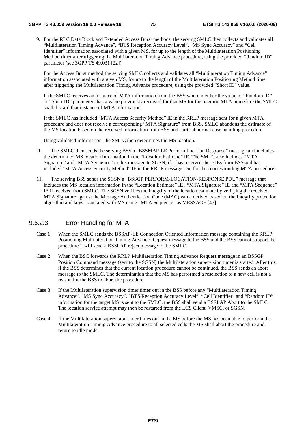9. For the RLC Data Block and Extended Access Burst methods, the serving SMLC then collects and validates all "Multilateration Timing Advance", "BTS Reception Accuracy Level", "MS Sync Accuracy" and "Cell Identifier" information associated with a given MS, for up to the length of the Multilateration Positioning Method timer after triggering the Multilateration Timing Advance procedure, using the provided "Random ID" parameter (see 3GPP TS 49.031 [22]).

For the Access Burst method the serving SMLC collects and validates all "Multilateration Timing Advance" information associated with a given MS, for up to the length of the Multilateration Positioning Method timer after triggering the Multilateration Timing Advance procedure, using the provided "Short ID" value.

If the SMLC receives an instance of MTA information from the BSS wherein either the value of "Random ID" or "Short ID" parameters has a value previously received for that MS for the ongoing MTA procedure the SMLC shall discard that instance of MTA information.

If the SMLC has included "MTA Access Security Method" IE in the RRLP message sent for a given MTA procedure and does not receive a corresponding "MTA Signature" from BSS, SMLC abandons the estimate of the MS location based on the received information from BSS and starts abnormal case handling procedure.

Using validated information, the SMLC then determines the MS location.

- 10. The SMLC then sends the serving BSS a "BSSMAP-LE Perform Location Response" message and includes the determined MS location information in the "Location Estimate" IE. The SMLC also includes "MTA Signature" and "MTA Sequence" in this message to SGSN, if it has received these IEs from BSS and has included "MTA Access Security Method" IE in the RRLP message sent for the ccorresponding MTA procedure.
- 11. The serving BSS sends the SGSN a "BSSGP PERFORM-LOCATION-RESPONSE PDU" message that includes the MS location information in the "Location Estimate" IE, "MTA Signature" IE and "MTA Sequence" IE if received from SMLC. The SGSN verifies the integrity of the location estimate by verifying the received MTA Signature against the Message Authentication Code (MAC) value derived based on the Integrity protection algorithm and keys associated with MS using "MTA Sequence" as MESSAGE [43].

### 9.6.2.3 Error Handling for MTA

- Case 1: When the SMLC sends the BSSAP-LE Connection Oriented Information message containing the RRLP Positioning Multilateration Timing Advance Request message to the BSS and the BSS cannot support the procedure it will send a BSSLAP reject message to the SMLC.
- Case 2: When the BSC forwards the RRLP Multilateration Timing Advance Request message in an BSSGP Position Command message (sent to the SGSN) the Multilateration supervision timer is started. After this, if the BSS determines that the current location procedure cannot be continued, the BSS sends an abort message to the SMLC. The determination that the MS has performed a reselection to a new cell is not a reason for the BSS to abort the procedure.
- Case 3: If the Multilateration supervision timer times out in the BSS before any "Multilateration Timing Advance", "MS Sync Accuracy", "BTS Reception Accuracy Level", "Cell Identifier" and "Random ID" information for the target MS is sent to the SMLC, the BSS shall send a BSSLAP Abort to the SMLC. The location service attempt may then be restarted from the LCS Client, VMSC, or SGSN.
- Case 4: If the Multilateration supervision timer times out in the MS before the MS has been able to perform the Multilateration Timing Advance procedure to all selected cells the MS shall abort the procedure and return to idle mode.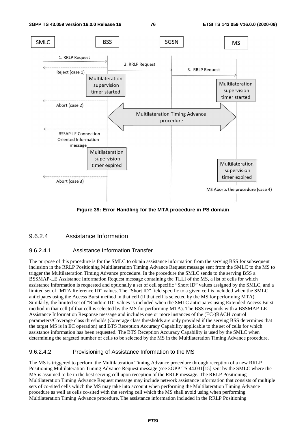

**Figure 39: Error Handling for the MTA procedure in PS domain** 

## 9.6.2.4 Assistance Information

#### 9.6.2.4.1 Assistance Information Transfer

The purpose of this procedure is for the SMLC to obtain assistance information from the serving BSS for subsequent inclusion in the RRLP Positioning Multilateration Timing Advance Request message sent from the SMLC to the MS to trigger the Multilateration Timing Advance procedure. In the procedure the SMLC sends to the serving BSS a BSSMAP-LE Assistance Information Request message containing the TLLI of the MS, a list of cells for which assistance information is requested and optionally a set of cell specific "Short ID" values assigned by the SMLC, and a limited set of "MTA Reference ID" values. The "Short ID" field specific to a given cell is included when the SMLC anticipates using the Access Burst method in that cell (if that cell is selected by the MS for performing MTA). Similarly, the limited set of "Random ID" values is included when the SMLC anticipates using Extended Access Burst method in that cell (if that cell is selected by the MS for performing MTA). The BSS responds with a BSSMAP-LE Assistance Information Response message and includes one or more instances of the (EC-)RACH control parameters/Coverage class thresholds (Coverage class thresholds are only provided if the serving BSS determines that the target MS is in EC operation) and BTS Reception Accuracy Capability applicable to the set of cells for which assistance information has been requested. The BTS Reception Accuracy Capability is used by the SMLC when determining the targeted number of cells to be selected by the MS in the Multilateration Timing Advance procedure.

#### 9.6.2.4.2 Provisioning of Assistance Information to the MS

The MS is triggered to perform the Multilateration Timing Advance procedure through reception of a new RRLP Positioning Multilateration Timing Advance Request message (see 3GPP TS 44.031[15] sent by the SMLC where the MS is assumed to be in the best serving cell upon reception of the RRLP message. The RRLP Positioning Multilateration Timing Advance Request message may include network assistance information that consists of multiple sets of co-sited cells which the MS may take into account when performing the Multilateration Timing Advance procedure as well as cells co-sited with the serving cell which the MS shall avoid using when performing Multilateration Timing Advance procedure. The assistance information included in the RRLP Positioning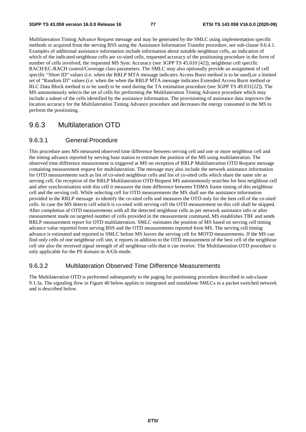Multilateration Timing Advance Request message and may be generated by the SMLC using implementation specific methods or acquired from the serving BSS using the Assistance Information Transfer procedure, see sub-clause 9.6.4.1. Examples of additional assistance information include information about suitable neighbour cells, an indication of which of the indicated neighbour cells are co-sited cells, requested accuracy of the positioning procedure in the form of number of cells involved, the requested MS Sync Accuracy (see 3GPP TS 45.010 [42]), neighbour cell specific RACH/EC-RACH control/Coverage class parameters. The SMLC may also optionally provide an assignment of cell specific "Short ID" values (i.e. when the RRLP MTA message indicates Access Burst method is to be used),or a limited set of "Random ID" values (i.e. when the when the RRLP MTA message indicates Extended Access Burst method or RLC Data Block method is to be used) to be used during the TA estimation procedure (see 3GPP TS 49.031[22]). The MS autonomously selects the set of cells for performing the Multilateration Timing Advance procedure which may include a subset of the cells identified by the assistance information. The provisioning of assistance data improves the location accuracy for the Multilateration Timing Advance procedure and decreases the energy consumed in the MS to perform the positioning.

## 9.6.3 Multilateration OTD

## 9.6.3.1 General Procedure

This procedure uses MS measured observed time difference between serving cell and one or more neighbour cell and the timing advance reported by serving base station to estimate the position of the MS using multilateration. The observed time difference measurement is triggered at MS on reception of RRLP Multilateration OTD Request message containing measurement request for multilateration. The message may also include the network assistance information for OTD measurements such as list of co-sited neighbour cells and list of co-sited cells which share the same site as serving cell. On reception of the RRLP Multilateration OTD Request MS autonomously searches for best neighbour cell and after synchronisation with this cell it measures the time difference between TDMA frame timing of this neighbour cell and the serving cell. While selecting cell for OTD measurements the MS shall use the assistance information provided in the RRLP message to identify the co-sited cells and measures the OTD only for the best cell of the co-sited cells. In case the MS detects cell which is co-sited with serving cell the OTD measurement on this cell shall be skipped. After completion of OTD measurements with all the detected neighbour cells as per network assistance info or after measurement made on targeted number of cells provided in the measurement command, MS establishes TBF and sends RRLP measurement report for OTD multilateration. SMLC estimates the position of MS based on serving cell timing advance value reported from serving BSS and the OTD measurements reported from MS. The serving cell timing advance is estimated and reported to SMLC before MS leaves the serving cell for MOTD measurements. If the MS can find only cells of one neighbour cell site, it reports in addition to the OTD measurement of the best cell of the neighbour cell site also the received signal strength of all neighbour cells that it can receive. The Multilateration OTD procedure is only applicable for the PS domain in A/Gb-mode.

### 9.6.3.2 Multilateration Observed Time Difference Measurements

The Multilateration OTD is performed subsequently to the paging for positioning procedure described in sub-clause 9.1.3a. The signaling flow in Figure 40 below applies to integrated and standalone SMLCs in a packet switched network and is described below.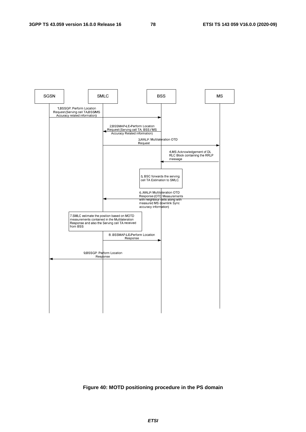

#### **Figure 40: MOTD positioning procedure in the PS domain**

*ETSI*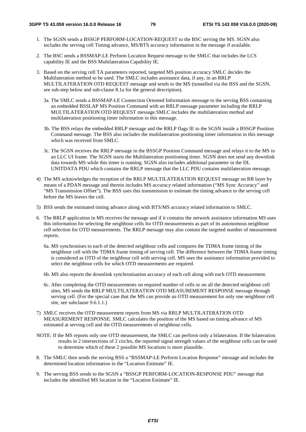- 1. The SGSN sends a BSSGP PERFORM-LOCATION-REQUEST to the BSC serving the MS. SGSN also includes the serving cell Timing advance, MS/BTS accuracy information in the message if available.
- 2. The BSC sends a BSSMAP-LE Perform Location Request message to the SMLC that includes the LCS capability IE and the BSS Multilateration Capability IE.
- 3. Based on the serving cell TA parameters reported, targeted MS position accuracy SMLC decides the Multilateration method to be used. The SMLC includes assistance data, if any, in an RRLP MULTILATERATION OTD REQUEST message and sends to the MS (tunnelled via the BSS and the SGSN, see sub-step below and sub-clause 8.1a for the general description).
	- 3a. The SMLC sends a BSSMAP-LE Connection Oriented Information message to the serving BSS containing an embedded BSSLAP MS Position Command with an RRLP message parameter including the RRLP MULTILATERATION OTD REQUEST message.SMLC includes the multilateration method and multilateration positioning timer information in this message.
	- 3b. The BSS relays the embedded RRLP message and the RRLP flags IE to the SGSN inside a BSSGP Position Command message. The BSS also includes the multilateration positioning timer information in this message which was received from SMLC.
	- 3c. The SGSN receives the RRLP message in the BSSGP Position Command message and relays it to the MS in an LLC UI frame. The SGSN starts the Multilateration positioning timer. SGSN does not send any downlink data towards MS while this timer is running. SGSN also includes additional parameter in the DL UNITDATA PDU which contains the RRLP message that the LLC PDU contains multilateration message.
- 4) The MS acknowledges the reception of the RRLP MULTILATERATION REQUEST message on RR layer by means of a PDAN message and therein includes MS accuracy related information ("MS Sync Accuracy" and "MS Transmission Offset"). The BSS uses this transmission to estimate the timing advance to the serving cell before the MS leaves the cell.
- 5) BSS sends the estimated timing advance along with BTS/MS accuracy related information to SMLC.
- 6. The RRLP application in MS receives the message and if it contains the network assistance information MS uses this information for selecting the neighbour cells for OTD measurements as part of its autonomous neighbour cell selection for OTD measurements. The RRLP message may also contain the targeted number of measurement reports.
	- 6a. MS synchronises to each of the detected neighbour cells and compares the TDMA frame timing of the neighbour cell with the TDMA frame timing of serving cell. The difference between the TDMA frame timing is considered as OTD of the neighbour cell with serving cell. MS uses the assistance information provided to select the neighbour cells for which OTD measurements are required.
	- 6b. MS also reports the downlink synchronisation accuracy of each cell along with each OTD measurement.
	- 6c. After completing the OTD measurements on required number of cells or on all the detected neighbour cell sites, MS sends the RRLP MULTILATERATION OTD MEASUREMENT RESPONSE message through serving cell. (For the special case that the MS can provide an OTD measurement for only one neighbour cell site, see subclause 9.6.1.1.)
- 7) SMLC receives the OTD measurement reports from MS via RRLP MULTILATERATION OTD MEASUREMENT RESPONSE. SMLC calculates the position of the MS based on timing advance of MS estimated at serving cell and the OTD measurements of neighbour cells.
- NOTE: If the MS reports only one OTD measurement, the SMLC can perform only a bilateration. If the bilateration results in 2 intersections of 2 circles, the reported signal strength values of the neighbour cells can be used to determine which of these 2 possible MS locations is more plausible.
- 8. The SMLC then sends the serving BSS a "BSSMAP-LE Perform Location Response" message and includes the determined location information in the "Location Estimate" IE.
- 9. The serving BSS sends to the SGSN a "BSSGP PERFORM-LOCATION-RESPONSE PDU" message that includes the identified MS location in the "Location Estimate" IE.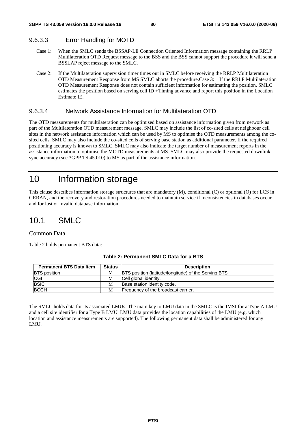## 9.6.3.3 Error Handling for MOTD

- Case 1: When the SMLC sends the BSSAP-LE Connection Oriented Information message containing the RRLP Multilateration OTD Request message to the BSS and the BSS cannot support the procedure it will send a BSSLAP reject message to the SMLC.
- Case 2: If the Multilateration supervision timer times out in SMLC before receiving the RRLP Multilateration OTD Measurement Response from MS SMLC aborts the procedure.Case 3: If the RRLP Multilateration OTD Measurement Response does not contain sufficient information for estimating the position, SMLC estimates the position based on serving cell ID +Timing advance and report this position in the Location Estimate IE.

## 9.6.3.4 Network Assistance Information for Multilateration OTD

The OTD measurements for multilateration can be optimised based on assistance information given from network as part of the Multilateration OTD measurement message. SMLC may include the list of co-sited cells at neighbour cell sites in the network assistance information which can be used by MS to optimise the OTD measurements among the cosited cells. SMLC may also include the co-sited cells of serving base station as additional parameter. If the required positioning accuracy is known to SMLC, SMLC may also indicate the target number of measurement reports in the assistance information to optimise the MOTD measurements at MS. SMLC may also provide the requested downlink sync accuracy (see 3GPP TS 45.010) to MS as part of the assistance information.

## 10 Information storage

This clause describes information storage structures that are mandatory (M), conditional (C) or optional (O) for LCS in GERAN, and the recovery and restoration procedures needed to maintain service if inconsistencies in databases occur and for lost or invalid database information.

## 10.1 SMLC

#### Common Data

Table 2 holds permanent BTS data:

| <b>Permanent BTS Data Item</b> | <b>Status</b> | <b>Description</b>                                          |
|--------------------------------|---------------|-------------------------------------------------------------|
| <b>BTS</b> position            | M             | <b>BTS</b> position (latitude/longitude) of the Serving BTS |
| <b>CGI</b>                     | M             | Cell global identity.                                       |
| <b>BSIC</b>                    | M             | Base station identity code.                                 |
| <b>BCCH</b>                    | М             | Frequency of the broadcast carrier.                         |

#### **Table 2: Permanent SMLC Data for a BTS**

The SMLC holds data for its associated LMUs. The main key to LMU data in the SMLC is the IMSI for a Type A LMU and a cell site identifier for a Type B LMU. LMU data provides the location capabilities of the LMU (e.g. which location and assistance measurements are supported). The following permanent data shall be administered for any LMU.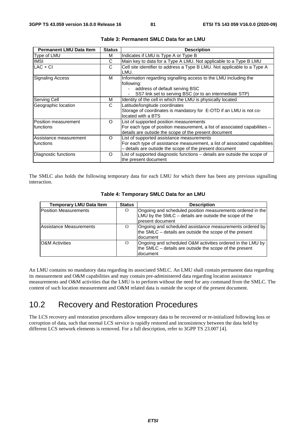| <b>Permanent LMU Data Item</b>        | <b>Status</b> | <b>Description</b>                                                                                                                                                                 |
|---------------------------------------|---------------|------------------------------------------------------------------------------------------------------------------------------------------------------------------------------------|
| Type of LMU                           | м             | Indicates if LMU is Type A or Type B                                                                                                                                               |
| <b>IMSI</b>                           | С             | Main key to data for a Type A LMU. Not applicable to a Type B LMU                                                                                                                  |
| $LAC + CI$                            | С             | Cell site identifier to address a Type B LMU. Not applicable to a Type A<br>LMU.                                                                                                   |
| <b>Signaling Access</b>               | м             | Information regarding signalling access to the LMU including the<br>following:<br>address of default serving BSC<br>SS7 link set to serving BSC (or to an intermediate STP)        |
| <b>Serving Cell</b>                   | м             | Identity of the cell in which the LMU is physically located                                                                                                                        |
| Geographic location                   | C             | Latitude/longitude coordinates<br>Storage of coordinates is mandatory for E-OTD if an LMU is not co-<br>located with a BTS                                                         |
| Position measurement<br>Ifunctions    | O             | List of supported position measurements<br>For each type of position measurement, a list of associated capabilities -<br>details are outside the scope of the present document     |
| lAssistance measurement<br>Ifunctions | $\Omega$      | List of supported assistance measurements<br>For each type of assistance measurement, a list of associated capabilities<br>- details are outside the scope of the present document |
| Diagnostic functions                  | O             | List of supported diagnostic functions - details are outside the scope of<br>the present document                                                                                  |

| Table 3: Permanent SMLC Data for an LMU |  |  |  |
|-----------------------------------------|--|--|--|
|-----------------------------------------|--|--|--|

The SMLC also holds the following temporary data for each LMU for which there has been any previous signalling interaction.

| <b>Temporary LMU Data Item</b> | <b>Status</b> | <b>Description</b>                                                                                                                          |
|--------------------------------|---------------|---------------------------------------------------------------------------------------------------------------------------------------------|
| <b>Position Measurements</b>   | O             | Ongoing and scheduled position measurements ordered in the<br>LMU by the $SMLC$ – details are outside the scope of the<br>Ipresent document |
| Assistance Measurements        | $\Omega$      | Ongoing and scheduled assistance measurements ordered by<br>the SMLC – details are outside the scope of the present<br>document             |
| <b>O&amp;M</b> Activities      | $\Omega$      | Ongoing and scheduled O&M activities ordered in the LMU by<br>the SMLC - details are outside the scope of the present<br>ldocument          |

| Table 4: Temporary SMLC Data for an LMU |  |  |  |  |  |
|-----------------------------------------|--|--|--|--|--|
|-----------------------------------------|--|--|--|--|--|

An LMU contains no mandatory data regarding its associated SMLC. An LMU shall contain permanent data regarding its measurement and O&M capabilities and may contain pre-administered data regarding location assistance measurements and O&M activities that the LMU is to perform without the need for any command from the SMLC. The content of such location measurement and O&M related data is outside the scope of the present document.

## 10.2 Recovery and Restoration Procedures

The LCS recovery and restoration procedures allow temporary data to be recovered or re-initialized following loss or corruption of data, such that normal LCS service is rapidly restored and inconsistency between the data held by different LCS network elements is removed. For a full description, refer to 3GPP TS 23.007 [4].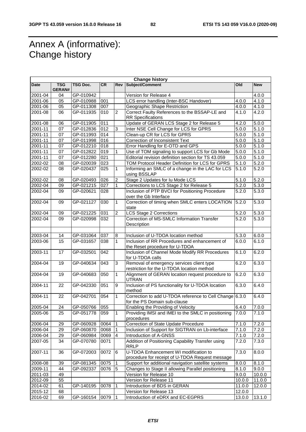## Annex A (informative): Change history

| <b>Change history</b> |                             |                        |            |                  |                                                                                          |                             |                    |
|-----------------------|-----------------------------|------------------------|------------|------------------|------------------------------------------------------------------------------------------|-----------------------------|--------------------|
| <b>Date</b>           | <b>TSG</b><br><b>GERAN#</b> | <b>TSG Doc.</b>        | <b>CR</b>  | Rev              | Subject/Comment                                                                          | <b>Old</b>                  | <b>New</b>         |
| 2001-04               | 04                          | GP-010942              |            |                  | Version for Release 4                                                                    |                             | 4.0.0              |
| 2001-06               | 05                          | GP-010988              | 001        |                  | LCS error handling (Inter-BSC Handover)                                                  | 4.0.0                       | 4.1.0              |
| 2001-06               | 05                          | GP-011308              | 007        |                  | Geographic Shape Restriction                                                             | 4.0.0                       | 4.1.0              |
| 2001-08               | 06                          | GP-011935              | 010        | $\overline{2}$   | Correct Faulty References to the BSSAP-LE and                                            | 4.1.0                       | 4.2.0              |
|                       |                             |                        |            |                  | <b>RR</b> Specifications                                                                 |                             |                    |
| 2001-08               | 06                          | GP-011905              | 011        |                  | Update of GERAN LCS Stage 2 for Release 5                                                | 4.2.0                       | 5.0.0              |
| 2001-11               | 07                          | GP-012836              | 012        | 3                | Inter NSE Cell Change for LCS for GPRS                                                   | 5.0.0                       | 5.1.0              |
| $2001 - 11$           | 07                          | GP-011993              | 014        |                  | Clean-up CR for LCS for GPRS                                                             | 5.0.0                       | 5.1.0              |
| $2001 - 11$           | 07                          | GP-011998              | 016        |                  | Correction of Inconsistent Text                                                          | 5.0.0                       | 5.1.0              |
| 2001-11<br>2001-11    | 07<br>07                    | GP-012210<br>GP-012822 | 018<br>019 | 1                | Error Handling for E-OTD and GPS<br>Use of TOM signaling to support LCS for Gb Mode      | 5.0.0<br>$\overline{5.0.0}$ | 5.1.0<br>5.1.0     |
| 2001-11               | 07                          | GP-012280              | 021        |                  | Editorial revision definition section for TS 43.059                                      | 5.0.0                       | 5.1.0              |
| 2002-02               | 08                          | GP-020039              | 023        |                  | TOM Protocol Header Definition for LCS for GPRS                                          | 5.1.0                       | 5.2.0              |
| 2002-02               | 08                          | GP-020437              | 025        | 1                | Informing an SMLC of a change in the LAC for LCS                                         | 5.1.0                       | $\overline{5.2.0}$ |
|                       |                             |                        |            |                  | using BSSLAP                                                                             |                             |                    |
| 2002-02               | 08                          | GP-020493              | 026        | $\boldsymbol{2}$ | Stage 2 Updates for Iu Mode LCS                                                          | 5.1.0                       | 5.2.0              |
| 2002-04               | 09                          | GP-021215              | 027        | $\mathbf{1}$     | Corrections to LCS Stage 2 for Release 5                                                 | 5.2.0                       | 5.3.0              |
| 2002-04               | 09                          | GP-020621              | 028        |                  | Inclusion of PTP BVCI for Positioning Procedure<br>over the Gb Interface                 | 5.2.0                       | 5.3.0              |
| 2002-04               | 09                          | GP-021127              | 030        | $\mathbf{1}$     | Correction of timing when SMLC enters LOCATION<br>state                                  | 5.2.0                       | 5.3.0              |
| 2002-04               | 09                          | GP-021225              | 031        | $\overline{c}$   | <b>LCS Stage 2 Corrections</b>                                                           | 5.2.0                       | 5.3.0              |
| 2002-04               | 09                          | GP-020998              | 032        |                  | Correction of MS-SMLC Information Transfer<br>Description                                | 5.2.0                       | 5.3.0              |
| 2003-04               | 14                          | GP-031064              | 037        | 8                | Inclusion of U-TDOA location method                                                      | 5.3.0                       | 6.0.0              |
| 2003-06               | 15                          | GP-031657              | 038        | 1                | Inclusion of RR Procedures and enhancement of                                            | 6.0.0                       | 6.1.0              |
|                       |                             |                        |            |                  | the Reset procedure for U-TDOA                                                           |                             |                    |
| 2003-11               | 17                          | GP-032501              | 042        |                  | Inclusion of Channel Mode Modify RR Procedures<br>for U-TDOA calls                       | 6.1.0                       | 6.2.0              |
| 2004-04               | 19                          | GP-040634              | 043        | 3                | Removal of emergency services client type<br>restriction for the U-TDOA location method  | 6.2.0                       | 6.3.0              |
| 2004-04               | 19                          | GP-040683              | 050        | 1                | Alignment of GERAN location request procedure to<br>6.2.0<br><b>UTRAN</b>                |                             | 6.3.0              |
| 2004-11               | 22                          | GP-042330              | 051        | 9                | Inclusion of PS functionality for U-TDOA location<br>method                              | 6.3.0                       | 6.4.0              |
| 2004-11               | 22                          | GP-042701              | 054        | $\mathbf{1}$     | Correction to add U-TDOA reference to Cell Change 6.3.0<br>for the PS Domain sub-clause  |                             | 6.4.0              |
| 2005-04               | 24                          | GP-050766              | 055        |                  | Enabling the Providing of Velocity                                                       | 6.4.0                       | 7.0.0              |
| 2005-06               | 25                          | GP-051778              | 059        | $\mathbf{1}$     | Providing IMSI and IMEI to the SMLC in positioning<br>procedures                         | 7.0.0                       | 7.1.0              |
| 2006-04               | 29                          | GP-060928              | 0064       | $\overline{1}$   | Correction of State Update Procedure                                                     | 7.1.0                       | 7.2.0              |
| 2006-04               | 29                          | GP-060870              | 0068       | 1                | Inclusion of Support for SIGTRAN on Lb-interface                                         | 7.1.0                       | 7.2.0              |
| 2006-04               | 29                          | GP-060984              | 0069       | $\overline{4}$   | Introduction of A-GNSS                                                                   | 7.1.0                       | 7.2.0              |
| 2007-05               | 34                          | GP-070780              | 0071       |                  | Addition of Positioning Capability Transfer using<br>RRLP                                | 7.2.0                       | 7.3.0              |
| 2007-11               | 36                          | GP-072003              | 0072       | $\,6$            | U-TDOA Enhancement WI modification to<br>procedure for receipt of U-TDOA Request message | 7.3.0                       | 8.0.0              |
| 2008-08               | 39                          | GP-081345              | 0075       | $\vert$ 1        | Support for additional navigation satellite systems                                      | 8.0.0                       | 8.1.0              |
| 2009-11               | 44                          | GP-092337              | 0076       | 5                | Changes to Stage II allowing Parallel positioning                                        | 8.1.0                       | 9.0.0              |
| 2011-03               | 49                          |                        |            |                  | Version for Release 10                                                                   | 9.0.0                       | 10.0.0             |
| 2012-09               | 55                          |                        |            |                  | Version for Release 11                                                                   | 10.0.0                      | 11.0.0             |
| 2014-02               | 61                          | GP-140195              | 0078       | 1                | Introduction of BDS in GERAN                                                             | 11.0.0                      | 12.0.0             |
| 2015-12               | 68                          |                        |            |                  | Version for Release 13                                                                   | 12.0.0                      |                    |
| 2016-02               | 69                          | GP-160154              | 0079       | $\vert$ 1        | Introduction of eDRX and EC-EGPRS                                                        | 13.0.0                      | 13.1.0             |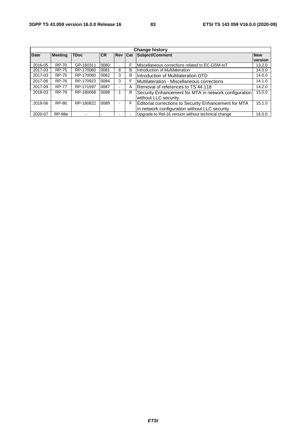| <b>Change history</b> |                |             |           |                                   |   |                                                              |         |  |
|-----------------------|----------------|-------------|-----------|-----------------------------------|---|--------------------------------------------------------------|---------|--|
| <b>Date</b>           | <b>Meeting</b> | <b>TDoc</b> | <b>CR</b> | Subject/Comment<br><b>Rev Cat</b> |   | <b>New</b>                                                   |         |  |
|                       |                |             |           |                                   |   |                                                              | version |  |
| 2016-05               | <b>RP-70</b>   | GP-160311   | 0080      |                                   | F | Miscellaneous corrections related to EC-GSM-IoT              | 13.2.0  |  |
| 2017-03               | <b>RP-75</b>   | RP-170060   | 0081      | 8                                 | В | Introduction of Multilateration                              | 14.0.0  |  |
| 2017-03               | <b>RP-75</b>   | RP-170060   | 0082      | 3                                 | B | Introduction of Multilateration OTD                          | 14.0.0  |  |
| 2017-06               | <b>RP-76</b>   | RP-170923   | 0084      | 3                                 | F | Multilateration - Miscellaneous corrections                  | 14.1.0  |  |
| 2017-09               | <b>RP-77</b>   | RP-171597   | 0087      |                                   | Α | Removal of references to TS 44.118                           | 14.2.0  |  |
| 2018-03               | <b>RP-79</b>   | RP-180068   | 0088      |                                   | в | Security Enhancement for MTA in network configuration        | 15.0.0  |  |
|                       |                |             |           |                                   |   | without LLC security                                         |         |  |
| 2018-06               | RP-80          | RP-180822   | 0089      |                                   | F | <b>Editorial corrections to Security Enhancement for MTA</b> | 15.1.0  |  |
|                       |                |             |           |                                   |   | in network configuration without LLC security                |         |  |
| 2020-07               | <b>RP-88e</b>  |             |           |                                   |   | Upgrade to Rel-16 version without technical change           | 16.0.0  |  |